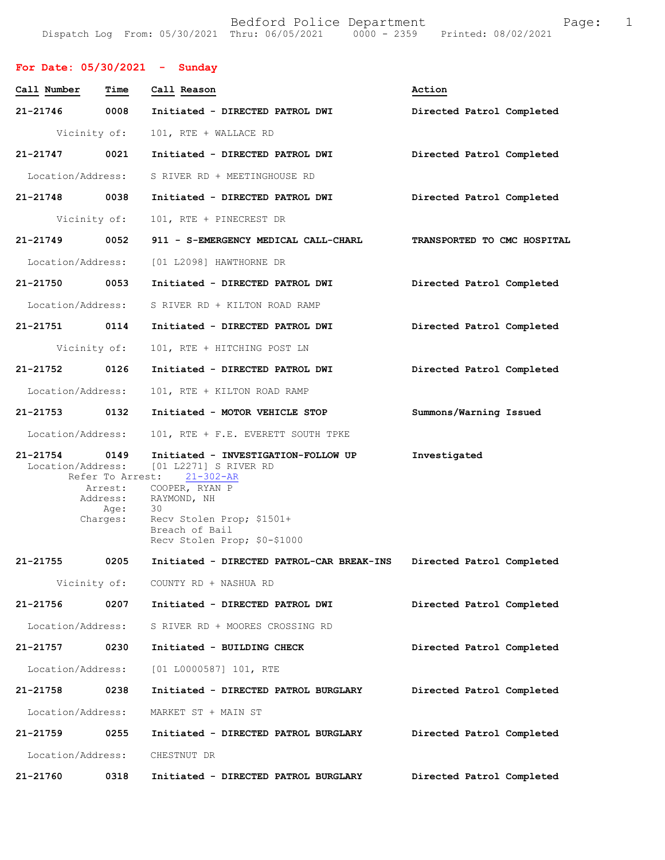Bedford Police Department Fage: 1 Dispatch Log From: 05/30/2021 Thru: 06/05/2021 0000 - 2359 Printed: 08/02/2021

**For Date: 05/30/2021 - Sunday**

| Call Number                   | Time                                                                | Call Reason                                                                                                                                                                                             | Action                      |
|-------------------------------|---------------------------------------------------------------------|---------------------------------------------------------------------------------------------------------------------------------------------------------------------------------------------------------|-----------------------------|
| 21-21746                      | 0008                                                                | Initiated - DIRECTED PATROL DWI                                                                                                                                                                         | Directed Patrol Completed   |
| Vicinity of:                  |                                                                     | 101, RTE + WALLACE RD                                                                                                                                                                                   |                             |
| 21-21747 0021                 |                                                                     | Initiated - DIRECTED PATROL DWI                                                                                                                                                                         | Directed Patrol Completed   |
| Location/Address:             |                                                                     | S RIVER RD + MEETINGHOUSE RD                                                                                                                                                                            |                             |
| 21-21748 0038                 |                                                                     | Initiated - DIRECTED PATROL DWI                                                                                                                                                                         | Directed Patrol Completed   |
| Vicinity of:                  |                                                                     | 101, RTE + PINECREST DR                                                                                                                                                                                 |                             |
| 21-21749                      | 0052                                                                | 911 - S-EMERGENCY MEDICAL CALL-CHARL                                                                                                                                                                    | TRANSPORTED TO CMC HOSPITAL |
| Location/Address:             |                                                                     | [01 L2098] HAWTHORNE DR                                                                                                                                                                                 |                             |
| 21-21750 0053                 |                                                                     | Initiated - DIRECTED PATROL DWI                                                                                                                                                                         | Directed Patrol Completed   |
| Location/Address:             |                                                                     | S RIVER RD + KILTON ROAD RAMP                                                                                                                                                                           |                             |
| 21-21751 0114                 |                                                                     | Initiated - DIRECTED PATROL DWI                                                                                                                                                                         | Directed Patrol Completed   |
| Vicinity of:                  |                                                                     | 101, RTE + HITCHING POST LN                                                                                                                                                                             |                             |
| 21-21752 0126                 |                                                                     | Initiated - DIRECTED PATROL DWI                                                                                                                                                                         | Directed Patrol Completed   |
| Location/Address:             |                                                                     | 101, RTE + KILTON ROAD RAMP                                                                                                                                                                             |                             |
| 21-21753 0132                 |                                                                     | Initiated - MOTOR VEHICLE STOP                                                                                                                                                                          | Summons/Warning Issued      |
| Location/Address:             |                                                                     | 101, RTE + F.E. EVERETT SOUTH TPKE                                                                                                                                                                      |                             |
| 21-21754<br>Location/Address: | 0149<br>Refer To Arrest:<br>Arrest:<br>Address:<br>Age:<br>Charges: | Initiated - INVESTIGATION-FOLLOW UP<br>[01 L2271] S RIVER RD<br>$21 - 302 - AR$<br>COOPER, RYAN P<br>RAYMOND, NH<br>- 30<br>Recv Stolen Prop; \$1501+<br>Breach of Bail<br>Recv Stolen Prop; \$0-\$1000 | Investigated                |
| $21 - 21755$                  | 0205                                                                | Initiated - DIRECTED PATROL-CAR BREAK-INS                                                                                                                                                               | Directed Patrol Completed   |
| Vicinity of:                  |                                                                     | COUNTY RD + NASHUA RD                                                                                                                                                                                   |                             |
| 21-21756                      | 0207                                                                | Initiated - DIRECTED PATROL DWI                                                                                                                                                                         | Directed Patrol Completed   |
| Location/Address:             |                                                                     | S RIVER RD + MOORES CROSSING RD                                                                                                                                                                         |                             |
| 21-21757                      | 0230                                                                | Initiated - BUILDING CHECK                                                                                                                                                                              | Directed Patrol Completed   |
| Location/Address:             |                                                                     | [01 L0000587] 101, RTE                                                                                                                                                                                  |                             |
| 21-21758                      | 0238                                                                | Initiated - DIRECTED PATROL BURGLARY                                                                                                                                                                    | Directed Patrol Completed   |
| Location/Address:             |                                                                     | MARKET ST + MAIN ST                                                                                                                                                                                     |                             |
| 21-21759                      | 0255                                                                | Initiated - DIRECTED PATROL BURGLARY                                                                                                                                                                    | Directed Patrol Completed   |
| Location/Address:             |                                                                     | CHESTNUT DR                                                                                                                                                                                             |                             |
| 21-21760                      | 0318                                                                | Initiated - DIRECTED PATROL BURGLARY                                                                                                                                                                    | Directed Patrol Completed   |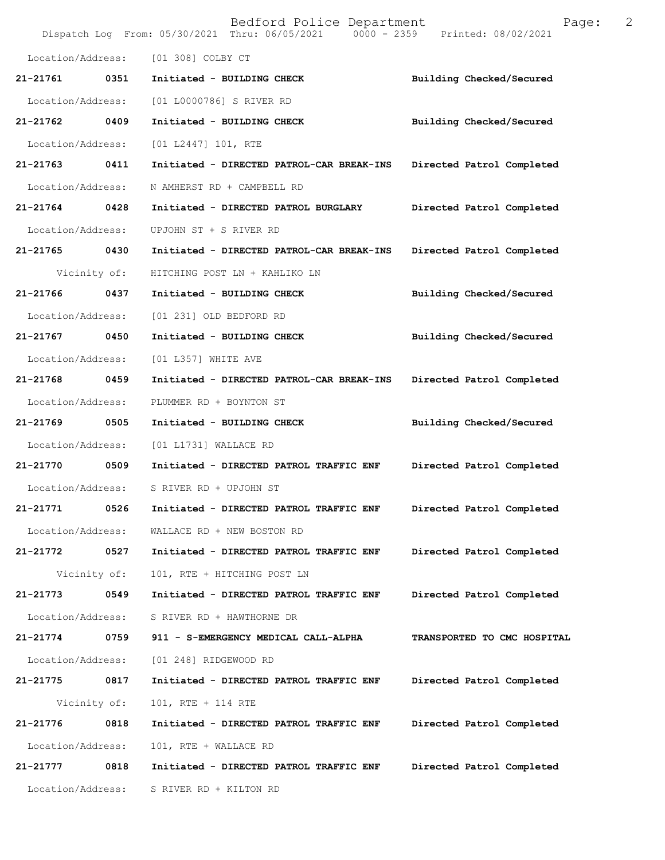|                   |      | Bedford Police Department<br>Dispatch Log From: 05/30/2021 Thru: 06/05/2021 | 2<br>Page:<br>0000 - 2359 Printed: 08/02/2021 |
|-------------------|------|-----------------------------------------------------------------------------|-----------------------------------------------|
| Location/Address: |      | [01 308] COLBY CT                                                           |                                               |
| 21-21761          | 0351 | Initiated - BUILDING CHECK                                                  | Building Checked/Secured                      |
| Location/Address: |      | [01 L0000786] S RIVER RD                                                    |                                               |
| 21-21762          | 0409 | Initiated - BUILDING CHECK                                                  | Building Checked/Secured                      |
| Location/Address: |      | [01 L2447] 101, RTE                                                         |                                               |
| 21-21763          | 0411 | Initiated - DIRECTED PATROL-CAR BREAK-INS                                   | Directed Patrol Completed                     |
| Location/Address: |      | N AMHERST RD + CAMPBELL RD                                                  |                                               |
| 21-21764          | 0428 | Initiated - DIRECTED PATROL BURGLARY                                        | Directed Patrol Completed                     |
| Location/Address: |      | UPJOHN ST + S RIVER RD                                                      |                                               |
| 21-21765          | 0430 | Initiated - DIRECTED PATROL-CAR BREAK-INS                                   | Directed Patrol Completed                     |
| Vicinity of:      |      | HITCHING POST LN + KAHLIKO LN                                               |                                               |
| 21-21766          | 0437 | Initiated - BUILDING CHECK                                                  | Building Checked/Secured                      |
| Location/Address: |      | [01 231] OLD BEDFORD RD                                                     |                                               |
| 21-21767          | 0450 | Initiated - BUILDING CHECK                                                  | Building Checked/Secured                      |
| Location/Address: |      | [01 L357] WHITE AVE                                                         |                                               |
| 21-21768          | 0459 | Initiated - DIRECTED PATROL-CAR BREAK-INS                                   | Directed Patrol Completed                     |
| Location/Address: |      | PLUMMER RD + BOYNTON ST                                                     |                                               |
| 21-21769          | 0505 | Initiated - BUILDING CHECK                                                  | Building Checked/Secured                      |
| Location/Address: |      | [01 L1731] WALLACE RD                                                       |                                               |
| 21-21770          | 0509 | Initiated - DIRECTED PATROL TRAFFIC ENF                                     | Directed Patrol Completed                     |
| Location/Address: |      | S RIVER RD + UPJOHN ST                                                      |                                               |
| 21-21771          | 0526 | Initiated - DIRECTED PATROL TRAFFIC ENF                                     | Directed Patrol Completed                     |
| Location/Address: |      | WALLACE RD + NEW BOSTON RD                                                  |                                               |
| 21-21772          | 0527 | Initiated - DIRECTED PATROL TRAFFIC ENF                                     | Directed Patrol Completed                     |
| Vicinity of:      |      | 101, RTE + HITCHING POST LN                                                 |                                               |
| 21-21773          | 0549 | Initiated - DIRECTED PATROL TRAFFIC ENF                                     | Directed Patrol Completed                     |
| Location/Address: |      | S RIVER RD + HAWTHORNE DR                                                   |                                               |
| 21-21774          | 0759 | 911 - S-EMERGENCY MEDICAL CALL-ALPHA                                        | TRANSPORTED TO CMC HOSPITAL                   |
| Location/Address: |      | [01 248] RIDGEWOOD RD                                                       |                                               |
| 21-21775          | 0817 | Initiated - DIRECTED PATROL TRAFFIC ENF                                     | Directed Patrol Completed                     |
| Vicinity of:      |      | 101, RTE + 114 RTE                                                          |                                               |
| 21-21776          | 0818 | Initiated - DIRECTED PATROL TRAFFIC ENF                                     | Directed Patrol Completed                     |
| Location/Address: |      | 101, RTE + WALLACE RD                                                       |                                               |
| 21-21777          | 0818 | Initiated - DIRECTED PATROL TRAFFIC ENF                                     | Directed Patrol Completed                     |
| Location/Address: |      | S RIVER RD + KILTON RD                                                      |                                               |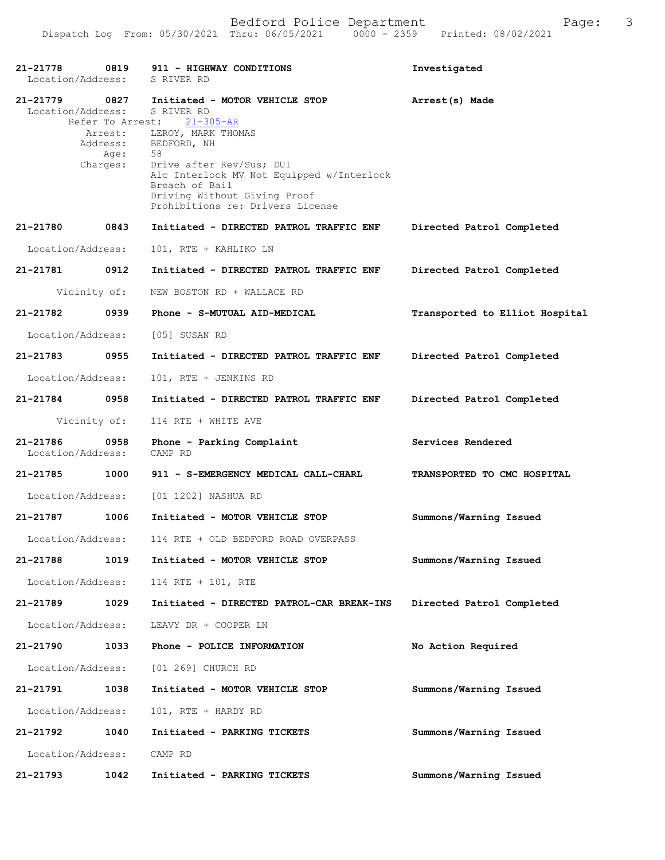| 21-21778<br>Location/Address: | 0819                    | 911 - HIGHWAY CONDITIONS<br>S RIVER RD                                                                                                                                        | Investigated                   |
|-------------------------------|-------------------------|-------------------------------------------------------------------------------------------------------------------------------------------------------------------------------|--------------------------------|
| 21-21779<br>Location/Address: | 0827                    | Initiated - MOTOR VEHICLE STOP<br>S RIVER RD<br>Refer To Arrest: 21-305-AR                                                                                                    | Arrest(s) Made                 |
|                               | Age: 58<br>Charges: Dr: | Arrest: LEROY, MARK THOMAS<br>Address: BEDFORD, NH<br>Drive after Rev/Sus; DUI<br>Alc Interlock MV Not Equipped w/Interlock<br>Breach of Bail<br>Driving Without Giving Proof |                                |
| 21-21780 0843                 |                         | Prohibitions re: Drivers License<br>Initiated - DIRECTED PATROL TRAFFIC ENF                                                                                                   | Directed Patrol Completed      |
| Location/Address:             |                         | 101, RTE + KAHLIKO LN                                                                                                                                                         |                                |
| 21-21781                      | 0912                    | Initiated - DIRECTED PATROL TRAFFIC ENF                                                                                                                                       | Directed Patrol Completed      |
|                               | Vicinity of:            | NEW BOSTON RD + WALLACE RD                                                                                                                                                    |                                |
| 21-21782                      | 0939                    | Phone - S-MUTUAL AID-MEDICAL                                                                                                                                                  | Transported to Elliot Hospital |
| Location/Address:             |                         | [05] SUSAN RD                                                                                                                                                                 |                                |
| 21-21783                      | 0955                    | Initiated - DIRECTED PATROL TRAFFIC ENF                                                                                                                                       | Directed Patrol Completed      |
| Location/Address:             |                         | 101, RTE + JENKINS RD                                                                                                                                                         |                                |
| 21-21784 0958                 |                         | Initiated - DIRECTED PATROL TRAFFIC ENF                                                                                                                                       | Directed Patrol Completed      |
|                               | Vicinity of:            | 114 RTE + WHITE AVE                                                                                                                                                           |                                |
| 21-21786<br>Location/Address: | 0958                    | Phone - Parking Complaint<br>CAMP RD                                                                                                                                          | Services Rendered              |
| 21-21785                      | 1000                    | 911 - S-EMERGENCY MEDICAL CALL-CHARL                                                                                                                                          | TRANSPORTED TO CMC HOSPITAL    |
| Location/Address:             |                         | [01 1202] NASHUA RD                                                                                                                                                           |                                |
| 21-21787                      | 1006                    | Initiated - MOTOR VEHICLE STOP                                                                                                                                                | Summons/Warning Issued         |
| Location/Address:             |                         | 114 RTE + OLD BEDFORD ROAD OVERPASS                                                                                                                                           |                                |
| 21-21788                      | 1019                    | Initiated - MOTOR VEHICLE STOP                                                                                                                                                | Summons/Warning Issued         |
| Location/Address:             |                         | 114 RTE + 101, RTE                                                                                                                                                            |                                |
| 21-21789                      | 1029                    | Initiated - DIRECTED PATROL-CAR BREAK-INS                                                                                                                                     | Directed Patrol Completed      |
| Location/Address:             |                         | LEAVY DR + COOPER LN                                                                                                                                                          |                                |
| 21-21790                      | 1033                    | Phone - POLICE INFORMATION                                                                                                                                                    | No Action Required             |
| Location/Address:             |                         | [01 269] CHURCH RD                                                                                                                                                            |                                |
| 21-21791                      | 1038                    | Initiated - MOTOR VEHICLE STOP                                                                                                                                                | Summons/Warning Issued         |
| Location/Address:             |                         | 101, RTE + HARDY RD                                                                                                                                                           |                                |
| 21-21792                      | 1040                    | Initiated - PARKING TICKETS                                                                                                                                                   | Summons/Warning Issued         |
| Location/Address:             |                         | CAMP RD                                                                                                                                                                       |                                |
| 21-21793                      | 1042                    | Initiated - PARKING TICKETS                                                                                                                                                   | Summons/Warning Issued         |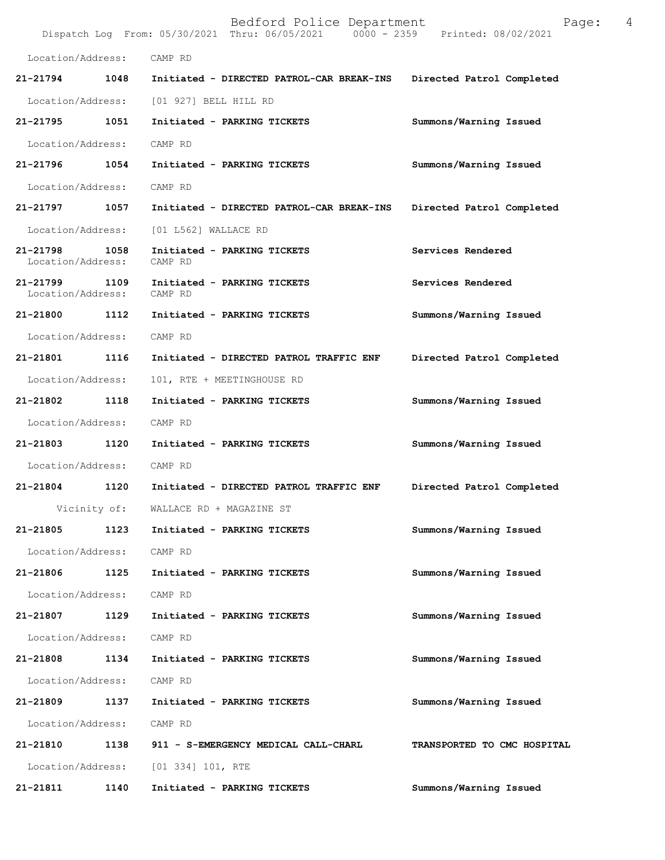|                                    |              | Bedford Police Department<br>Dispatch Log From: 05/30/2021 Thru: 06/05/2021 0000 - 2359 Printed: 08/02/2021 | 4<br>Page:                  |
|------------------------------------|--------------|-------------------------------------------------------------------------------------------------------------|-----------------------------|
| Location/Address:                  |              | CAMP RD                                                                                                     |                             |
| 21-21794                           | 1048         | Initiated - DIRECTED PATROL-CAR BREAK-INS                                                                   | Directed Patrol Completed   |
| Location/Address:                  |              | [01 927] BELL HILL RD                                                                                       |                             |
| 21-21795                           | 1051         | Initiated - PARKING TICKETS                                                                                 | Summons/Warning Issued      |
| Location/Address:                  |              | CAMP RD                                                                                                     |                             |
| 21-21796 1054                      |              | Initiated - PARKING TICKETS                                                                                 | Summons/Warning Issued      |
| Location/Address:                  |              | CAMP RD                                                                                                     |                             |
| 21-21797                           | 1057         | Initiated - DIRECTED PATROL-CAR BREAK-INS                                                                   | Directed Patrol Completed   |
| Location/Address:                  |              | [01 L562] WALLACE RD                                                                                        |                             |
| 21-21798 1058<br>Location/Address: |              | Initiated - PARKING TICKETS<br>CAMP RD                                                                      | Services Rendered           |
| 21-21799 1109<br>Location/Address: |              | Initiated - PARKING TICKETS<br>CAMP RD                                                                      | Services Rendered           |
| 21-21800                           | 1112         | Initiated - PARKING TICKETS                                                                                 | Summons/Warning Issued      |
| Location/Address:                  |              | CAMP RD                                                                                                     |                             |
| 21-21801 1116                      |              | Initiated - DIRECTED PATROL TRAFFIC ENF                                                                     | Directed Patrol Completed   |
| Location/Address:                  |              | 101, RTE + MEETINGHOUSE RD                                                                                  |                             |
| 21-21802                           | 1118         | Initiated - PARKING TICKETS                                                                                 | Summons/Warning Issued      |
| Location/Address:                  |              | CAMP RD                                                                                                     |                             |
| 21-21803                           | 1120         | Initiated - PARKING TICKETS                                                                                 | Summons/Warning Issued      |
| Location/Address:                  |              | CAMP RD                                                                                                     |                             |
| 21-21804                           | 1120         | Initiated - DIRECTED PATROL TRAFFIC ENF                                                                     | Directed Patrol Completed   |
|                                    | Vicinity of: | WALLACE RD + MAGAZINE ST                                                                                    |                             |
| 21-21805                           | 1123         | Initiated - PARKING TICKETS                                                                                 | Summons/Warning Issued      |
| Location/Address:                  |              | CAMP RD                                                                                                     |                             |
| 21-21806                           | 1125         | Initiated - PARKING TICKETS                                                                                 | Summons/Warning Issued      |
| Location/Address:                  |              | CAMP RD                                                                                                     |                             |
| 21-21807                           | 1129         | Initiated - PARKING TICKETS                                                                                 | Summons/Warning Issued      |
| Location/Address:                  |              | CAMP RD                                                                                                     |                             |
| 21-21808                           | 1134         | Initiated - PARKING TICKETS                                                                                 | Summons/Warning Issued      |
| Location/Address:                  |              | CAMP RD                                                                                                     |                             |
| 21-21809                           | 1137         | Initiated - PARKING TICKETS                                                                                 | Summons/Warning Issued      |
| Location/Address:                  |              | CAMP RD                                                                                                     |                             |
| 21-21810                           | 1138         | 911 - S-EMERGENCY MEDICAL CALL-CHARL                                                                        | TRANSPORTED TO CMC HOSPITAL |
| Location/Address:                  |              | [01 334] 101, RTE                                                                                           |                             |
| 21-21811                           | 1140         | Initiated - PARKING TICKETS                                                                                 | Summons/Warning Issued      |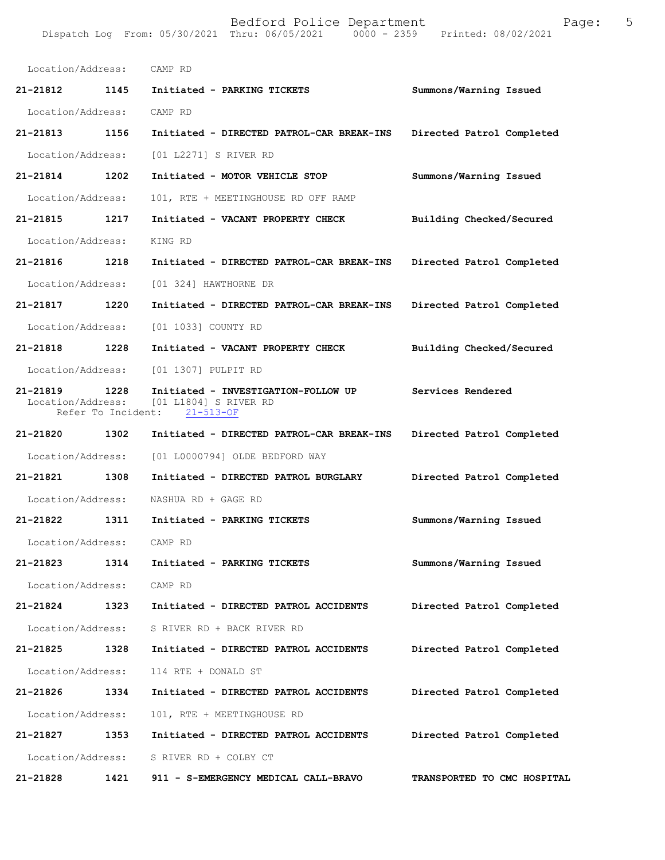| Location/Address: CAMP RD     |      |                                                                                              |                             |
|-------------------------------|------|----------------------------------------------------------------------------------------------|-----------------------------|
| 21-21812 1145                 |      | Initiated - PARKING TICKETS                                                                  | Summons/Warning Issued      |
| Location/Address:             |      | CAMP RD                                                                                      |                             |
| 21-21813 1156                 |      | Initiated - DIRECTED PATROL-CAR BREAK-INS                                                    | Directed Patrol Completed   |
| Location/Address:             |      | [01 L2271] S RIVER RD                                                                        |                             |
| 21-21814                      | 1202 | Initiated - MOTOR VEHICLE STOP                                                               | Summons/Warning Issued      |
| Location/Address:             |      | 101, RTE + MEETINGHOUSE RD OFF RAMP                                                          |                             |
| 21-21815 1217                 |      | Initiated - VACANT PROPERTY CHECK                                                            | Building Checked/Secured    |
| Location/Address:             |      | KING RD                                                                                      |                             |
| 21-21816                      | 1218 | Initiated - DIRECTED PATROL-CAR BREAK-INS                                                    | Directed Patrol Completed   |
| Location/Address:             |      | [01 324] HAWTHORNE DR                                                                        |                             |
| 21-21817 1220                 |      | Initiated - DIRECTED PATROL-CAR BREAK-INS                                                    | Directed Patrol Completed   |
| Location/Address:             |      | [01 1033] COUNTY RD                                                                          |                             |
| 21-21818 1228                 |      | Initiated - VACANT PROPERTY CHECK                                                            | Building Checked/Secured    |
| Location/Address:             |      | [01 1307] PULPIT RD                                                                          |                             |
| 21-21819<br>Location/Address: | 1228 | Initiated - INVESTIGATION-FOLLOW UP<br>[01 L1804] S RIVER RD<br>Refer To Incident: 21-513-OF | Services Rendered           |
| 21-21820                      | 1302 | Initiated - DIRECTED PATROL-CAR BREAK-INS                                                    | Directed Patrol Completed   |
| Location/Address:             |      | [01 L0000794] OLDE BEDFORD WAY                                                               |                             |
| 21-21821                      | 1308 | Initiated - DIRECTED PATROL BURGLARY                                                         | Directed Patrol Completed   |
| Location/Address:             |      | NASHUA RD + GAGE RD                                                                          |                             |
| 21-21822 1311                 |      | Initiated - PARKING TICKETS                                                                  | Summons/Warning Issued      |
| Location/Address: CAMP RD     |      |                                                                                              |                             |
| 21-21823                      | 1314 | Initiated - PARKING TICKETS                                                                  | Summons/Warning Issued      |
| Location/Address:             |      | CAMP RD                                                                                      |                             |
| 21-21824                      | 1323 | Initiated - DIRECTED PATROL ACCIDENTS                                                        | Directed Patrol Completed   |
| Location/Address:             |      | S RIVER RD + BACK RIVER RD                                                                   |                             |
| 21-21825                      | 1328 | Initiated - DIRECTED PATROL ACCIDENTS                                                        | Directed Patrol Completed   |
| Location/Address:             |      | 114 RTE + DONALD ST                                                                          |                             |
| 21-21826                      | 1334 | Initiated - DIRECTED PATROL ACCIDENTS                                                        | Directed Patrol Completed   |
| Location/Address:             |      | 101, RTE + MEETINGHOUSE RD                                                                   |                             |
| 21-21827                      | 1353 | Initiated - DIRECTED PATROL ACCIDENTS                                                        | Directed Patrol Completed   |
| Location/Address:             |      | S RIVER RD + COLBY CT                                                                        |                             |
| 21-21828                      | 1421 | 911 - S-EMERGENCY MEDICAL CALL-BRAVO                                                         | TRANSPORTED TO CMC HOSPITAL |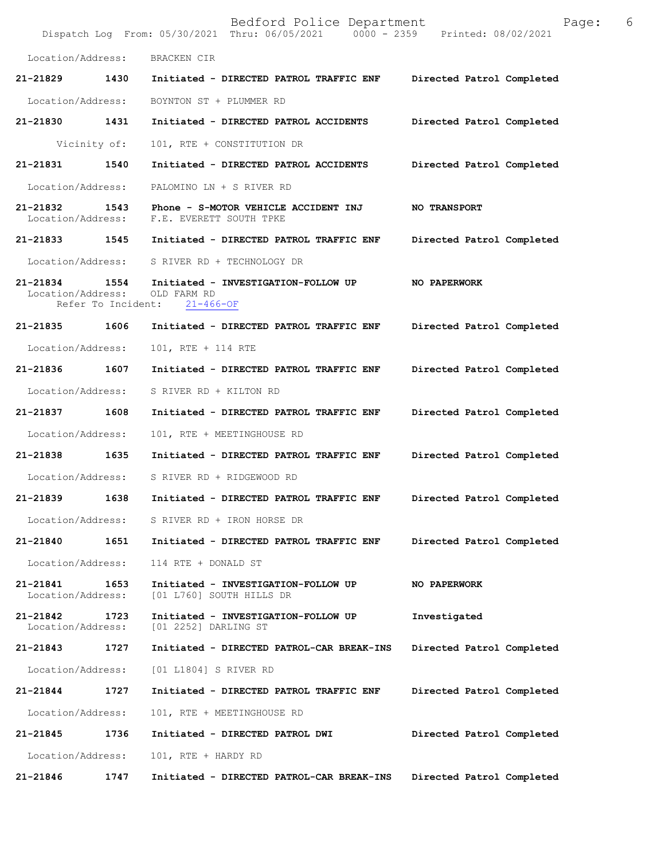|                                                     |      |                                                                       | Bedford Police Department<br>Dispatch Log From: 05/30/2021 Thru: 06/05/2021   0000 - 2359   Printed: 08/02/2021 |                           | Page: | 6 |
|-----------------------------------------------------|------|-----------------------------------------------------------------------|-----------------------------------------------------------------------------------------------------------------|---------------------------|-------|---|
| Location/Address:                                   |      | BRACKEN CIR                                                           |                                                                                                                 |                           |       |   |
| 21-21829                                            | 1430 |                                                                       | Initiated - DIRECTED PATROL TRAFFIC ENF                                                                         | Directed Patrol Completed |       |   |
| Location/Address:                                   |      | BOYNTON ST + PLUMMER RD                                               |                                                                                                                 |                           |       |   |
| 21-21830                                            | 1431 | Initiated - DIRECTED PATROL ACCIDENTS                                 |                                                                                                                 | Directed Patrol Completed |       |   |
| Vicinity of:                                        |      | 101, RTE + CONSTITUTION DR                                            |                                                                                                                 |                           |       |   |
| 21-21831                                            | 1540 | Initiated - DIRECTED PATROL ACCIDENTS                                 |                                                                                                                 | Directed Patrol Completed |       |   |
| Location/Address:                                   |      | PALOMINO LN + S RIVER RD                                              |                                                                                                                 |                           |       |   |
| 21-21832<br>Location/Address:                       | 1543 | Phone - S-MOTOR VEHICLE ACCIDENT INJ<br>F.E. EVERETT SOUTH TPKE       |                                                                                                                 | <b>NO TRANSPORT</b>       |       |   |
| 21-21833 1545                                       |      |                                                                       | Initiated - DIRECTED PATROL TRAFFIC ENF                                                                         | Directed Patrol Completed |       |   |
| Location/Address:                                   |      | S RIVER RD + TECHNOLOGY DR                                            |                                                                                                                 |                           |       |   |
| 21-21834<br>Location/Address:<br>Refer To Incident: | 1554 | Initiated - INVESTIGATION-FOLLOW UP<br>OLD FARM RD<br>$21 - 466 - OF$ |                                                                                                                 | NO PAPERWORK              |       |   |
| 21-21835                                            | 1606 |                                                                       | Initiated - DIRECTED PATROL TRAFFIC ENF                                                                         | Directed Patrol Completed |       |   |
| Location/Address:                                   |      | 101, RTE + 114 RTE                                                    |                                                                                                                 |                           |       |   |
| 21-21836                                            | 1607 |                                                                       | Initiated - DIRECTED PATROL TRAFFIC ENF                                                                         | Directed Patrol Completed |       |   |
| Location/Address:                                   |      | S RIVER RD + KILTON RD                                                |                                                                                                                 |                           |       |   |
| 21-21837                                            | 1608 |                                                                       | Initiated - DIRECTED PATROL TRAFFIC ENF                                                                         | Directed Patrol Completed |       |   |
| Location/Address:                                   |      | 101, RTE + MEETINGHOUSE RD                                            |                                                                                                                 |                           |       |   |
| 21-21838                                            | 1635 |                                                                       | Initiated - DIRECTED PATROL TRAFFIC ENF                                                                         | Directed Patrol Completed |       |   |
| Location/Address:                                   |      | S RIVER RD + RIDGEWOOD RD                                             |                                                                                                                 |                           |       |   |
|                                                     |      |                                                                       | 21-21839 1638 Initiated - DIRECTED PATROL TRAFFIC ENF Directed Patrol Completed                                 |                           |       |   |
| Location/Address: S RIVER RD + IRON HORSE DR        |      |                                                                       |                                                                                                                 |                           |       |   |
| 21-21840                                            | 1651 |                                                                       | Initiated - DIRECTED PATROL TRAFFIC ENF                                                                         | Directed Patrol Completed |       |   |
| Location/Address:                                   |      | 114 RTE + DONALD ST                                                   |                                                                                                                 |                           |       |   |
| 21-21841<br>Location/Address:                       | 1653 | Initiated - INVESTIGATION-FOLLOW UP<br>[01 L760] SOUTH HILLS DR       |                                                                                                                 | NO PAPERWORK              |       |   |
| 21-21842<br>Location/Address:                       | 1723 | Initiated - INVESTIGATION-FOLLOW UP<br>[01 2252] DARLING ST           |                                                                                                                 | Investigated              |       |   |
| 21-21843 1727                                       |      |                                                                       | Initiated - DIRECTED PATROL-CAR BREAK-INS                                                                       | Directed Patrol Completed |       |   |
| Location/Address:                                   |      | [01 L1804] S RIVER RD                                                 |                                                                                                                 |                           |       |   |
| 21-21844                                            | 1727 |                                                                       | Initiated - DIRECTED PATROL TRAFFIC ENF                                                                         | Directed Patrol Completed |       |   |
| Location/Address:                                   |      | 101, RTE + MEETINGHOUSE RD                                            |                                                                                                                 |                           |       |   |
| 21-21845                                            | 1736 | Initiated - DIRECTED PATROL DWI                                       |                                                                                                                 | Directed Patrol Completed |       |   |
| Location/Address:                                   |      | 101, RTE + HARDY RD                                                   |                                                                                                                 |                           |       |   |
| 21-21846                                            | 1747 |                                                                       | Initiated - DIRECTED PATROL-CAR BREAK-INS                                                                       | Directed Patrol Completed |       |   |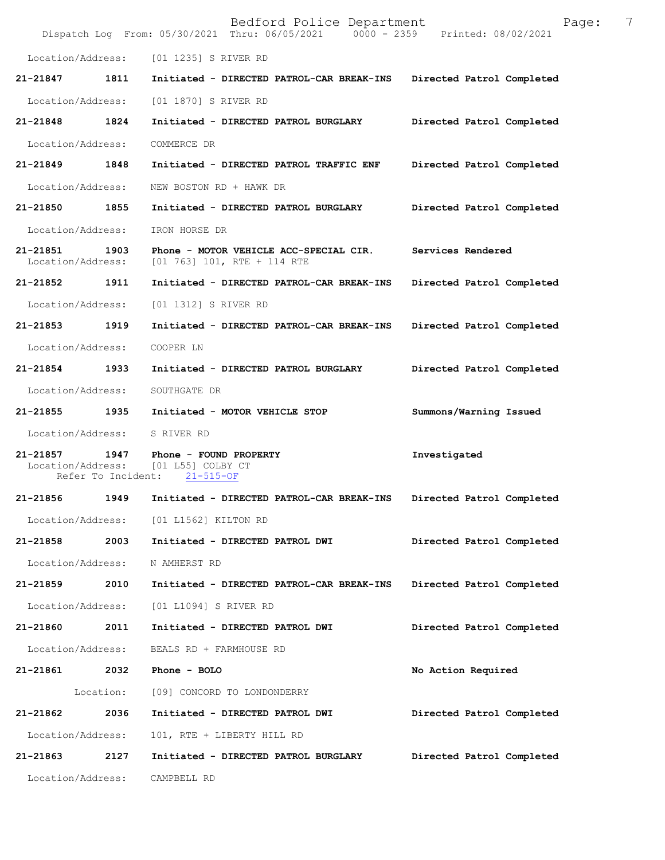|                               |           | Bedford Police Department<br>Dispatch Log From: 05/30/2021 Thru: 06/05/2021   0000 - 2359   Printed: 08/02/2021 | 7<br>Page:                |
|-------------------------------|-----------|-----------------------------------------------------------------------------------------------------------------|---------------------------|
|                               |           | Location/Address: [01 1235] S RIVER RD                                                                          |                           |
| 21-21847                      | 1811      | Initiated - DIRECTED PATROL-CAR BREAK-INS                                                                       | Directed Patrol Completed |
| Location/Address:             |           | [01 1870] S RIVER RD                                                                                            |                           |
| 21-21848 1824                 |           | Initiated - DIRECTED PATROL BURGLARY                                                                            | Directed Patrol Completed |
| Location/Address:             |           | COMMERCE DR                                                                                                     |                           |
| 21-21849                      | 1848      | Initiated - DIRECTED PATROL TRAFFIC ENF                                                                         | Directed Patrol Completed |
| Location/Address:             |           | NEW BOSTON RD + HAWK DR                                                                                         |                           |
| 21-21850                      | 1855      | Initiated - DIRECTED PATROL BURGLARY                                                                            | Directed Patrol Completed |
| Location/Address:             |           | IRON HORSE DR                                                                                                   |                           |
| 21-21851<br>Location/Address: | 1903      | Phone - MOTOR VEHICLE ACC-SPECIAL CIR.<br>$[01\ 763]$ 101, RTE + 114 RTE                                        | Services Rendered         |
| 21-21852 1911                 |           | Initiated - DIRECTED PATROL-CAR BREAK-INS                                                                       | Directed Patrol Completed |
| Location/Address:             |           | [01 1312] S RIVER RD                                                                                            |                           |
| 21-21853                      | 1919      | Initiated - DIRECTED PATROL-CAR BREAK-INS                                                                       | Directed Patrol Completed |
| Location/Address:             |           | COOPER LN                                                                                                       |                           |
| 21-21854 1933                 |           | Initiated - DIRECTED PATROL BURGLARY                                                                            | Directed Patrol Completed |
| Location/Address:             |           | SOUTHGATE DR                                                                                                    |                           |
| 21-21855 1935                 |           | Initiated - MOTOR VEHICLE STOP                                                                                  | Summons/Warning Issued    |
| Location/Address:             |           | S RIVER RD                                                                                                      |                           |
| 21-21857                      |           | 1947 Phone - FOUND PROPERTY<br>Location/Address: [01 L55] COLBY CT<br>Refer To Incident: 21-515-OF              | Investigated              |
|                               |           | 21-21856 1949 Initiated - DIRECTED PATROL-CAR BREAK-INS Directed Patrol Completed                               |                           |
|                               |           | Location/Address: [01 L1562] KILTON RD                                                                          |                           |
| 21-21858                      | 2003      | Initiated - DIRECTED PATROL DWI                                                                                 | Directed Patrol Completed |
| Location/Address:             |           | N AMHERST RD                                                                                                    |                           |
| 21-21859                      | 2010      | Initiated - DIRECTED PATROL-CAR BREAK-INS                                                                       | Directed Patrol Completed |
| Location/Address:             |           | [01 L1094] S RIVER RD                                                                                           |                           |
| 21-21860                      | 2011      | Initiated - DIRECTED PATROL DWI                                                                                 | Directed Patrol Completed |
| Location/Address:             |           | BEALS RD + FARMHOUSE RD                                                                                         |                           |
| 21-21861                      | 2032      | Phone - BOLO                                                                                                    | No Action Required        |
|                               | Location: | [09] CONCORD TO LONDONDERRY                                                                                     |                           |
| 21-21862                      | 2036      | Initiated - DIRECTED PATROL DWI                                                                                 | Directed Patrol Completed |
| Location/Address:             |           | 101, RTE + LIBERTY HILL RD                                                                                      |                           |
| 21-21863                      | 2127      | Initiated - DIRECTED PATROL BURGLARY                                                                            | Directed Patrol Completed |
| Location/Address:             |           | CAMPBELL RD                                                                                                     |                           |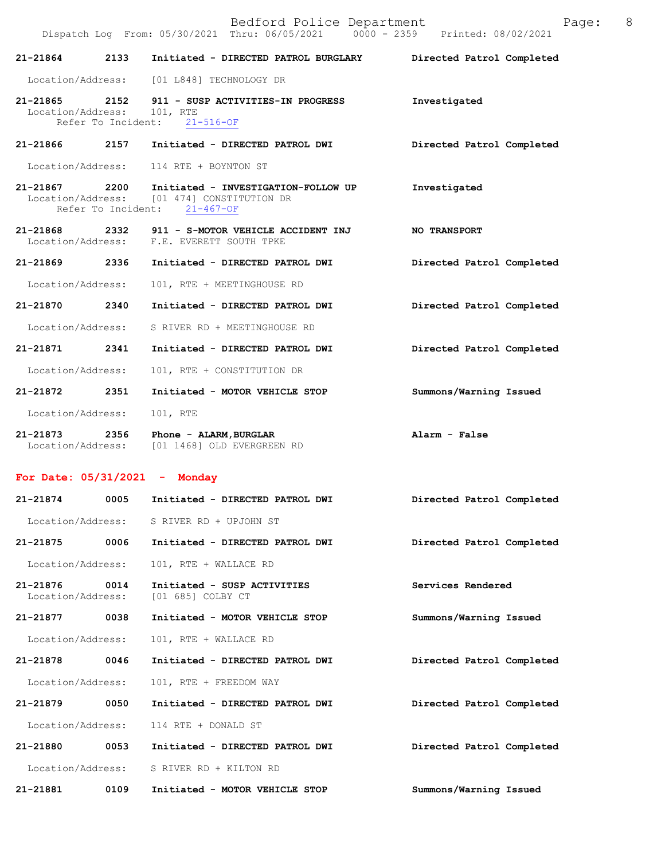|                                       | $\frac{1}{2}$ $\frac{1}{2}$ $\frac{1}{2}$ $\frac{1}{2}$ $\frac{1}{2}$ $\frac{1}{2}$ $\frac{1}{2}$ $\frac{1}{2}$ $\frac{1}{2}$ $\frac{1}{2}$ $\frac{1}{2}$ $\frac{1}{2}$ $\frac{1}{2}$ $\frac{1}{2}$ $\frac{1}{2}$ $\frac{1}{2}$ $\frac{1}{2}$ $\frac{1}{2}$ $\frac{1}{2}$ $\frac{1}{2}$ $\frac{1}{2}$ $\frac{1}{2}$<br>Dispatch Log From: 05/30/2021 Thru: 06/05/2021 0000 - 2359 Printed: 08/02/2021 |                           |
|---------------------------------------|-------------------------------------------------------------------------------------------------------------------------------------------------------------------------------------------------------------------------------------------------------------------------------------------------------------------------------------------------------------------------------------------------------|---------------------------|
| 21-21864 2133                         | Initiated - DIRECTED PATROL BURGLARY                                                                                                                                                                                                                                                                                                                                                                  | Directed Patrol Completed |
|                                       | Location/Address: [01 L848] TECHNOLOGY DR                                                                                                                                                                                                                                                                                                                                                             |                           |
| 21-21865 2152<br>Location/Address:    | 911 - SUSP ACTIVITIES-IN PROGRESS<br>101, RTE<br>Refer To Incident: 21-516-OF                                                                                                                                                                                                                                                                                                                         | Investigated              |
| 21-21866 2157                         | Initiated - DIRECTED PATROL DWI                                                                                                                                                                                                                                                                                                                                                                       | Directed Patrol Completed |
|                                       | Location/Address: 114 RTE + BOYNTON ST                                                                                                                                                                                                                                                                                                                                                                |                           |
| 21-21867 2200                         | Initiated - INVESTIGATION-FOLLOW UP<br>Location/Address: [01 474] CONSTITUTION DR<br>Refer To Incident: 21-467-OF                                                                                                                                                                                                                                                                                     | Investigated              |
| 21-21868 2332                         | 911 - S-MOTOR VEHICLE ACCIDENT INJ<br>Location/Address: F.E. EVERETT SOUTH TPKE                                                                                                                                                                                                                                                                                                                       | <b>NO TRANSPORT</b>       |
| 21-21869 2336                         | Initiated - DIRECTED PATROL DWI                                                                                                                                                                                                                                                                                                                                                                       | Directed Patrol Completed |
| Location/Address:                     | 101, RTE + MEETINGHOUSE RD                                                                                                                                                                                                                                                                                                                                                                            |                           |
| 21-21870 2340                         | Initiated - DIRECTED PATROL DWI                                                                                                                                                                                                                                                                                                                                                                       | Directed Patrol Completed |
|                                       | Location/Address: S RIVER RD + MEETINGHOUSE RD                                                                                                                                                                                                                                                                                                                                                        |                           |
| 21-21871 2341                         | Initiated - DIRECTED PATROL DWI                                                                                                                                                                                                                                                                                                                                                                       | Directed Patrol Completed |
| Location/Address:                     | 101, RTE + CONSTITUTION DR                                                                                                                                                                                                                                                                                                                                                                            |                           |
| 21-21872 2351                         | Initiated - MOTOR VEHICLE STOP                                                                                                                                                                                                                                                                                                                                                                        | Summons/Warning Issued    |
| Location/Address:                     | 101, RTE                                                                                                                                                                                                                                                                                                                                                                                              |                           |
| 21-21873 2356                         | Phone - ALARM, BURGLAR<br>Location/Address: [01 1468] OLD EVERGREEN RD                                                                                                                                                                                                                                                                                                                                | Alarm - False             |
| For Date: $05/31/2021$ - Monday       |                                                                                                                                                                                                                                                                                                                                                                                                       |                           |
| 21-21874 0005                         | Initiated - DIRECTED PATROL DWI                                                                                                                                                                                                                                                                                                                                                                       | Directed Patrol Completed |
| Location/Address:                     | S RIVER RD + UPJOHN ST                                                                                                                                                                                                                                                                                                                                                                                |                           |
| 21-21875<br>0006                      | Initiated - DIRECTED PATROL DWI                                                                                                                                                                                                                                                                                                                                                                       | Directed Patrol Completed |
| Location/Address:                     | 101, RTE + WALLACE RD                                                                                                                                                                                                                                                                                                                                                                                 |                           |
| 21-21876<br>0014<br>Location/Address: | Initiated - SUSP ACTIVITIES<br>[01 685] COLBY CT                                                                                                                                                                                                                                                                                                                                                      | Services Rendered         |
| 21-21877<br>0038                      | Initiated - MOTOR VEHICLE STOP                                                                                                                                                                                                                                                                                                                                                                        | Summons/Warning Issued    |
| Location/Address:                     | 101, RTE + WALLACE RD                                                                                                                                                                                                                                                                                                                                                                                 |                           |
| 21-21878<br>0046                      | Initiated - DIRECTED PATROL DWI                                                                                                                                                                                                                                                                                                                                                                       | Directed Patrol Completed |
| Location/Address:                     | 101, RTE + FREEDOM WAY                                                                                                                                                                                                                                                                                                                                                                                |                           |
| 21-21879<br>0050                      | Initiated - DIRECTED PATROL DWI                                                                                                                                                                                                                                                                                                                                                                       | Directed Patrol Completed |
| Location/Address:                     | 114 RTE + DONALD ST                                                                                                                                                                                                                                                                                                                                                                                   |                           |
| 21-21880<br>0053                      | Initiated - DIRECTED PATROL DWI                                                                                                                                                                                                                                                                                                                                                                       | Directed Patrol Completed |
| Location/Address:                     | S RIVER RD + KILTON RD                                                                                                                                                                                                                                                                                                                                                                                |                           |
| 21-21881<br>0109                      | Initiated - MOTOR VEHICLE STOP                                                                                                                                                                                                                                                                                                                                                                        | Summons/Warning Issued    |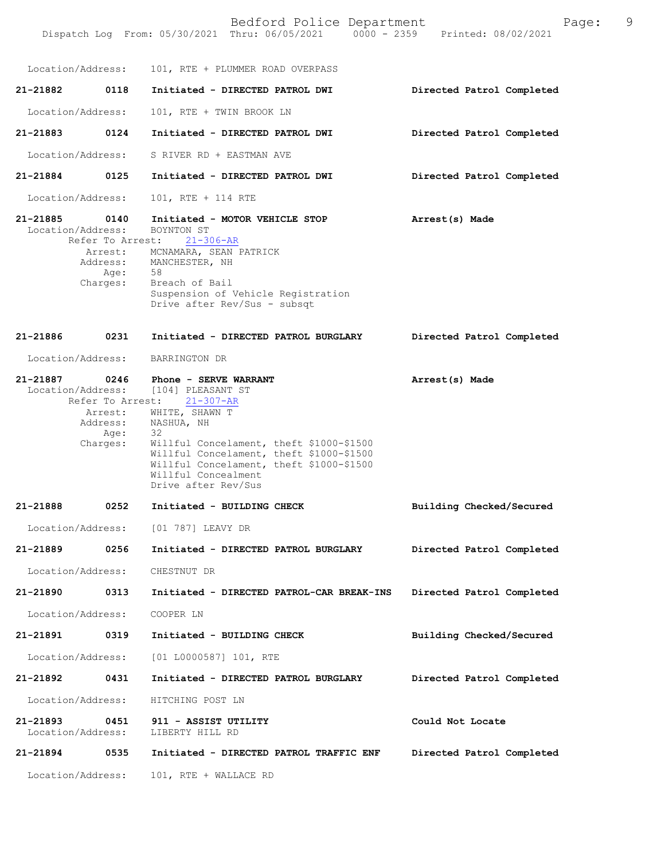Bedford Police Department Page: 9 Dispatch Log From: 05/30/2021 Thru: 06/05/2021 Location/Address: 101, RTE + PLUMMER ROAD OVERPASS **21-21882 0118 Initiated - DIRECTED PATROL DWI Directed Patrol Completed**  Location/Address: 101, RTE + TWIN BROOK LN **21-21883 0124 Initiated - DIRECTED PATROL DWI Directed Patrol Completed**  Location/Address: S RIVER RD + EASTMAN AVE **21-21884 0125 Initiated - DIRECTED PATROL DWI Directed Patrol Completed**  Location/Address: 101, RTE + 114 RTE **21-21885 0140 Initiated - MOTOR VEHICLE STOP Arrest(s) Made**  Location/Address: BOYNTON ST Refer To Arrest: 21-306-AR **Directed Patrol Completed 21-21887 0246 Phone - SERVE WARRANT Arrest(s) Made**  Location/Address: [104] PLEASANT ST<br>Refer To Arrest: 21-307-AR Refer To Arrest: **Building Checked/Secured Directed Patrol Completed Directed Patrol Completed Building Checked/Secured Directed Patrol Completed Could Not Locate Directed Patrol Completed 21-21894 0535 Initiated - DIRECTED PATROL TRAFFIC ENF** Arrest: MCNAMARA, SEAN PATRICK Address: MANCHESTER, NH<br>Age: 58 Age: Charges: Breach of Bail Suspension of Vehicle Registration Drive after Rev/Sus - subsqt **21-21886 0231 Initiated - DIRECTED PATROL BURGLARY** Location/Address: BARRINGTON DR Arrest: WHITE, SHAWN T Address: NASHUA, NH Age: 32 Charges: Willful Concelament, theft \$1000-\$1500 Willful Concelament, theft \$1000-\$1500 Willful Concelament, theft \$1000-\$1500 Willful Concealment Drive after Rev/Sus **21-21888 0252 Initiated - BUILDING CHECK** Location/Address: [01 787] LEAVY DR **21-21889 0256 Initiated - DIRECTED PATROL BURGLARY** Location/Address: CHESTNUT DR **21-21890 0313 Initiated - DIRECTED PATROL-CAR BREAK-INS** Location/Address: COOPER LN **21-21891 0319 Initiated - BUILDING CHECK** Location/Address: [01 L0000587] 101, RTE **21-21892 0431 Initiated - DIRECTED PATROL BURGLARY** Location/Address: HITCHING POST LN **21-21893 0451 911 - ASSIST UTILITY** Location/Address: LIBERTY HILL RD Location/Address: 101, RTE + WALLACE RD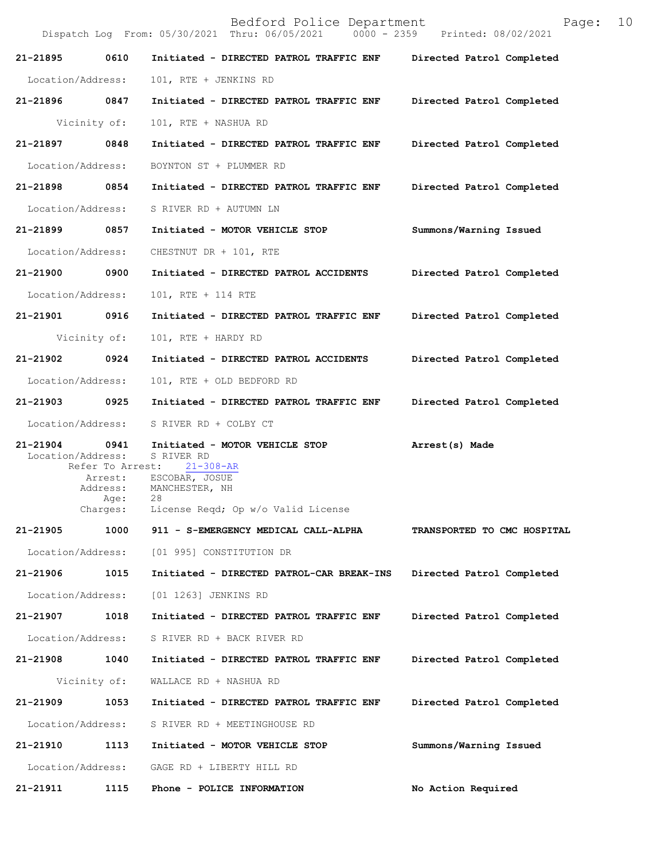Bedford Police Department Page: 10 Dispatch Log From: 05/30/2021 Thru: 06/05/2021 **21-21895 0610 Initiated - DIRECTED PATROL TRAFFIC ENF Directed Patrol Completed**  Location/Address: 101, RTE + JENKINS RD **21-21896 0847 Initiated - DIRECTED PATROL TRAFFIC ENF Directed Patrol Completed**  Vicinity of: 101, RTE + NASHUA RD **21-21897 0848 Initiated - DIRECTED PATROL TRAFFIC ENF Directed Patrol Completed**  Location/Address: BOYNTON ST + PLUMMER RD **21-21898 0854 Initiated - DIRECTED PATROL TRAFFIC ENF Directed Patrol Completed**  Location/Address: S RIVER RD + AUTUMN LN **21-21899 0857 Initiated - MOTOR VEHICLE STOP Summons/Warning Issued**  Location/Address: CHESTNUT DR + 101, RTE **21-21900 0900 Initiated - DIRECTED PATROL ACCIDENTS Directed Patrol Completed**  Location/Address: 101, RTE + 114 RTE **21-21901 0916 Initiated - DIRECTED PATROL TRAFFIC ENF Directed Patrol Completed**  Vicinity of: 101, RTE + HARDY RD **21-21902 0924 Initiated - DIRECTED PATROL ACCIDENTS Directed Patrol Completed**  Location/Address: 101, RTE + OLD BEDFORD RD **21-21903 0925 Initiated - DIRECTED PATROL TRAFFIC ENF Directed Patrol Completed**  Location/Address: S RIVER RD + COLBY CT **21-21904 0941 Initiated - MOTOR VEHICLE STOP Arrest(s) Made**  Location/Address: S RIVER RD<br>Refer To Arrest: 21-308-AR Refer To Arrest: Arrest: ESCOBAR, JOSUE<br>Address: MANCHESTER, NH MANCHESTER, NH Age: 28 Charges: License Reqd; Op w/o Valid License **21-21905 1000 911 - S-EMERGENCY MEDICAL CALL-ALPHA TRANSPORTED TO CMC HOSPITAL** Location/Address: [01 995] CONSTITUTION DR **21-21906 1015 Initiated - DIRECTED PATROL-CAR BREAK-INS Directed Patrol Completed** Location/Address: [01 1263] JENKINS RD **21-21907 1018 Initiated - DIRECTED PATROL TRAFFIC ENF Directed Patrol Completed** Location/Address: S RIVER RD + BACK RIVER RD **21-21908 1040 Initiated - DIRECTED PATROL TRAFFIC ENF Directed Patrol Completed** Vicinity of: WALLACE RD + NASHUA RD **21-21909 1053 Initiated - DIRECTED PATROL TRAFFIC ENF Directed Patrol Completed** Location/Address: S RIVER RD + MEETINGHOUSE RD **21-21910 1113 Initiated - MOTOR VEHICLE STOP Summons/Warning Issued** Location/Address: GAGE RD + LIBERTY HILL RD **21-21911 1115 Phone - POLICE INFORMATION No Action Required**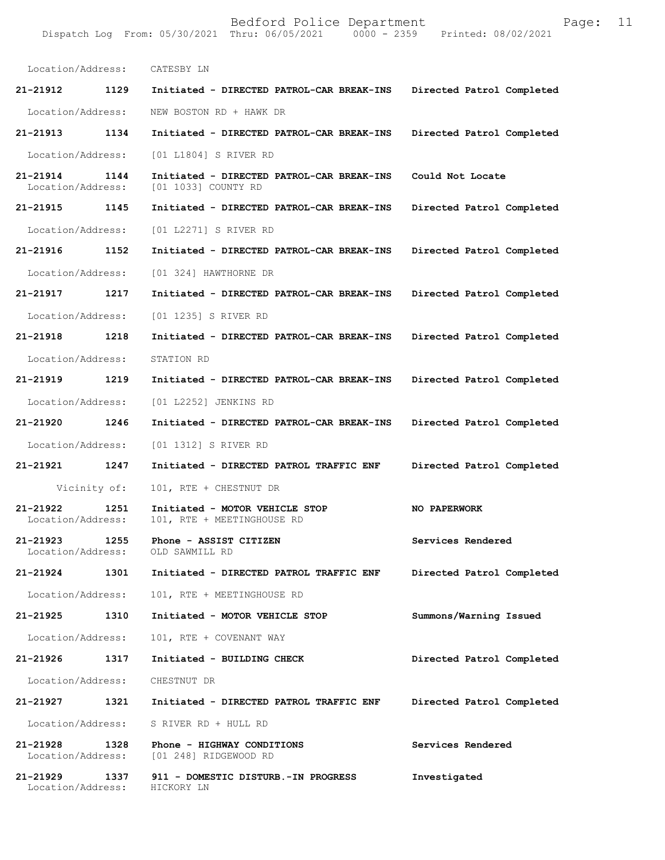Location/Address: CATESBY LN **21-21912 1129 Initiated - DIRECTED PATROL-CAR BREAK-INS Directed Patrol Completed**  Location/Address: NEW BOSTON RD + HAWK DR **21-21913 1134 Initiated - DIRECTED PATROL-CAR BREAK-INS Directed Patrol Completed**  Location/Address: [01 L1804] S RIVER RD **21-21914 1144 Initiated - DIRECTED PATROL-CAR BREAK-INS Could Not Locate**  Location/Address: [01 1033] COUNTY RD **21-21915 1145 Initiated - DIRECTED PATROL-CAR BREAK-INS Directed Patrol Completed**  Location/Address: [01 L2271] S RIVER RD **21-21916 1152 Initiated - DIRECTED PATROL-CAR BREAK-INS Directed Patrol Completed**  Location/Address: [01 324] HAWTHORNE DR **21-21917 1217 Initiated - DIRECTED PATROL-CAR BREAK-INS Directed Patrol Completed**  Location/Address: [01 1235] S RIVER RD **21-21918 1218 Initiated - DIRECTED PATROL-CAR BREAK-INS Directed Patrol Completed**  Location/Address: STATION RD **21-21919 1219 Initiated - DIRECTED PATROL-CAR BREAK-INS Directed Patrol Completed**  Location/Address: [01 L2252] JENKINS RD **21-21920 1246 Initiated - DIRECTED PATROL-CAR BREAK-INS Directed Patrol Completed**  Location/Address: [01 1312] S RIVER RD **21-21921 1247 Initiated - DIRECTED PATROL TRAFFIC ENF Directed Patrol Completed**  Vicinity of: 101, RTE + CHESTNUT DR **21-21922 1251 Initiated - MOTOR VEHICLE STOP NO PAPERWORK**  Location/Address: 101, RTE + MEETINGHOUSE RD 21-21923 1255 **Phone - ASSIST CITIZEN 1255** Services Rendered **Services** Rendered **Iocation/Address:** OLD SAWMILL RD Location/Address: **21-21924 1301 Initiated - DIRECTED PATROL TRAFFIC ENF Directed Patrol Completed**  Location/Address: 101, RTE + MEETINGHOUSE RD **21-21925 1310 Initiated - MOTOR VEHICLE STOP Summons/Warning Issued**  Location/Address: 101, RTE + COVENANT WAY **21-21926 1317 Initiated - BUILDING CHECK Directed Patrol Completed**  Location/Address: CHESTNUT DR **21-21927 1321 Initiated - DIRECTED PATROL TRAFFIC ENF Directed Patrol Completed**  Location/Address: S RIVER RD + HULL RD **21-21928 1328 Phone - HIGHWAY CONDITIONS Services Rendered**  Location/Address: [01 248] RIDGEWOOD RD **21-21929 1337 911 - DOMESTIC DISTURB.-IN PROGRESS Investigated**  Location/Address: HICKORY LN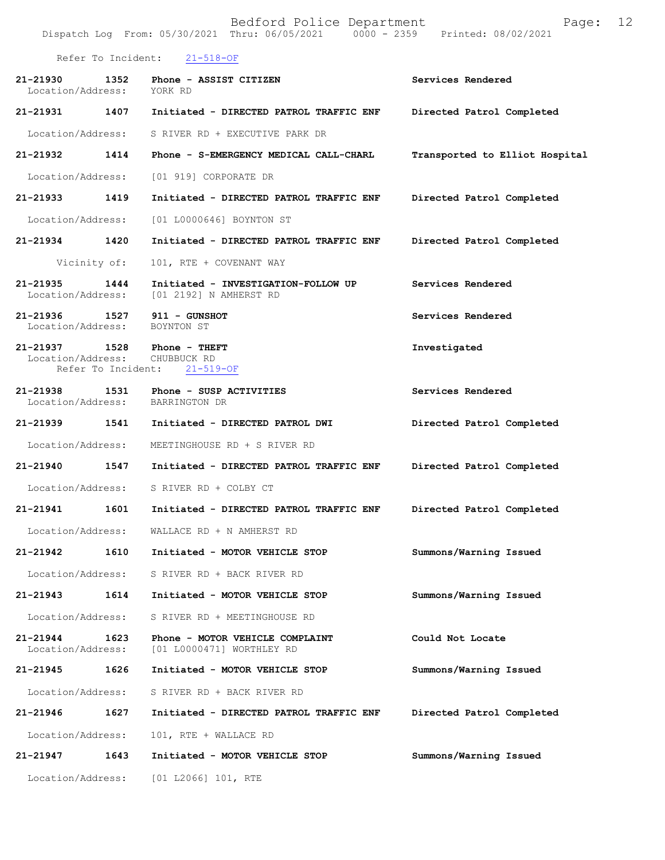Bedford Police Department Page: 12 Dispatch Log From: 05/30/2021 Thru: 06/05/2021 Refer To Incident: 21-518-OF **21-21930 1352 Phone - ASSIST CITIZEN Services Rendered**  Location/Address: YORK RD **21-21931 1407 Initiated - DIRECTED PATROL TRAFFIC ENF Directed Patrol Completed**  Location/Address: S RIVER RD + EXECUTIVE PARK DR **21-21932 1414 Phone - S-EMERGENCY MEDICAL CALL-CHARL Transported to Elliot Hospital** Location/Address: [01 919] CORPORATE DR **21-21933 1419 Initiated - DIRECTED PATROL TRAFFIC ENF Directed Patrol Completed**  Location/Address: [01 L0000646] BOYNTON ST **21-21934 1420 Initiated - DIRECTED PATROL TRAFFIC ENF Directed Patrol Completed**  Vicinity of: 101, RTE + COVENANT WAY **21-21935 1444 Initiated - INVESTIGATION-FOLLOW UP Services Rendered**  Location/Address: [01 2192] N AMHERST RD **21-21936 1527 911 - GUNSHOT Services Rendered**  Location/Address: BOYNTON ST **21-21937 1528 Phone - THEFT 121-21937 Investigated Investigated Investigated** Location/Address: Refer To Incident: 21-519-OF **21-21938 1531 Phone - SUSP ACTIVITIES Services Rendered**  Location/Address: **21-21939 1541 Initiated - DIRECTED PATROL DWI Directed Patrol Completed**  Location/Address: MEETINGHOUSE RD + S RIVER RD **21-21940 1547 Initiated - DIRECTED PATROL TRAFFIC ENF Directed Patrol Completed**  Location/Address: S RIVER RD + COLBY CT **21-21941 1601 Initiated - DIRECTED PATROL TRAFFIC ENF Directed Patrol Completed**  Location/Address: WALLACE RD + N AMHERST RD **21-21942 1610 Initiated - MOTOR VEHICLE STOP Summons/Warning Issued**  Location/Address: S RIVER RD + BACK RIVER RD **21-21943 1614 Initiated - MOTOR VEHICLE STOP Summons/Warning Issued**  Location/Address: S RIVER RD + MEETINGHOUSE RD **21-21944 1623 Phone - MOTOR VEHICLE COMPLAINT Could Not Locate**  [01 L0000471] WORTHLEY RD **21-21945 1626 Initiated - MOTOR VEHICLE STOP Summons/Warning Issued**  Location/Address: S RIVER RD + BACK RIVER RD **21-21946 1627 Initiated - DIRECTED PATROL TRAFFIC ENF Directed Patrol Completed**  Location/Address: 101, RTE + WALLACE RD **21-21947 1643 Initiated - MOTOR VEHICLE STOP Summons/Warning Issued**  Location/Address: [01 L2066] 101, RTE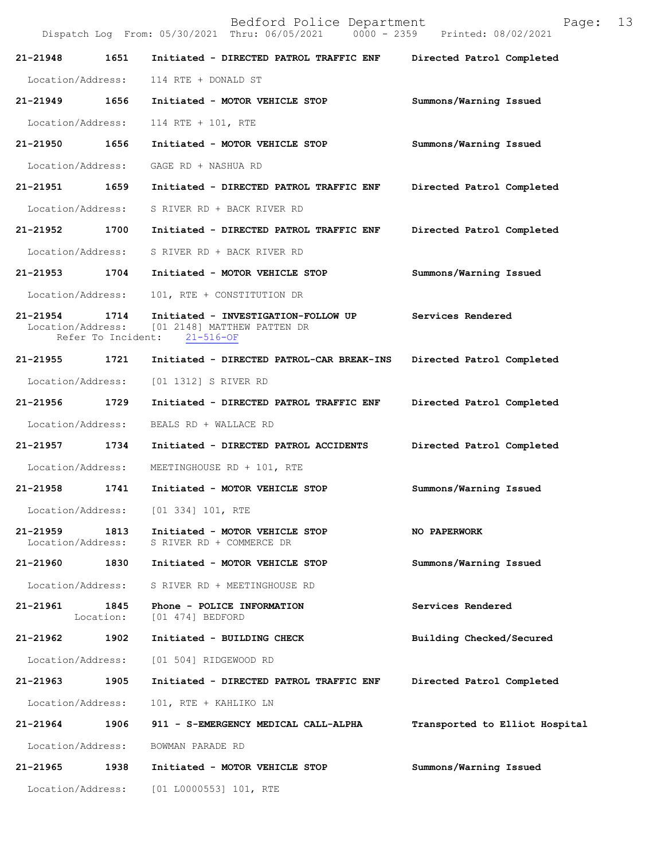|                                   |                            | Dispatch Log From: 05/30/2021 Thru: 06/05/2021<br>$0000 - 2359$                       | Printed: 08/02/2021            |
|-----------------------------------|----------------------------|---------------------------------------------------------------------------------------|--------------------------------|
| 21-21948                          | 1651                       | Initiated - DIRECTED PATROL TRAFFIC ENF                                               | Directed Patrol Completed      |
| Location/Address:                 |                            | 114 RTE + DONALD ST                                                                   |                                |
| 21-21949                          | 1656                       | Initiated - MOTOR VEHICLE STOP                                                        | Summons/Warning Issued         |
| Location/Address:                 |                            | 114 RTE + 101, RTE                                                                    |                                |
| 21-21950                          | 1656                       | Initiated - MOTOR VEHICLE STOP                                                        | Summons/Warning Issued         |
| Location/Address:                 |                            | GAGE RD + NASHUA RD                                                                   |                                |
| 21-21951                          | 1659                       | Initiated - DIRECTED PATROL TRAFFIC ENF                                               | Directed Patrol Completed      |
| Location/Address:                 |                            | S RIVER RD + BACK RIVER RD                                                            |                                |
| 21-21952                          | 1700                       | Initiated - DIRECTED PATROL TRAFFIC ENF                                               | Directed Patrol Completed      |
| Location/Address:                 |                            | S RIVER RD + BACK RIVER RD                                                            |                                |
| 21-21953                          | 1704                       | Initiated - MOTOR VEHICLE STOP                                                        | Summons/Warning Issued         |
| Location/Address:                 |                            | 101, RTE + CONSTITUTION DR                                                            |                                |
| $21 - 21954$<br>Location/Address: | 1714<br>Refer To Incident: | Initiated - INVESTIGATION-FOLLOW UP<br>[01 2148] MATTHEW PATTEN DR<br>$21 - 516 - OF$ | Services Rendered              |
| 21-21955                          | 1721                       | Initiated - DIRECTED PATROL-CAR BREAK-INS                                             | Directed Patrol Completed      |
| Location/Address:                 |                            | [01 1312] S RIVER RD                                                                  |                                |
| 21-21956                          | 1729                       | Initiated - DIRECTED PATROL TRAFFIC ENF                                               | Directed Patrol Completed      |
| Location/Address:                 |                            | BEALS RD + WALLACE RD                                                                 |                                |
| 21-21957                          | 1734                       | Initiated - DIRECTED PATROL ACCIDENTS                                                 | Directed Patrol Completed      |
| Location/Address:                 |                            | MEETINGHOUSE RD + 101, RTE                                                            |                                |
| 21-21958                          | 1741                       | Initiated - MOTOR VEHICLE STOP                                                        | Summons/Warning Issued         |
| Location/Address:                 |                            | [01 334] 101, RTE                                                                     |                                |
| 21-21959<br>Location/Address:     | 1813                       | Initiated - MOTOR VEHICLE STOP<br>S RIVER RD + COMMERCE DR                            | NO PAPERWORK                   |
| 21-21960                          | 1830                       | Initiated - MOTOR VEHICLE STOP                                                        | Summons/Warning Issued         |
| Location/Address:                 |                            | S RIVER RD + MEETINGHOUSE RD                                                          |                                |
| 21-21961                          | 1845<br>Location:          | Phone - POLICE INFORMATION<br>[01 474] BEDFORD                                        | Services Rendered              |
| 21-21962                          | 1902                       | Initiated - BUILDING CHECK                                                            | Building Checked/Secured       |
|                                   |                            | Location/Address: [01 504] RIDGEWOOD RD                                               |                                |
| 21-21963                          | 1905                       | Initiated - DIRECTED PATROL TRAFFIC ENF                                               | Directed Patrol Completed      |
| Location/Address:                 |                            | 101, RTE + KAHLIKO LN                                                                 |                                |
| 21-21964                          | 1906                       | 911 - S-EMERGENCY MEDICAL CALL-ALPHA                                                  | Transported to Elliot Hospital |
| Location/Address:                 |                            | BOWMAN PARADE RD                                                                      |                                |
| 21-21965                          | 1938                       | Initiated - MOTOR VEHICLE STOP                                                        | Summons/Warning Issued         |
| Location/Address:                 |                            | [01 L0000553] 101, RTE                                                                |                                |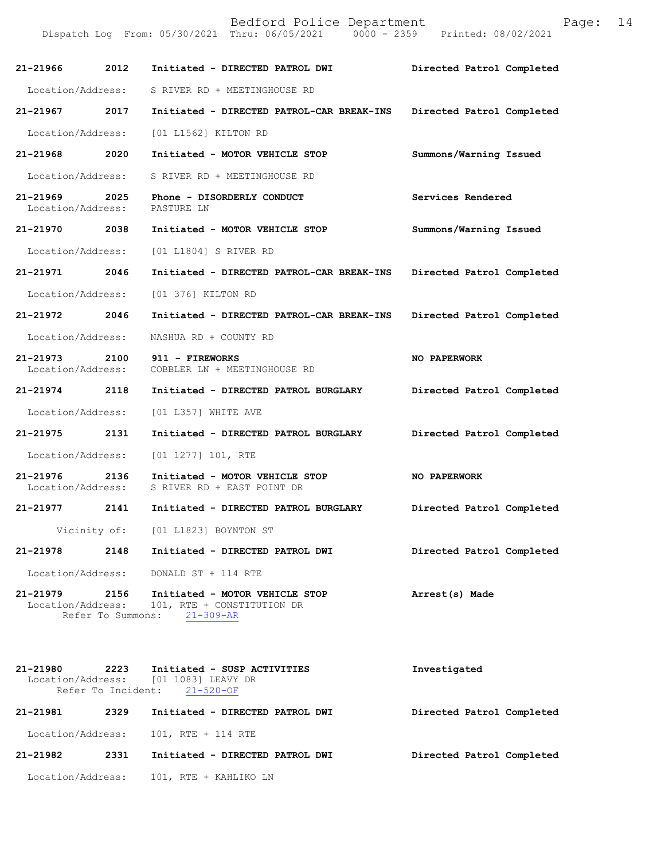| 21-21966 2012                      |      | Initiated - DIRECTED PATROL DWI                                                                                             | Directed Patrol Completed |
|------------------------------------|------|-----------------------------------------------------------------------------------------------------------------------------|---------------------------|
| Location/Address:                  |      | S RIVER RD + MEETINGHOUSE RD                                                                                                |                           |
| 21-21967 2017                      |      | Initiated - DIRECTED PATROL-CAR BREAK-INS                                                                                   | Directed Patrol Completed |
| Location/Address:                  |      | [01 L1562] KILTON RD                                                                                                        |                           |
| 21-21968 2020                      |      | Initiated - MOTOR VEHICLE STOP                                                                                              | Summons/Warning Issued    |
| Location/Address:                  |      | S RIVER RD + MEETINGHOUSE RD                                                                                                |                           |
| 21-21969<br>Location/Address:      | 2025 | Phone - DISORDERLY CONDUCT<br>PASTURE LN                                                                                    | Services Rendered         |
| 21-21970 2038                      |      | Initiated - MOTOR VEHICLE STOP                                                                                              | Summons/Warning Issued    |
| Location/Address:                  |      | [01 L1804] S RIVER RD                                                                                                       |                           |
| 21-21971 2046                      |      | Initiated - DIRECTED PATROL-CAR BREAK-INS                                                                                   | Directed Patrol Completed |
| Location/Address:                  |      | [01 376] KILTON RD                                                                                                          |                           |
| 21-21972 2046                      |      | Initiated - DIRECTED PATROL-CAR BREAK-INS                                                                                   | Directed Patrol Completed |
| Location/Address:                  |      | NASHUA RD + COUNTY RD                                                                                                       |                           |
| 21-21973 2100<br>Location/Address: |      | 911 - FIREWORKS<br>COBBLER LN + MEETINGHOUSE RD                                                                             | NO PAPERWORK              |
| 21-21974 2118                      |      | Initiated - DIRECTED PATROL BURGLARY                                                                                        | Directed Patrol Completed |
| Location/Address:                  |      | [01 L357] WHITE AVE                                                                                                         |                           |
| 21-21975 2131                      |      | Initiated - DIRECTED PATROL BURGLARY                                                                                        | Directed Patrol Completed |
| Location/Address:                  |      | $[01 1277] 101$ , RTE                                                                                                       |                           |
| 21-21976 2136                      |      | Initiated - MOTOR VEHICLE STOP<br>Location/Address: S RIVER RD + EAST POINT DR                                              | <b>NO PAPERWORK</b>       |
| 21-21977 2141                      |      | Initiated - DIRECTED PATROL BURGLARY                                                                                        | Directed Patrol Completed |
|                                    |      | Vicinity of: [01 L1823] BOYNTON ST                                                                                          |                           |
| 21-21978                           | 2148 | Initiated - DIRECTED PATROL DWI                                                                                             | Directed Patrol Completed |
|                                    |      | Location/Address: DONALD ST + 114 RTE                                                                                       |                           |
|                                    |      | 21-21979 2156 Initiated - MOTOR VEHICLE STOP<br>Location/Address: 101, RTE + CONSTITUTION DR<br>Refer To Summons: 21-309-AR | Arrest(s) Made            |
|                                    |      |                                                                                                                             |                           |

**21-21980 2223 Initiated - SUSP ACTIVITIES Investigated**  Location/Address: [01 1083] LEAVY DR Refer To Incident: 21-520-OF **21-21981 2329 Initiated - DIRECTED PATROL DWI Directed Patrol Completed**  Location/Address: 101, RTE + 114 RTE **21-21982 2331 Initiated - DIRECTED PATROL DWI Directed Patrol Completed**  Location/Address: 101, RTE + KAHLIKO LN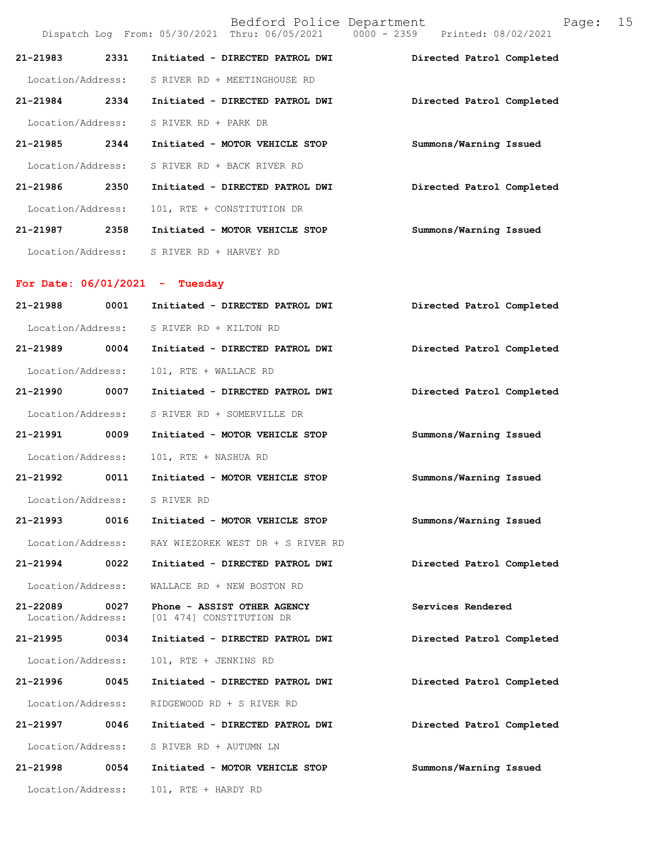Bedford Police Department Page: 15 Dispatch Log From: 05/30/2021 Thru: 06/05/2021 **21-21983 2331 Initiated - DIRECTED PATROL DWI Directed Patrol Completed**  Location/Address: S RIVER RD + MEETINGHOUSE RD **21-21984 2334 Initiated - DIRECTED PATROL DWI Directed Patrol Completed**  Location/Address: S RIVER RD + PARK DR **21-21985 2344 Initiated - MOTOR VEHICLE STOP Summons/Warning Issued**  Location/Address: S RIVER RD + BACK RIVER RD **21-21986 2350 Initiated - DIRECTED PATROL DWI Directed Patrol Completed**  Location/Address: 101, RTE + CONSTITUTION DR **21-21987 2358 Initiated - MOTOR VEHICLE STOP Summons/Warning Issued**  Location/Address: S RIVER RD + HARVEY RD **For Date: 06/01/2021 - Tuesday 21-21988 0001 Initiated - DIRECTED PATROL DWI Directed Patrol Completed**  Location/Address: S RIVER RD + KILTON RD **21-21989 0004 Initiated - DIRECTED PATROL DWI Directed Patrol Completed**  Location/Address: 101, RTE + WALLACE RD **21-21990 0007 Initiated - DIRECTED PATROL DWI Directed Patrol Completed**  Location/Address: S RIVER RD + SOMERVILLE DR **21-21991 0009 Initiated - MOTOR VEHICLE STOP Summons/Warning Issued**  Location/Address: 101, RTE + NASHUA RD **21-21992 0011 Initiated - MOTOR VEHICLE STOP Summons/Warning Issued**  Location/Address: S RIVER RD **21-21993 0016 Initiated - MOTOR VEHICLE STOP Summons/Warning Issued**  Location/Address: RAY WIEZOREK WEST DR + S RIVER RD **21-21994 0022 Initiated - DIRECTED PATROL DWI Directed Patrol Completed**  Location/Address: WALLACE RD + NEW BOSTON RD **21-22089 0027 Phone - ASSIST OTHER AGENCY Services Rendered**  [01 474] CONSTITUTION DR **21-21995 0034 Initiated - DIRECTED PATROL DWI Directed Patrol Completed**  Location/Address: 101, RTE + JENKINS RD **21-21996 0045 Initiated - DIRECTED PATROL DWI Directed Patrol Completed**  Location/Address: RIDGEWOOD RD + S RIVER RD **21-21997 0046 Initiated - DIRECTED PATROL DWI Directed Patrol Completed**  Location/Address: S RIVER RD + AUTUMN LN **21-21998 0054 Initiated - MOTOR VEHICLE STOP Summons/Warning Issued**  Location/Address: 101, RTE + HARDY RD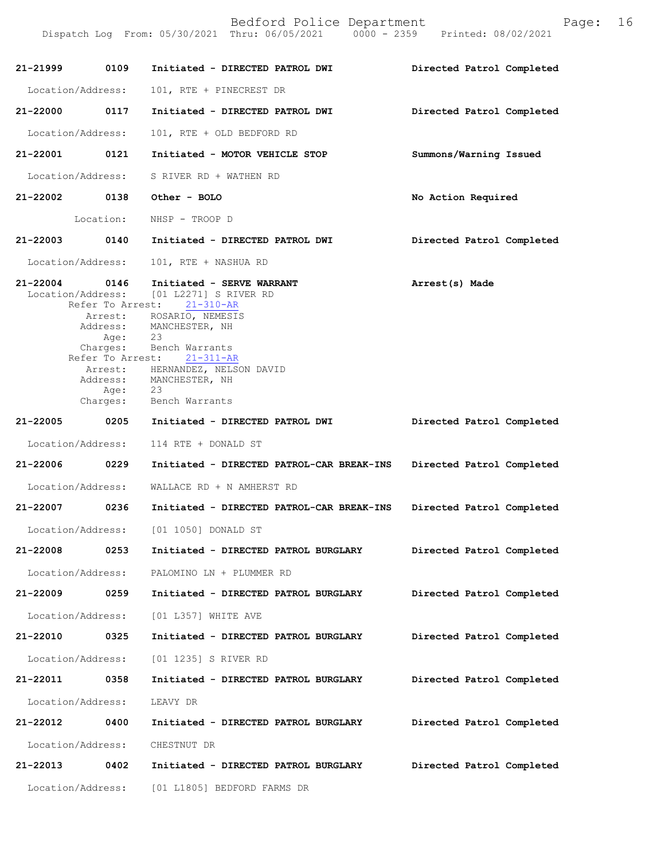| 21-21999 0109     |           | Initiated - DIRECTED PATROL DWI                                                                    | Directed Patrol Completed |
|-------------------|-----------|----------------------------------------------------------------------------------------------------|---------------------------|
| Location/Address: |           | 101, RTE + PINECREST DR                                                                            |                           |
| 21-22000          | 0117      | Initiated - DIRECTED PATROL DWI                                                                    | Directed Patrol Completed |
| Location/Address: |           | 101, RTE + OLD BEDFORD RD                                                                          |                           |
| 21-22001 0121     |           | Initiated - MOTOR VEHICLE STOP                                                                     | Summons/Warning Issued    |
| Location/Address: |           | S RIVER RD + WATHEN RD                                                                             |                           |
|                   |           | 21-22002 0138 Other - BOLO                                                                         | No Action Required        |
|                   | Location: | NHSP - TROOP D                                                                                     |                           |
| 21-22003          |           | 0140 Initiated - DIRECTED PATROL DWI                                                               | Directed Patrol Completed |
| Location/Address: |           | 101, RTE + NASHUA RD                                                                               |                           |
| 21-22004 0146     |           | Initiated - SERVE WARRANT<br>Location/Address: [01 L2271] S RIVER RD<br>Refer To Arrest: 21-310-AR | Arrest(s) Made            |
|                   | Age: 23   | Arrest: ROSARIO, NEMESIS<br>Address: MANCHESTER, NH<br>Charges: Bench Warrants                     |                           |
|                   |           | Refer To Arrest: 21-311-AR<br>Arrest: HERNANDEZ, NELSON DAVID                                      |                           |
|                   | Age: 23   | Address: MANCHESTER, NH<br>Charges: Bench Warrants                                                 |                           |
| 21-22005 0205     |           | Initiated - DIRECTED PATROL DWI                                                                    | Directed Patrol Completed |
| Location/Address: |           | 114 RTE + DONALD ST                                                                                |                           |
| 21-22006 0229     |           | Initiated - DIRECTED PATROL-CAR BREAK-INS                                                          | Directed Patrol Completed |
| Location/Address: |           | WALLACE RD + N AMHERST RD                                                                          |                           |
| 21-22007 0236     |           | Initiated - DIRECTED PATROL-CAR BREAK-INS                                                          | Directed Patrol Completed |
|                   |           | Location/Address: [01 1050] DONALD ST                                                              |                           |
| 21-22008          | 0253      | Initiated - DIRECTED PATROL BURGLARY                                                               | Directed Patrol Completed |
| Location/Address: |           | PALOMINO LN + PLUMMER RD                                                                           |                           |
| 21-22009          | 0259      | Initiated - DIRECTED PATROL BURGLARY                                                               | Directed Patrol Completed |
| Location/Address: |           | [01 L357] WHITE AVE                                                                                |                           |
| 21-22010          | 0325      | Initiated - DIRECTED PATROL BURGLARY                                                               | Directed Patrol Completed |
| Location/Address: |           | [01 1235] S RIVER RD                                                                               |                           |
| 21-22011          | 0358      | Initiated - DIRECTED PATROL BURGLARY                                                               | Directed Patrol Completed |
| Location/Address: |           | LEAVY DR                                                                                           |                           |
| 21-22012          | 0400      | Initiated - DIRECTED PATROL BURGLARY                                                               | Directed Patrol Completed |
| Location/Address: |           | CHESTNUT DR                                                                                        |                           |
| 21-22013          | 0402      | Initiated - DIRECTED PATROL BURGLARY                                                               | Directed Patrol Completed |
|                   |           | Location/Address: [01 L1805] BEDFORD FARMS DR                                                      |                           |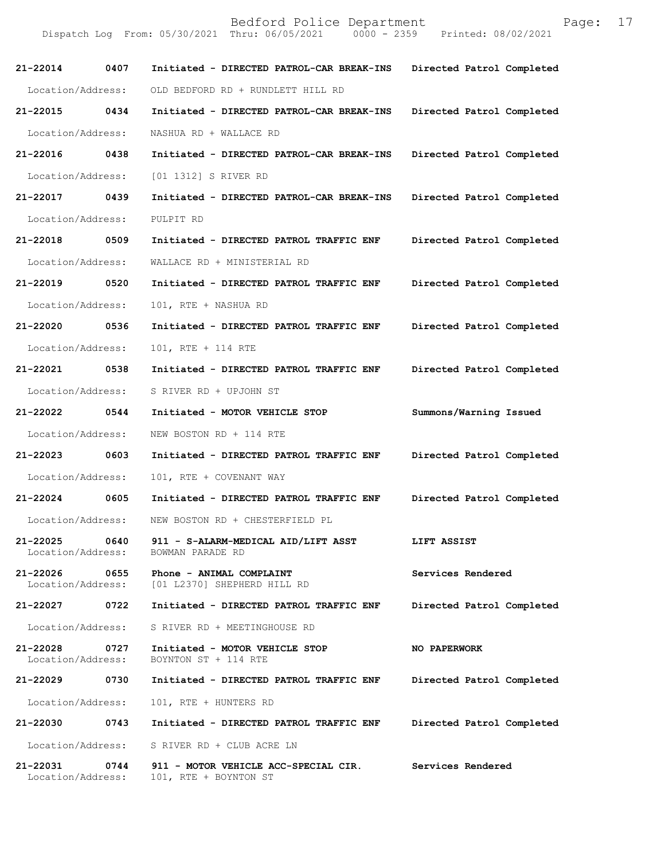| 21-22014 0407                 |      | Initiated - DIRECTED PATROL-CAR BREAK-INS                                               | Directed Patrol Completed |
|-------------------------------|------|-----------------------------------------------------------------------------------------|---------------------------|
| Location/Address:             |      | OLD BEDFORD RD + RUNDLETT HILL RD                                                       |                           |
| 21-22015 0434                 |      | Initiated - DIRECTED PATROL-CAR BREAK-INS                                               | Directed Patrol Completed |
| Location/Address:             |      | NASHUA RD + WALLACE RD                                                                  |                           |
| 21-22016 0438                 |      | Initiated - DIRECTED PATROL-CAR BREAK-INS                                               | Directed Patrol Completed |
| Location/Address:             |      | [01 1312] S RIVER RD                                                                    |                           |
| 21-22017 0439                 |      | Initiated - DIRECTED PATROL-CAR BREAK-INS                                               | Directed Patrol Completed |
| Location/Address:             |      | PULPIT RD                                                                               |                           |
| 21-22018 0509                 |      | Initiated - DIRECTED PATROL TRAFFIC ENF                                                 | Directed Patrol Completed |
| Location/Address:             |      | WALLACE RD + MINISTERIAL RD                                                             |                           |
| 21-22019 0520                 |      | Initiated - DIRECTED PATROL TRAFFIC ENF                                                 | Directed Patrol Completed |
| Location/Address:             |      | 101, RTE + NASHUA RD                                                                    |                           |
| 21-22020 0536                 |      | Initiated - DIRECTED PATROL TRAFFIC ENF                                                 | Directed Patrol Completed |
| Location/Address:             |      | 101, RTE + 114 RTE                                                                      |                           |
| 21-22021 0538                 |      | Initiated - DIRECTED PATROL TRAFFIC ENF                                                 | Directed Patrol Completed |
| Location/Address:             |      | S RIVER RD + UPJOHN ST                                                                  |                           |
| 21-22022 0544                 |      | Initiated - MOTOR VEHICLE STOP                                                          | Summons/Warning Issued    |
| Location/Address:             |      | NEW BOSTON RD + 114 RTE                                                                 |                           |
| 21-22023 0603                 |      | Initiated - DIRECTED PATROL TRAFFIC ENF                                                 | Directed Patrol Completed |
| Location/Address:             |      | 101, RTE + COVENANT WAY                                                                 |                           |
| 21-22024                      | 0605 | Initiated - DIRECTED PATROL TRAFFIC ENF                                                 | Directed Patrol Completed |
| Location/Address:             |      | NEW BOSTON RD + CHESTERFIELD PL                                                         |                           |
| 21-22025<br>Location/Address: | 0640 | 911 - S-ALARM-MEDICAL AID/LIFT ASST<br>BOWMAN PARADE RD                                 | LIFT ASSIST               |
| 21-22026                      |      | 21-22026 0655 Phone - ANIMAL COMPLAINT<br>Location/Address: [01 L2370] SHEPHERD HILL RD | Services Rendered         |
| 21-22027 0722                 |      | Initiated - DIRECTED PATROL TRAFFIC ENF                                                 | Directed Patrol Completed |
| Location/Address:             |      | S RIVER RD + MEETINGHOUSE RD                                                            |                           |
| 21-22028<br>Location/Address: | 0727 | Initiated - MOTOR VEHICLE STOP<br>BOYNTON ST + 114 RTE                                  | <b>NO PAPERWORK</b>       |
| 21-22029                      | 0730 | Initiated - DIRECTED PATROL TRAFFIC ENF                                                 | Directed Patrol Completed |
| Location/Address:             |      | 101, RTE + HUNTERS RD                                                                   |                           |
| 21-22030 0743                 |      | Initiated - DIRECTED PATROL TRAFFIC ENF                                                 | Directed Patrol Completed |
| Location/Address:             |      | S RIVER RD + CLUB ACRE LN                                                               |                           |
| 21-22031<br>Location/Address: | 0744 | 911 - MOTOR VEHICLE ACC-SPECIAL CIR.<br>101, RTE + BOYNTON ST                           | Services Rendered         |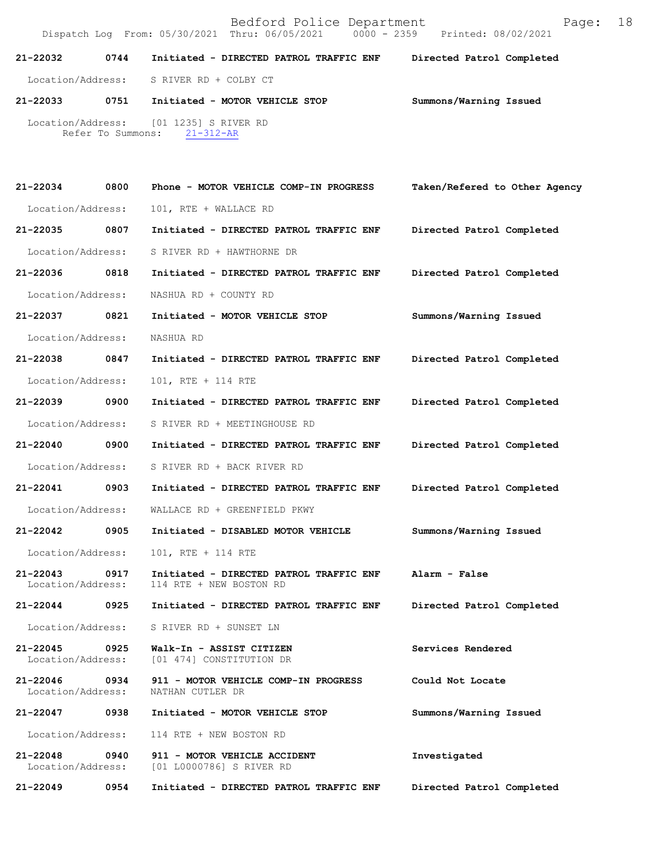| 21-22032          | 0744 | Initiated - DIRECTED PATROL TRAFFIC ENF                               | Directed Patrol Completed |  |
|-------------------|------|-----------------------------------------------------------------------|---------------------------|--|
| Location/Address: |      | S RIVER RD + COLBY CT                                                 |                           |  |
| 21-22033          | 0751 | Initiated - MOTOR VEHICLE STOP                                        | Summons/Warning Issued    |  |
|                   |      | Location/Address: [01 1235] S RIVER RD<br>Refer To Summons: 21-312-AR |                           |  |

| 21-22034                          | 0800 | Phone - MOTOR VEHICLE COMP-IN PROGRESS                             | Taken/Refered to Other Agency |
|-----------------------------------|------|--------------------------------------------------------------------|-------------------------------|
| Location/Address:                 |      | 101, RTE + WALLACE RD                                              |                               |
| 21-22035                          | 0807 | Initiated - DIRECTED PATROL TRAFFIC ENF                            | Directed Patrol Completed     |
| Location/Address:                 |      | S RIVER RD + HAWTHORNE DR                                          |                               |
| 21-22036                          | 0818 | Initiated - DIRECTED PATROL TRAFFIC ENF                            | Directed Patrol Completed     |
| Location/Address:                 |      | NASHUA RD + COUNTY RD                                              |                               |
| 21-22037                          | 0821 | Initiated - MOTOR VEHICLE STOP                                     | Summons/Warning Issued        |
| Location/Address:                 |      | NASHUA RD                                                          |                               |
| 21-22038                          | 0847 | Initiated - DIRECTED PATROL TRAFFIC ENF                            | Directed Patrol Completed     |
| Location/Address:                 |      | 101, RTE + 114 RTE                                                 |                               |
| 21-22039                          | 0900 | Initiated - DIRECTED PATROL TRAFFIC ENF                            | Directed Patrol Completed     |
| Location/Address:                 |      | S RIVER RD + MEETINGHOUSE RD                                       |                               |
| 21-22040 0900                     |      | Initiated - DIRECTED PATROL TRAFFIC ENF                            | Directed Patrol Completed     |
| Location/Address:                 |      | S RIVER RD + BACK RIVER RD                                         |                               |
| 21-22041 0903                     |      | Initiated - DIRECTED PATROL TRAFFIC ENF                            | Directed Patrol Completed     |
| Location/Address:                 |      | WALLACE RD + GREENFIELD PKWY                                       |                               |
| 21-22042                          | 0905 | Initiated - DISABLED MOTOR VEHICLE                                 | Summons/Warning Issued        |
| Location/Address:                 |      | 101, RTE + 114 RTE                                                 |                               |
| $21 - 22043$<br>Location/Address: | 0917 | Initiated - DIRECTED PATROL TRAFFIC ENF<br>114 RTE + NEW BOSTON RD | Alarm - False                 |
| $21 - 22044$                      | 0925 | Initiated - DIRECTED PATROL TRAFFIC ENF                            | Directed Patrol Completed     |
| Location/Address:                 |      | S RIVER RD + SUNSET LN                                             |                               |
| 21-22045<br>Location/Address:     | 0925 | Walk-In - ASSIST CITIZEN<br>[01 474] CONSTITUTION DR               | Services Rendered             |
| $21 - 22046$<br>Location/Address: | 0934 | 911 - MOTOR VEHICLE COMP-IN PROGRESS<br>NATHAN CUTLER DR           | Could Not Locate              |
| 21-22047                          | 0938 | Initiated - MOTOR VEHICLE STOP                                     | Summons/Warning Issued        |
| Location/Address:                 |      | 114 RTE + NEW BOSTON RD                                            |                               |
| $21 - 22048$<br>Location/Address: | 0940 | 911 - MOTOR VEHICLE ACCIDENT<br>[01 L0000786] S RIVER RD           | Investigated                  |
| 21-22049                          | 0954 | Initiated - DIRECTED PATROL TRAFFIC ENF                            | Directed Patrol Completed     |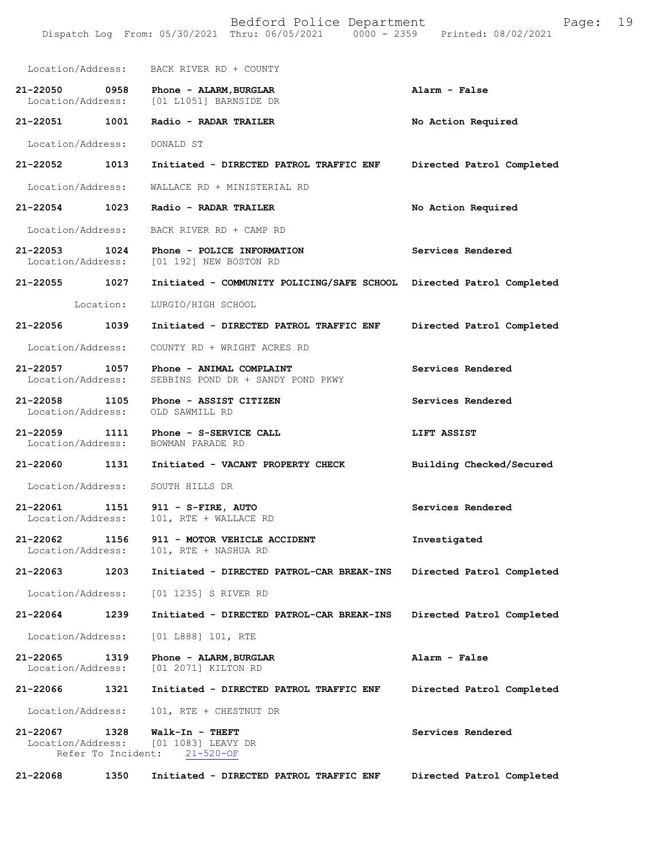| Bedford Police Department<br>Page:<br>Dispatch Log From: 05/30/2021 Thru: 06/05/2021   0000 - 2359   Printed: 08/02/2021 |           |                                                                      |                           |
|--------------------------------------------------------------------------------------------------------------------------|-----------|----------------------------------------------------------------------|---------------------------|
| Location/Address:                                                                                                        |           | BACK RIVER RD + COUNTY                                               |                           |
| 21-22050<br>Location/Address:                                                                                            | 0958      | Phone - ALARM, BURGLAR<br>[01 L1051] BARNSIDE DR                     | Alarm - False             |
| 21-22051                                                                                                                 | 1001      | Radio - RADAR TRAILER                                                | No Action Required        |
| Location/Address:                                                                                                        |           | DONALD ST                                                            |                           |
| 21-22052                                                                                                                 | 1013      | Initiated - DIRECTED PATROL TRAFFIC ENF                              | Directed Patrol Completed |
| Location/Address:                                                                                                        |           | WALLACE RD + MINISTERIAL RD                                          |                           |
| 21-22054                                                                                                                 | 1023      | Radio - RADAR TRAILER                                                | No Action Required        |
| Location/Address:                                                                                                        |           | BACK RIVER RD + CAMP RD                                              |                           |
| $21 - 22053$<br>Location/Address:                                                                                        | 1024      | Phone - POLICE INFORMATION<br>[01 192] NEW BOSTON RD                 | Services Rendered         |
| 21-22055 1027                                                                                                            |           | Initiated - COMMUNITY POLICING/SAFE SCHOOL Directed Patrol Completed |                           |
|                                                                                                                          | Location: | LURGIO/HIGH SCHOOL                                                   |                           |
| 21-22056                                                                                                                 | 1039      | Initiated - DIRECTED PATROL TRAFFIC ENF                              | Directed Patrol Completed |
| Location/Address:                                                                                                        |           | COUNTY RD + WRIGHT ACRES RD                                          |                           |
| 21-22057<br>Location/Address:                                                                                            | 1057      | Phone - ANIMAL COMPLAINT<br>SEBBINS POND DR + SANDY POND PKWY        | Services Rendered         |
| $21 - 22058$<br>Location/Address:                                                                                        | 1105      | Phone - ASSIST CITIZEN<br>OLD SAWMILL RD                             | Services Rendered         |
| $21 - 22059$<br>1111<br>Location/Address:                                                                                |           | Phone - S-SERVICE CALL<br>BOWMAN PARADE RD                           | LIFT ASSIST               |
| 21-22060                                                                                                                 | 1131      | Initiated - VACANT PROPERTY CHECK                                    | Building Checked/Secured  |
| Location/Address:                                                                                                        |           | SOUTH HILLS DR                                                       |                           |
| 21-22061<br>Location/Address:                                                                                            | 1151      | 911 - S-FIRE, AUTO<br>101, RTE + WALLACE RD                          | Services Rendered         |
| 21-22062<br>Location/Address:                                                                                            | 1156      | 911 - MOTOR VEHICLE ACCIDENT<br>101, RTE + NASHUA RD                 | Investigated              |
| $21 - 22063$                                                                                                             | 1203      | Initiated - DIRECTED PATROL-CAR BREAK-INS                            | Directed Patrol Completed |
| Location/Address:                                                                                                        |           | [01 1235] S RIVER RD                                                 |                           |
| 21-22064                                                                                                                 | 1239      | Initiated - DIRECTED PATROL-CAR BREAK-INS                            | Directed Patrol Completed |
| Location/Address:                                                                                                        |           | [01 L888] 101, RTE                                                   |                           |
| 21-22065<br>Location/Address:                                                                                            | 1319      | Phone - ALARM, BURGLAR<br>[01 2071] KILTON RD                        | Alarm - False             |
| 21-22066                                                                                                                 | 1321      | Initiated - DIRECTED PATROL TRAFFIC ENF                              | Directed Patrol Completed |
| Location/Address:                                                                                                        |           | 101, RTE + CHESTNUT DR                                               |                           |
| 21-22067<br>Location/Address:<br>Refer To Incident:                                                                      | 1328      | Walk-In - THEFT<br>[01 1083] LEAVY DR<br>$21 - 520 - OF$             | Services Rendered         |
| 21-22068                                                                                                                 | 1350      | Initiated - DIRECTED PATROL TRAFFIC ENF                              | Directed Patrol Completed |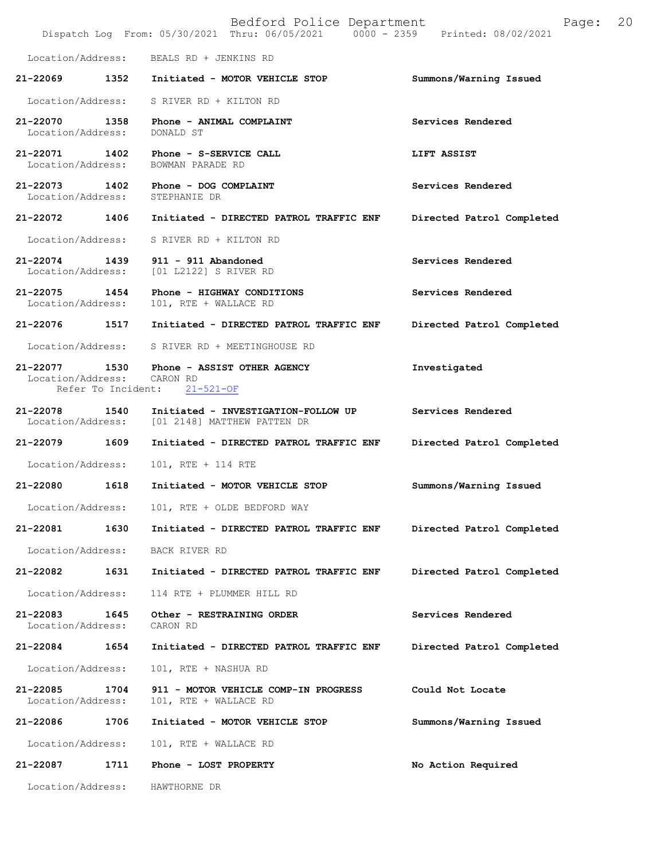Bedford Police Department Page: 20 Dispatch Log From: 05/30/2021 Thru: 06/05/2021 Location/Address: BEALS RD + JENKINS RD **21-22069 1352 Initiated - MOTOR VEHICLE STOP Summons/Warning Issued**  Location/Address: S RIVER RD + KILTON RD 21-22070 1358 Phone - ANIMAL COMPLAINT **Services Rendered Location/Address:** DONALD ST Location/Address: **21-22071 1402 Phone - S-SERVICE CALL CALL LIFT ASSIST**<br>Location/Address: BOWMAN PARADE RD Location/Address: 21-22073 1402 Phone - DOG COMPLAINT **Services Rendered Services Rendered Iocation**/Address: STEPHANIE DR Location/Address: **21-22072 1406 Initiated - DIRECTED PATROL TRAFFIC ENF Directed Patrol Completed**  Location/Address: S RIVER RD + KILTON RD **21-22074 1439 911 - 911 Abandoned Services Rendered**  Location/Address: [01 L2122] S RIVER RD **21-22075 1454 Phone - HIGHWAY CONDITIONS Services Rendered**  101, RTE + WALLACE RD **21-22076 1517 Initiated - DIRECTED PATROL TRAFFIC ENF Directed Patrol Completed**  Location/Address: S RIVER RD + MEETINGHOUSE RD **21-22077 1530 Phone - ASSIST OTHER AGENCY Investigated**  Location/Address: CARON RD<br>Refer To Incident: 21-521-OF Refer To Incident: **21-22078 1540 Initiated - INVESTIGATION-FOLLOW UP Services Rendered**  Location/Address: [01 2148] MATTHEW PATTEN DR **21-22079 1609 Initiated - DIRECTED PATROL TRAFFIC ENF Directed Patrol Completed**  Location/Address: 101, RTE + 114 RTE **21-22080 1618 Initiated - MOTOR VEHICLE STOP Summons/Warning Issued**  Location/Address: 101, RTE + OLDE BEDFORD WAY **21-22081 1630 Initiated - DIRECTED PATROL TRAFFIC ENF Directed Patrol Completed**  Location/Address: BACK RIVER RD **21-22082 1631 Initiated - DIRECTED PATROL TRAFFIC ENF Directed Patrol Completed**  Location/Address: 114 RTE + PLUMMER HILL RD **21-22083 1645 Other - RESTRAINING ORDER Services Rendered**  Location/Address: **21-22084 1654 Initiated - DIRECTED PATROL TRAFFIC ENF Directed Patrol Completed**  Location/Address: 101, RTE + NASHUA RD **21-22085 1704 911 - MOTOR VEHICLE COMP-IN PROGRESS Could Not Locate**  Location/Address: 101, RTE + WALLACE RD **21-22086 1706 Initiated - MOTOR VEHICLE STOP Summons/Warning Issued**  Location/Address: 101, RTE + WALLACE RD **21-22087 1711 Phone - LOST PROPERTY No Action Required**  Location/Address: HAWTHORNE DR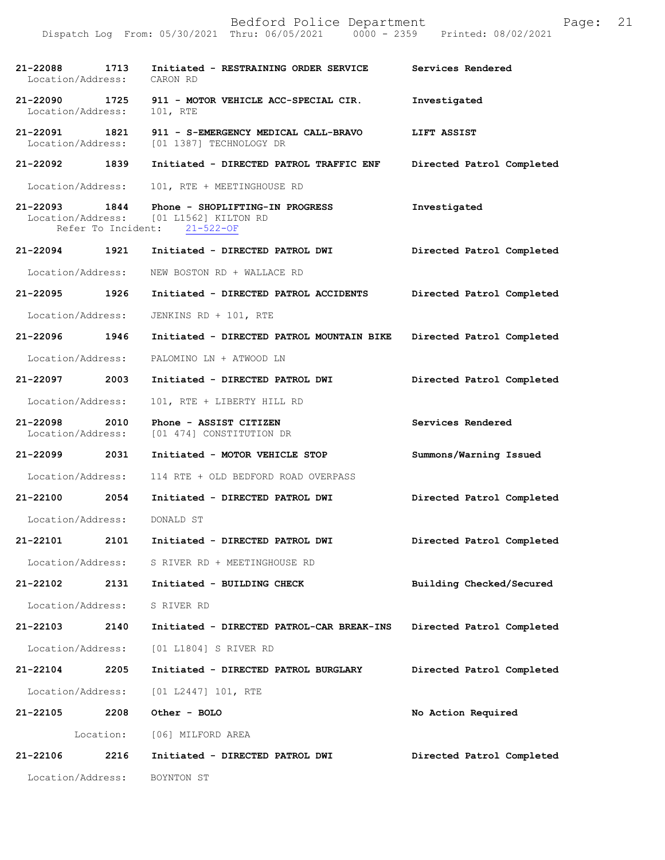| 21-22088<br>Location/Address:      | 1713      | Initiated - RESTRAINING ORDER SERVICE<br>CARON RD                                                         | Services Rendered         |
|------------------------------------|-----------|-----------------------------------------------------------------------------------------------------------|---------------------------|
| 21-22090 1725<br>Location/Address: |           | 911 - MOTOR VEHICLE ACC-SPECIAL CIR.<br>101, RTE                                                          | Investigated              |
| 21-22091 1821                      |           | 911 - S-EMERGENCY MEDICAL CALL-BRAVO<br>Location/Address: [01 1387] TECHNOLOGY DR                         | LIFT ASSIST               |
| 21-22092 1839                      |           | Initiated - DIRECTED PATROL TRAFFIC ENF                                                                   | Directed Patrol Completed |
| Location/Address:                  |           | 101, RTE + MEETINGHOUSE RD                                                                                |                           |
| 21-22093 1844                      |           | Phone - SHOPLIFTING-IN PROGRESS<br>Location/Address: [01 L1562] KILTON RD<br>Refer To Incident: 21-522-OF | Investigated              |
| 21-22094 1921                      |           | Initiated - DIRECTED PATROL DWI                                                                           | Directed Patrol Completed |
| Location/Address:                  |           | NEW BOSTON RD + WALLACE RD                                                                                |                           |
| 21-22095 1926                      |           | Initiated - DIRECTED PATROL ACCIDENTS                                                                     | Directed Patrol Completed |
| Location/Address:                  |           | JENKINS RD + 101, RTE                                                                                     |                           |
| 21-22096 1946                      |           | Initiated - DIRECTED PATROL MOUNTAIN BIKE                                                                 | Directed Patrol Completed |
| Location/Address:                  |           | PALOMINO LN + ATWOOD LN                                                                                   |                           |
| 21-22097 2003                      |           | Initiated - DIRECTED PATROL DWI                                                                           | Directed Patrol Completed |
| Location/Address:                  |           | 101, RTE + LIBERTY HILL RD                                                                                |                           |
|                                    |           |                                                                                                           |                           |
| 21-22098 2010<br>Location/Address: |           | Phone - ASSIST CITIZEN<br>[01 474] CONSTITUTION DR                                                        | Services Rendered         |
| 21-22099 2031                      |           | Initiated - MOTOR VEHICLE STOP                                                                            | Summons/Warning Issued    |
| Location/Address:                  |           | 114 RTE + OLD BEDFORD ROAD OVERPASS                                                                       |                           |
| 21-22100                           | 2054      | Initiated - DIRECTED PATROL DWI                                                                           | Directed Patrol Completed |
| Location/Address:                  |           | DONALD ST                                                                                                 |                           |
| 21-22101                           | 2101      | Initiated - DIRECTED PATROL DWI                                                                           | Directed Patrol Completed |
| Location/Address:                  |           | S RIVER RD + MEETINGHOUSE RD                                                                              |                           |
| 21-22102                           | 2131      | Initiated - BUILDING CHECK                                                                                | Building Checked/Secured  |
| Location/Address:                  |           | S RIVER RD                                                                                                |                           |
| 21-22103                           | 2140      | Initiated - DIRECTED PATROL-CAR BREAK-INS                                                                 | Directed Patrol Completed |
| Location/Address:                  |           | [01 L1804] S RIVER RD                                                                                     |                           |
| 21-22104                           | 2205      | Initiated - DIRECTED PATROL BURGLARY                                                                      | Directed Patrol Completed |
| Location/Address:                  |           | [01 L2447] 101, RTE                                                                                       |                           |
| 21-22105                           | 2208      | Other - BOLO                                                                                              | No Action Required        |
|                                    | Location: | [06] MILFORD AREA                                                                                         |                           |
| 21-22106                           | 2216      | Initiated - DIRECTED PATROL DWI                                                                           | Directed Patrol Completed |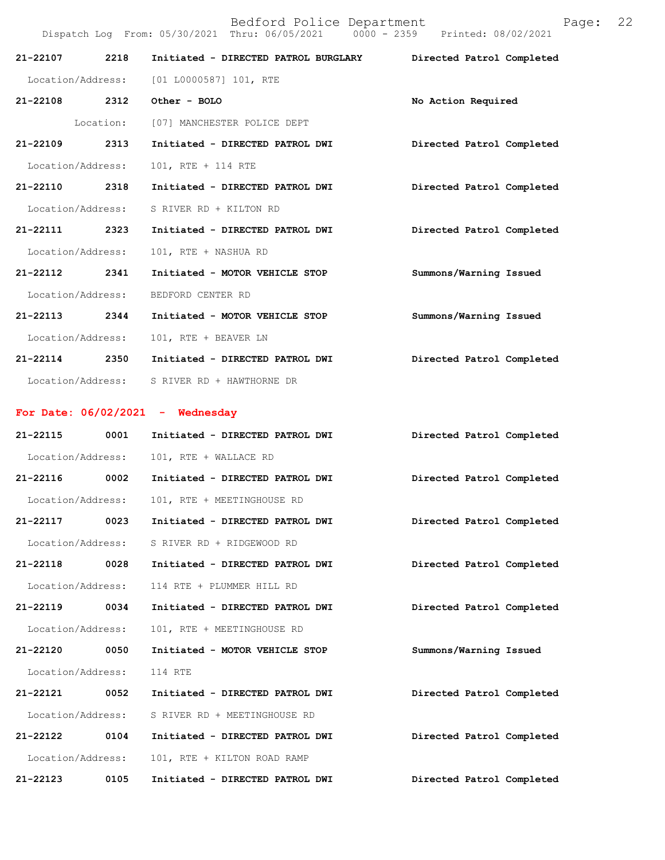|                            |      | Dispatch Log From: 05/30/2021 Thru: 06/05/2021 0000 - 2359 Printed: 08/02/2021 |                           |
|----------------------------|------|--------------------------------------------------------------------------------|---------------------------|
| 21-22107 2218              |      | Initiated - DIRECTED PATROL BURGLARY                                           | Directed Patrol Completed |
|                            |      | Location/Address: [01 L0000587] 101, RTE                                       |                           |
| 21-22108 2312 Other - BOLO |      |                                                                                | No Action Required        |
|                            |      | Location: [07] MANCHESTER POLICE DEPT                                          |                           |
| 21-22109 2313              |      | Initiated - DIRECTED PATROL DWI                                                | Directed Patrol Completed |
| Location/Address:          |      | 101, RTE + 114 RTE                                                             |                           |
| 21-22110 2318              |      | Initiated - DIRECTED PATROL DWI                                                | Directed Patrol Completed |
| Location/Address:          |      | S RIVER RD + KILTON RD                                                         |                           |
| 21-22111 2323              |      | Initiated - DIRECTED PATROL DWI                                                | Directed Patrol Completed |
| Location/Address:          |      | 101, RTE + NASHUA RD                                                           |                           |
| 21-22112 2341              |      | Initiated - MOTOR VEHICLE STOP                                                 | Summons/Warning Issued    |
| Location/Address:          |      | BEDFORD CENTER RD                                                              |                           |
| 21-22113 2344              |      | Initiated - MOTOR VEHICLE STOP                                                 | Summons/Warning Issued    |
| Location/Address:          |      | 101, RTE + BEAVER LN                                                           |                           |
| 21-22114 2350              |      | Initiated - DIRECTED PATROL DWI                                                | Directed Patrol Completed |
|                            |      | Location/Address: S RIVER RD + HAWTHORNE DR                                    |                           |
|                            |      | For Date: $06/02/2021$ - Wednesday                                             |                           |
| 21-22115                   | 0001 | Initiated - DIRECTED PATROL DWI                                                | Directed Patrol Completed |
| Location/Address:          |      | 101, RTE + WALLACE RD                                                          |                           |
|                            |      | 21-22116 0002 Initiated - DIRECTED PATROL DWI                                  | Directed Patrol Completed |
|                            |      | Location/Address: 101, RTE + MEETINGHOUSE RD                                   |                           |
| 21-22117                   | 0023 | Initiated - DIRECTED PATROL DWI                                                | Directed Patrol Completed |
| Location/Address:          |      | S RIVER RD + RIDGEWOOD RD                                                      |                           |
| 21-22118                   | 0028 | Initiated - DIRECTED PATROL DWI                                                | Directed Patrol Completed |
| Location/Address:          |      | 114 RTE + PLUMMER HILL RD                                                      |                           |
| 21-22119                   | 0034 | Initiated - DIRECTED PATROL DWI                                                | Directed Patrol Completed |
| Location/Address:          |      | 101, RTE + MEETINGHOUSE RD                                                     |                           |
| 21-22120                   | 0050 | Initiated - MOTOR VEHICLE STOP                                                 | Summons/Warning Issued    |
| Location/Address:          |      | 114 RTE                                                                        |                           |
| 21-22121                   | 0052 | Initiated - DIRECTED PATROL DWI                                                | Directed Patrol Completed |
| Location/Address:          |      | S RIVER RD + MEETINGHOUSE RD                                                   |                           |
| 21-22122                   | 0104 | Initiated - DIRECTED PATROL DWI                                                | Directed Patrol Completed |
| Location/Address:          |      | 101, RTE + KILTON ROAD RAMP                                                    |                           |
| 21-22123                   | 0105 | Initiated - DIRECTED PATROL DWI                                                | Directed Patrol Completed |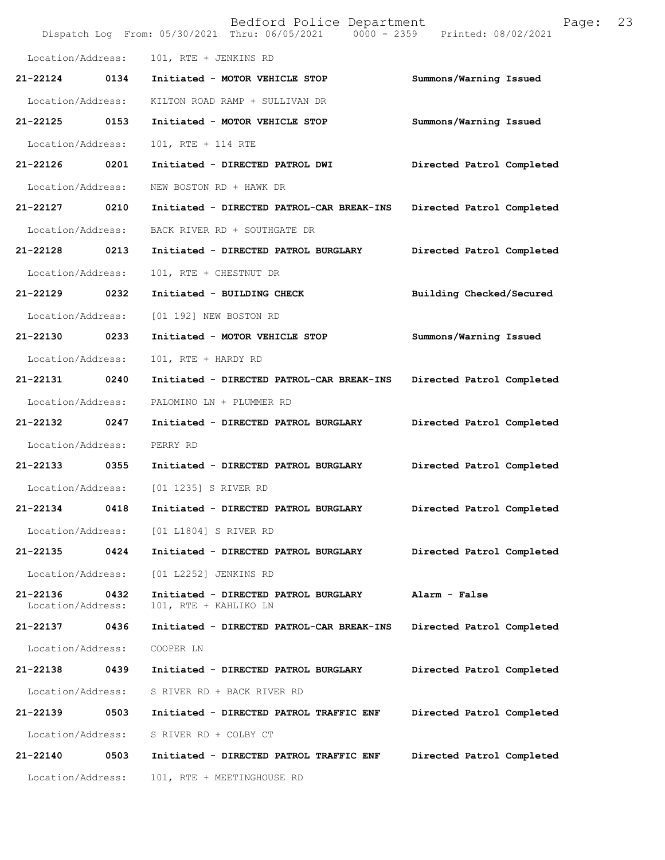|                               |      | Bedford Police Department<br>Dispatch Log From: 05/30/2021 Thru: 06/05/2021 0000 - 2359 Printed: 08/02/2021 | Page:                     | 23 |
|-------------------------------|------|-------------------------------------------------------------------------------------------------------------|---------------------------|----|
| Location/Address:             |      | 101, RTE + JENKINS RD                                                                                       |                           |    |
| 21-22124                      | 0134 | Initiated - MOTOR VEHICLE STOP                                                                              | Summons/Warning Issued    |    |
| Location/Address:             |      | KILTON ROAD RAMP + SULLIVAN DR                                                                              |                           |    |
| 21-22125                      | 0153 | Initiated - MOTOR VEHICLE STOP                                                                              | Summons/Warning Issued    |    |
| Location/Address:             |      | 101, RTE + 114 RTE                                                                                          |                           |    |
| 21-22126                      | 0201 | Initiated - DIRECTED PATROL DWI                                                                             | Directed Patrol Completed |    |
| Location/Address:             |      | NEW BOSTON RD + HAWK DR                                                                                     |                           |    |
| 21-22127                      | 0210 | Initiated - DIRECTED PATROL-CAR BREAK-INS                                                                   | Directed Patrol Completed |    |
| Location/Address:             |      | BACK RIVER RD + SOUTHGATE DR                                                                                |                           |    |
| 21-22128                      | 0213 | Initiated - DIRECTED PATROL BURGLARY                                                                        | Directed Patrol Completed |    |
| Location/Address:             |      | 101, RTE + CHESTNUT DR                                                                                      |                           |    |
| 21-22129                      | 0232 | Initiated - BUILDING CHECK                                                                                  | Building Checked/Secured  |    |
| Location/Address:             |      | [01 192] NEW BOSTON RD                                                                                      |                           |    |
| 21-22130                      | 0233 | Initiated - MOTOR VEHICLE STOP                                                                              | Summons/Warning Issued    |    |
| Location/Address:             |      | 101, RTE + HARDY RD                                                                                         |                           |    |
| 21-22131                      | 0240 | Initiated - DIRECTED PATROL-CAR BREAK-INS                                                                   | Directed Patrol Completed |    |
| Location/Address:             |      | PALOMINO LN + PLUMMER RD                                                                                    |                           |    |
| 21-22132                      | 0247 | Initiated - DIRECTED PATROL BURGLARY                                                                        | Directed Patrol Completed |    |
| Location/Address:             |      | PERRY RD                                                                                                    |                           |    |
| 21-22133                      | 0355 | Initiated - DIRECTED PATROL BURGLARY                                                                        | Directed Patrol Completed |    |
| Location/Address:             |      | [01 1235] S RIVER RD                                                                                        |                           |    |
| 21-22134                      | 0418 | Initiated - DIRECTED PATROL BURGLARY                                                                        | Directed Patrol Completed |    |
| Location/Address:             |      | [01 L1804] S RIVER RD                                                                                       |                           |    |
| 21-22135                      | 0424 | Initiated - DIRECTED PATROL BURGLARY                                                                        | Directed Patrol Completed |    |
| Location/Address:             |      | [01 L2252] JENKINS RD                                                                                       |                           |    |
| 21-22136<br>Location/Address: | 0432 | Initiated - DIRECTED PATROL BURGLARY<br>101, RTE + KAHLIKO LN                                               | Alarm - False             |    |
| 21-22137                      | 0436 | Initiated - DIRECTED PATROL-CAR BREAK-INS                                                                   | Directed Patrol Completed |    |
| Location/Address:             |      | COOPER LN                                                                                                   |                           |    |
| 21-22138                      | 0439 | Initiated - DIRECTED PATROL BURGLARY                                                                        | Directed Patrol Completed |    |
| Location/Address:             |      | S RIVER RD + BACK RIVER RD                                                                                  |                           |    |
| 21-22139                      | 0503 | Initiated - DIRECTED PATROL TRAFFIC ENF                                                                     | Directed Patrol Completed |    |
| Location/Address:             |      | S RIVER RD + COLBY CT                                                                                       |                           |    |
| 21-22140                      | 0503 | Initiated - DIRECTED PATROL TRAFFIC ENF                                                                     | Directed Patrol Completed |    |
| Location/Address:             |      | 101, RTE + MEETINGHOUSE RD                                                                                  |                           |    |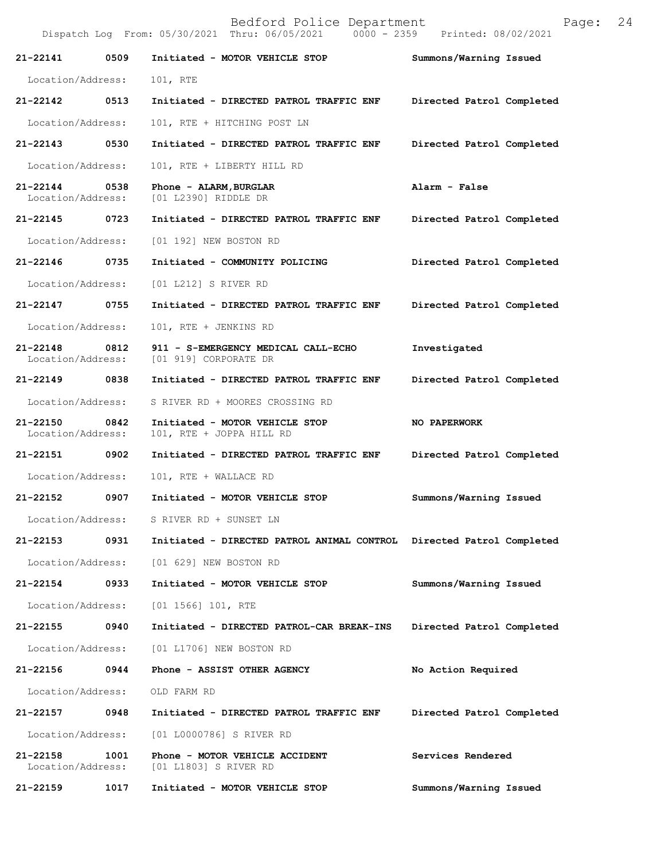Bedford Police Department Page: 24 Dispatch Log From: 05/30/2021 Thru: 06/05/2021 **21-22141 0509 Initiated - MOTOR VEHICLE STOP Summons/Warning Issued**  Location/Address: 101, RTE **21-22142 0513 Initiated - DIRECTED PATROL TRAFFIC ENF Directed Patrol Completed**  Location/Address: 101, RTE + HITCHING POST LN **21-22143 0530 Initiated - DIRECTED PATROL TRAFFIC ENF Directed Patrol Completed**  Location/Address: 101, RTE + LIBERTY HILL RD **21-22144 0538 Phone - ALARM,BURGLAR Alarm - False**  Location/Address: [01 L2390] RIDDLE DR **21-22145 0723 Initiated - DIRECTED PATROL TRAFFIC ENF Directed Patrol Completed**  Location/Address: [01 192] NEW BOSTON RD **21-22146 0735 Initiated - COMMUNITY POLICING Directed Patrol Completed**  Location/Address: [01 L212] S RIVER RD **21-22147 0755 Initiated - DIRECTED PATROL TRAFFIC ENF Directed Patrol Completed**  Location/Address: 101, RTE + JENKINS RD **21-22148 0812 911 - S-EMERGENCY MEDICAL CALL-ECHO Investigated**  [01 919] CORPORATE DR **21-22149 0838 Initiated - DIRECTED PATROL TRAFFIC ENF Directed Patrol Completed**  Location/Address: S RIVER RD + MOORES CROSSING RD **21-22150 0842 Initiated - MOTOR VEHICLE STOP 100 PAPERWORK** Location/Address: 101. RTE + JOPPA HILL RD 101, RTE + JOPPA HILL RD **21-22151 0902 Initiated - DIRECTED PATROL TRAFFIC ENF Directed Patrol Completed**  Location/Address: 101, RTE + WALLACE RD **21-22152 0907 Initiated - MOTOR VEHICLE STOP Summons/Warning Issued**  Location/Address: S RIVER RD + SUNSET LN **21-22153 0931 Initiated - DIRECTED PATROL ANIMAL CONTROL Directed Patrol Completed**  Location/Address: [01 629] NEW BOSTON RD **21-22154 0933 Initiated - MOTOR VEHICLE STOP Summons/Warning Issued**  Location/Address: [01 1566] 101, RTE **21-22155 0940 Initiated - DIRECTED PATROL-CAR BREAK-INS Directed Patrol Completed**  Location/Address: [01 L1706] NEW BOSTON RD **21-22156 0944 Phone - ASSIST OTHER AGENCY No Action Required**  Location/Address: OLD FARM RD **21-22157 0948 Initiated - DIRECTED PATROL TRAFFIC ENF Directed Patrol Completed**  Location/Address: [01 L0000786] S RIVER RD **21-22158 1001 Phone - MOTOR VEHICLE ACCIDENT Services Rendered**  Location/Address: [01 L1803] S RIVER RD **21-22159 1017 Initiated - MOTOR VEHICLE STOP Summons/Warning Issued**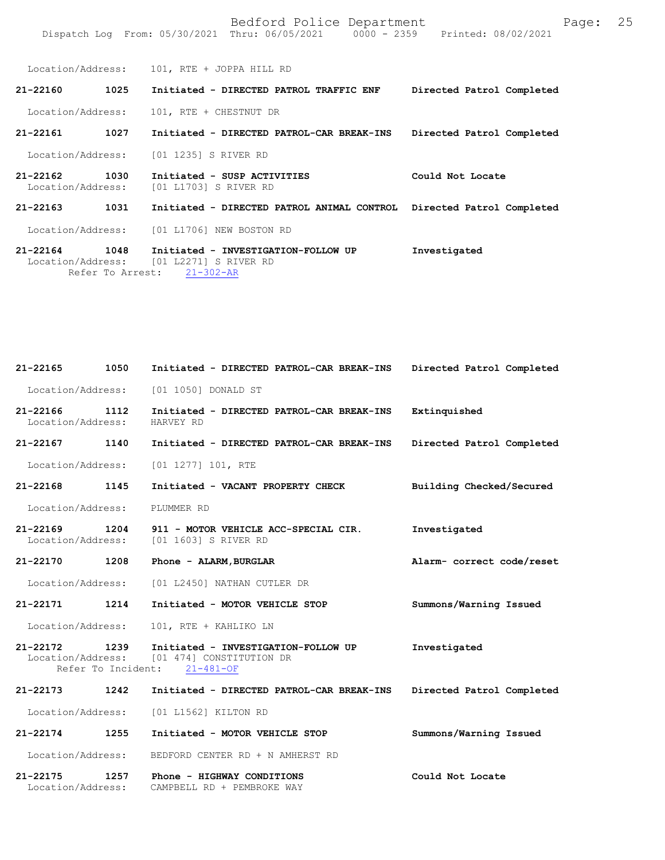Location/Address: 101, RTE + JOPPA HILL RD **21-22160 1025 Initiated - DIRECTED PATROL TRAFFIC ENF Directed Patrol Completed**  Location/Address: 101, RTE + CHESTNUT DR **21-22161 1027 Initiated - DIRECTED PATROL-CAR BREAK-INS Directed Patrol Completed**  Location/Address: [01 1235] S RIVER RD **21-22162 1030 Initiated - SUSP ACTIVITIES Could Not Locate**  Location/Address: [01 L1703] S RIVER RD **21-22163 1031 Initiated - DIRECTED PATROL ANIMAL CONTROL Directed Patrol Completed**  Location/Address: [01 L1706] NEW BOSTON RD **21-22164 1048 Initiated - INVESTIGATION-FOLLOW UP Investigated**  Location/Address: [01 L2271] S RIVER RD<br>Refer To Arrest: 21-302-AR

Refer To Arrest:

Location/Address: CAMPBELL RD + PEMBROKE WAY

**Directed Patrol Completed Extinquished Directed Patrol Completed Building Checked/Secured Investigated Alarm- correct code/reset Summons/Warning Issued 21-22172 1239 Initiated - INVESTIGATION-FOLLOW UP Investigated**  Location/Address: [01 474] CONSTITUTION DR<br>Refer To Incident: 21-481-OF Refer To Incident: **21-22173 1242 Initiated - DIRECTED PATROL-CAR BREAK-INS Directed Patrol Completed**  Location/Address: [01 L1562] KILTON RD **21-22174 1255 Initiated - MOTOR VEHICLE STOP Summons/Warning Issued**  Location/Address: BEDFORD CENTER RD + N AMHERST RD **21-22175 1257 Phone - HIGHWAY CONDITIONS Could Not Locate 21-22165 1050 Initiated - DIRECTED PATROL-CAR BREAK-INS** Location/Address: [01 1050] DONALD ST **21-22166 1112 Initiated - DIRECTED PATROL-CAR BREAK-INS** Location/Address: HARVEY RD **21-22167 1140 Initiated - DIRECTED PATROL-CAR BREAK-INS** Location/Address: [01 1277] 101, RTE **21-22168 1145 Initiated - VACANT PROPERTY CHECK** Location/Address: PLUMMER RD **21-22169 1204 911 - MOTOR VEHICLE ACC-SPECIAL CIR.** Location/Address: [01 1603] S RIVER RD **21-22170 1208 Phone - ALARM,BURGLAR** Location/Address: [01 L2450] NATHAN CUTLER DR **21-22171 1214 Initiated - MOTOR VEHICLE STOP** Location/Address: 101, RTE + KAHLIKO LN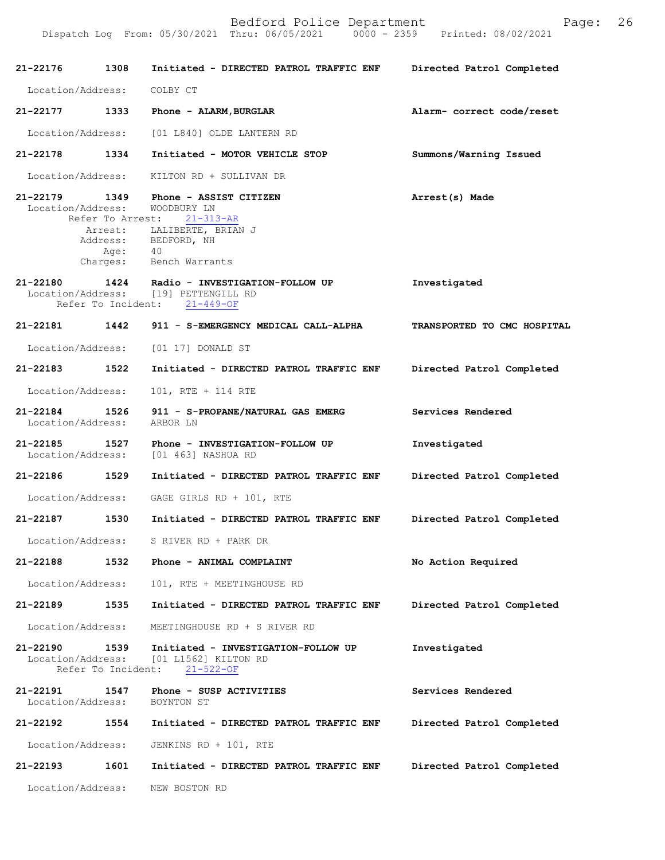| 21-22176 1308                      |                            | Initiated - DIRECTED PATROL TRAFFIC ENF                                                                                                                    | Directed Patrol Completed   |
|------------------------------------|----------------------------|------------------------------------------------------------------------------------------------------------------------------------------------------------|-----------------------------|
| Location/Address:                  |                            | COLBY CT                                                                                                                                                   |                             |
| 21-22177                           | 1333                       | Phone - ALARM, BURGLAR                                                                                                                                     | Alarm- correct code/reset   |
|                                    |                            | Location/Address: [01 L840] OLDE LANTERN RD                                                                                                                |                             |
| 21-22178 1334                      |                            | Initiated - MOTOR VEHICLE STOP                                                                                                                             | Summons/Warning Issued      |
| Location/Address:                  |                            | KILTON RD + SULLIVAN DR                                                                                                                                    |                             |
| 21-22179<br>Location/Address:      | 1349<br>Age:               | Phone - ASSIST CITIZEN<br>WOODBURY LN<br>Refer To Arrest: 21-313-AR<br>Arrest: LALIBERTE, BRIAN J<br>Address: BEDFORD, NH<br>40<br>Charges: Bench Warrants | Arrest(s) Made              |
|                                    | Refer To Incident:         | 21-22180 1424 Radio - INVESTIGATION-FOLLOW UP<br>Location/Address: [19] PETTENGILL RD<br>$21 - 449 - OF$                                                   | Investigated                |
| 21-22181 1442                      |                            | 911 - S-EMERGENCY MEDICAL CALL-ALPHA                                                                                                                       | TRANSPORTED TO CMC HOSPITAL |
|                                    |                            | Location/Address: [01 17] DONALD ST                                                                                                                        |                             |
| 21-22183                           | 1522                       | Initiated - DIRECTED PATROL TRAFFIC ENF                                                                                                                    | Directed Patrol Completed   |
| Location/Address:                  |                            | 101, RTE + 114 RTE                                                                                                                                         |                             |
| 21-22184 1526<br>Location/Address: |                            | 911 - S-PROPANE/NATURAL GAS EMERG<br>ARBOR LN                                                                                                              | Services Rendered           |
| 21-22185<br>Location/Address:      | 1527                       | Phone - INVESTIGATION-FOLLOW UP<br>[01 463] NASHUA RD                                                                                                      | Investigated                |
| 21-22186                           | 1529                       | Initiated - DIRECTED PATROL TRAFFIC ENF                                                                                                                    | Directed Patrol Completed   |
|                                    |                            | Location/Address: GAGE GIRLS RD + 101, RTE                                                                                                                 |                             |
| 21-22187                           | 1530                       | Initiated - DIRECTED PATROL TRAFFIC ENF                                                                                                                    | Directed Patrol Completed   |
| Location/Address:                  |                            | S RIVER RD + PARK DR                                                                                                                                       |                             |
| 21-22188                           | 1532                       | Phone - ANIMAL COMPLAINT                                                                                                                                   | No Action Required          |
| Location/Address:                  |                            | 101, RTE + MEETINGHOUSE RD                                                                                                                                 |                             |
| 21-22189                           | 1535                       | Initiated - DIRECTED PATROL TRAFFIC ENF                                                                                                                    | Directed Patrol Completed   |
| Location/Address:                  |                            | MEETINGHOUSE RD + S RIVER RD                                                                                                                               |                             |
| 21-22190<br>Location/Address:      | 1539<br>Refer To Incident: | Initiated - INVESTIGATION-FOLLOW UP<br>[01 L1562] KILTON RD<br>$21 - 522 - OF$                                                                             | Investigated                |
| 21-22191<br>Location/Address:      | 1547                       | Phone - SUSP ACTIVITIES<br>BOYNTON ST                                                                                                                      | Services Rendered           |
| 21-22192                           | 1554                       | Initiated - DIRECTED PATROL TRAFFIC ENF                                                                                                                    | Directed Patrol Completed   |
| Location/Address:                  |                            | JENKINS RD + 101, RTE                                                                                                                                      |                             |
| 21-22193                           | 1601                       | Initiated - DIRECTED PATROL TRAFFIC ENF                                                                                                                    | Directed Patrol Completed   |
| Location/Address:                  |                            | NEW BOSTON RD                                                                                                                                              |                             |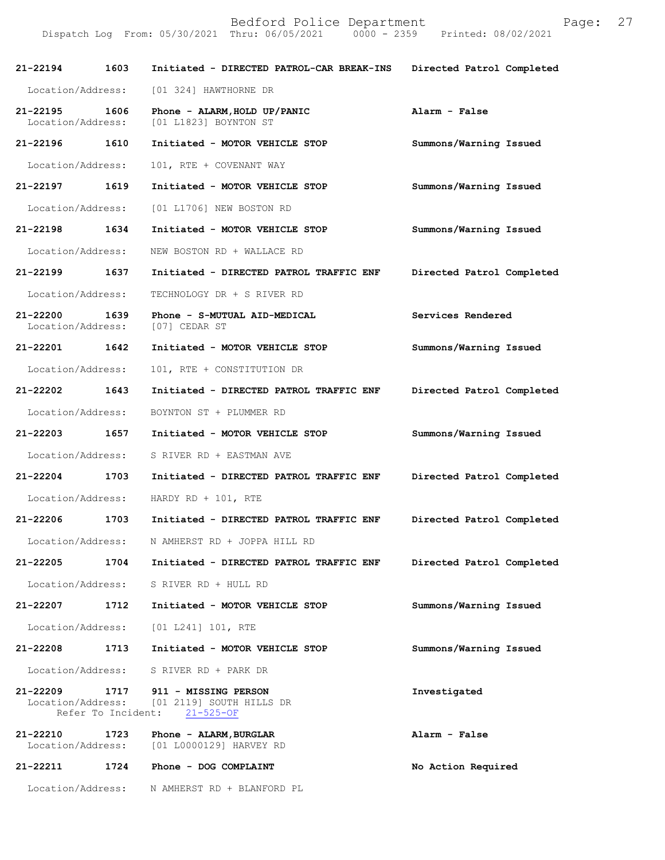| 21-22194                          | 1603                       | Initiated - DIRECTED PATROL-CAR BREAK-INS                           | Directed Patrol Completed |
|-----------------------------------|----------------------------|---------------------------------------------------------------------|---------------------------|
| Location/Address:                 |                            | [01 324] HAWTHORNE DR                                               |                           |
| $21 - 22195$<br>Location/Address: | 1606                       | Phone - ALARM, HOLD UP/PANIC<br>[01 L1823] BOYNTON ST               | Alarm - False             |
| 21-22196                          | 1610                       | Initiated - MOTOR VEHICLE STOP                                      | Summons/Warning Issued    |
| Location/Address:                 |                            | 101, RTE + COVENANT WAY                                             |                           |
| 21-22197 1619                     |                            | Initiated - MOTOR VEHICLE STOP                                      | Summons/Warning Issued    |
| Location/Address:                 |                            | [01 L1706] NEW BOSTON RD                                            |                           |
| 21-22198 1634                     |                            | Initiated - MOTOR VEHICLE STOP                                      | Summons/Warning Issued    |
| Location/Address:                 |                            | NEW BOSTON RD + WALLACE RD                                          |                           |
| 21-22199 1637                     |                            | Initiated - DIRECTED PATROL TRAFFIC ENF                             | Directed Patrol Completed |
| Location/Address:                 |                            | TECHNOLOGY DR + S RIVER RD                                          |                           |
| 21-22200<br>Location/Address:     | 1639                       | Phone - S-MUTUAL AID-MEDICAL<br>[07] CEDAR ST                       | Services Rendered         |
| 21-22201 1642                     |                            | Initiated - MOTOR VEHICLE STOP                                      | Summons/Warning Issued    |
| Location/Address:                 |                            | 101, RTE + CONSTITUTION DR                                          |                           |
| 21-22202 1643                     |                            | Initiated - DIRECTED PATROL TRAFFIC ENF                             | Directed Patrol Completed |
| Location/Address:                 |                            | BOYNTON ST + PLUMMER RD                                             |                           |
| 21-22203 1657                     |                            | Initiated - MOTOR VEHICLE STOP                                      | Summons/Warning Issued    |
| Location/Address:                 |                            | S RIVER RD + EASTMAN AVE                                            |                           |
| 21-22204 1703                     |                            | Initiated - DIRECTED PATROL TRAFFIC ENF                             | Directed Patrol Completed |
| Location/Address:                 |                            | HARDY RD + $101$ , RTE                                              |                           |
| 21-22206                          | 1703                       | Initiated - DIRECTED PATROL TRAFFIC ENF                             | Directed Patrol Completed |
| Location/Address:                 |                            | N AMHERST RD + JOPPA HILL RD                                        |                           |
| 21-22205                          | 1704                       | Initiated - DIRECTED PATROL TRAFFIC ENF                             | Directed Patrol Completed |
| Location/Address:                 |                            | S RIVER RD + HULL RD                                                |                           |
| 21-22207                          | 1712                       | Initiated - MOTOR VEHICLE STOP                                      | Summons/Warning Issued    |
| Location/Address:                 |                            | [01 L241] 101, RTE                                                  |                           |
| 21-22208                          | 1713                       | Initiated - MOTOR VEHICLE STOP                                      | Summons/Warning Issued    |
| Location/Address:                 |                            | S RIVER RD + PARK DR                                                |                           |
| $21 - 22209$<br>Location/Address: | 1717<br>Refer To Incident: | 911 - MISSING PERSON<br>[01 2119] SOUTH HILLS DR<br>$21 - 525 - OF$ | Investigated              |
| 21-22210<br>Location/Address:     | 1723                       | Phone - ALARM, BURGLAR<br>[01 L0000129] HARVEY RD                   | Alarm - False             |
| 21-22211                          | 1724                       | Phone - DOG COMPLAINT                                               | No Action Required        |
| Location/Address:                 |                            | N AMHERST RD + BLANFORD PL                                          |                           |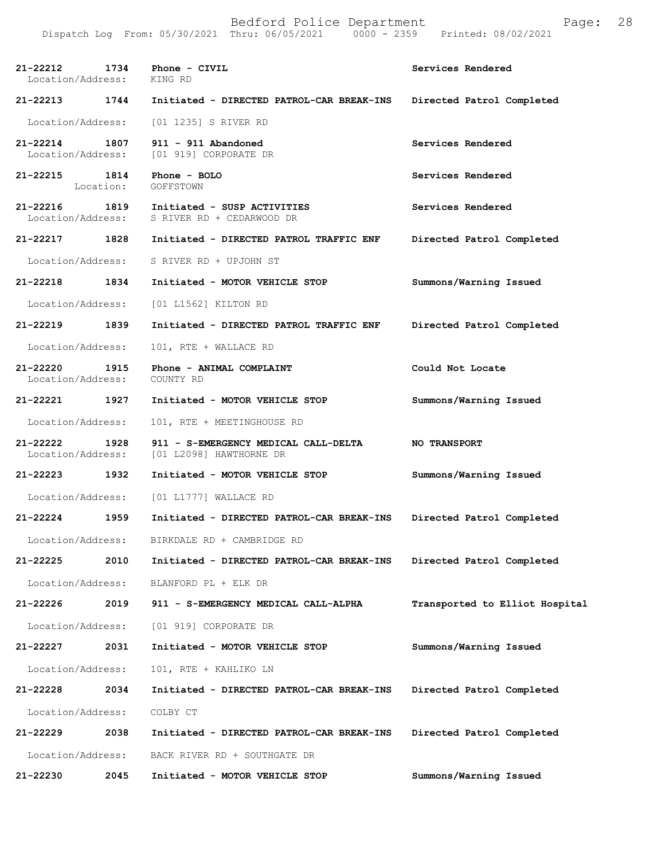| 21-22212<br>Location/Address: | 1734              | Phone - CIVIL<br>KING RD                                        | Services Rendered              |
|-------------------------------|-------------------|-----------------------------------------------------------------|--------------------------------|
| 21-22213                      | 1744              | Initiated - DIRECTED PATROL-CAR BREAK-INS                       | Directed Patrol Completed      |
| Location/Address:             |                   | [01 1235] S RIVER RD                                            |                                |
| 21-22214<br>Location/Address: | 1807              | 911 - 911 Abandoned<br>[01 919] CORPORATE DR                    | Services Rendered              |
| 21-22215                      | 1814<br>Location: | Phone - BOLO<br>GOFFSTOWN                                       | Services Rendered              |
| 21-22216<br>Location/Address: | 1819              | Initiated - SUSP ACTIVITIES<br>S RIVER RD + CEDARWOOD DR        | Services Rendered              |
| 21-22217                      | 1828              | Initiated - DIRECTED PATROL TRAFFIC ENF                         | Directed Patrol Completed      |
| Location/Address:             |                   | S RIVER RD + UPJOHN ST                                          |                                |
| 21-22218                      | 1834              | Initiated - MOTOR VEHICLE STOP                                  | Summons/Warning Issued         |
| Location/Address:             |                   | [01 L1562] KILTON RD                                            |                                |
| 21-22219                      | 1839              | Initiated - DIRECTED PATROL TRAFFIC ENF                         | Directed Patrol Completed      |
| Location/Address:             |                   | 101, RTE + WALLACE RD                                           |                                |
| 21-22220<br>Location/Address: | 1915              | Phone - ANIMAL COMPLAINT<br>COUNTY RD                           | Could Not Locate               |
| 21-22221                      | 1927              | Initiated - MOTOR VEHICLE STOP                                  | Summons/Warning Issued         |
| Location/Address:             |                   | 101, RTE + MEETINGHOUSE RD                                      |                                |
| 21-22222<br>Location/Address: | 1928              | 911 - S-EMERGENCY MEDICAL CALL-DELTA<br>[01 L2098] HAWTHORNE DR | <b>NO TRANSPORT</b>            |
| $21 - 22223$                  | 1932              | Initiated - MOTOR VEHICLE STOP                                  | Summons/Warning Issued         |
| Location/Address:             |                   | $[01 L1777]$ WALLACE RD                                         |                                |
| 21-22224                      | 1959              | Initiated - DIRECTED PATROL-CAR BREAK-INS                       | Directed Patrol Completed      |
| Location/Address:             |                   | BIRKDALE RD + CAMBRIDGE RD                                      |                                |
| 21-22225                      | 2010              | Initiated - DIRECTED PATROL-CAR BREAK-INS                       | Directed Patrol Completed      |
| Location/Address:             |                   | BLANFORD PL + ELK DR                                            |                                |
| 21-22226                      | 2019              | 911 - S-EMERGENCY MEDICAL CALL-ALPHA                            | Transported to Elliot Hospital |
| Location/Address:             |                   | [01 919] CORPORATE DR                                           |                                |
| 21-22227                      | 2031              | Initiated - MOTOR VEHICLE STOP                                  | Summons/Warning Issued         |
| Location/Address:             |                   | 101, RTE + KAHLIKO LN                                           |                                |
| 21-22228                      | 2034              | Initiated - DIRECTED PATROL-CAR BREAK-INS                       | Directed Patrol Completed      |
| Location/Address:             |                   | COLBY CT                                                        |                                |
| 21-22229                      | 2038              | Initiated - DIRECTED PATROL-CAR BREAK-INS                       | Directed Patrol Completed      |
| Location/Address:             |                   | BACK RIVER RD + SOUTHGATE DR                                    |                                |
| 21-22230                      | 2045              | Initiated - MOTOR VEHICLE STOP                                  | Summons/Warning Issued         |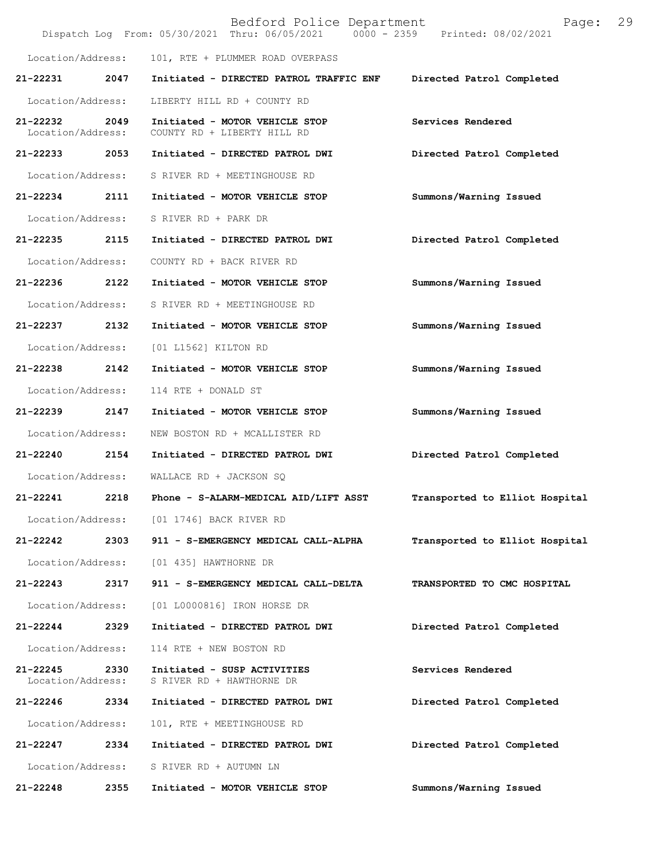|                                   |      | Bedford Police Department<br>Dispatch Log From: 05/30/2021 Thru: 06/05/2021 0000 - 2359 Printed: 08/02/2021 | 29<br>Page:                    |
|-----------------------------------|------|-------------------------------------------------------------------------------------------------------------|--------------------------------|
| Location/Address:                 |      | 101, RTE + PLUMMER ROAD OVERPASS                                                                            |                                |
| 21-22231                          | 2047 | Initiated - DIRECTED PATROL TRAFFIC ENF                                                                     | Directed Patrol Completed      |
| Location/Address:                 |      | LIBERTY HILL RD + COUNTY RD                                                                                 |                                |
| 21-22232<br>Location/Address:     | 2049 | Initiated - MOTOR VEHICLE STOP<br>COUNTY RD + LIBERTY HILL RD                                               | Services Rendered              |
| 21-22233 2053                     |      | Initiated - DIRECTED PATROL DWI                                                                             | Directed Patrol Completed      |
| Location/Address:                 |      | S RIVER RD + MEETINGHOUSE RD                                                                                |                                |
| 21-22234                          | 2111 | Initiated - MOTOR VEHICLE STOP                                                                              | Summons/Warning Issued         |
| Location/Address:                 |      | S RIVER RD + PARK DR                                                                                        |                                |
| 21-22235                          | 2115 | Initiated - DIRECTED PATROL DWI                                                                             | Directed Patrol Completed      |
| Location/Address:                 |      | COUNTY RD + BACK RIVER RD                                                                                   |                                |
| 21-22236 2122                     |      | Initiated - MOTOR VEHICLE STOP                                                                              | Summons/Warning Issued         |
| Location/Address:                 |      | S RIVER RD + MEETINGHOUSE RD                                                                                |                                |
| 21-22237                          | 2132 | Initiated - MOTOR VEHICLE STOP                                                                              | Summons/Warning Issued         |
| Location/Address:                 |      | [01 L1562] KILTON RD                                                                                        |                                |
| 21-22238                          | 2142 | Initiated - MOTOR VEHICLE STOP                                                                              | Summons/Warning Issued         |
| Location/Address:                 |      | 114 RTE + DONALD ST                                                                                         |                                |
| 21-22239 2147                     |      | Initiated - MOTOR VEHICLE STOP                                                                              | Summons/Warning Issued         |
| Location/Address:                 |      | NEW BOSTON RD + MCALLISTER RD                                                                               |                                |
| 21-22240                          | 2154 | Initiated - DIRECTED PATROL DWI                                                                             | Directed Patrol Completed      |
| Location/Address:                 |      | WALLACE RD + JACKSON SQ                                                                                     |                                |
| 21-22241                          | 2218 | Phone - S-ALARM-MEDICAL AID/LIFT ASST                                                                       | Transported to Elliot Hospital |
| Location/Address:                 |      | [01 1746] BACK RIVER RD                                                                                     |                                |
| 21-22242                          | 2303 | 911 - S-EMERGENCY MEDICAL CALL-ALPHA                                                                        | Transported to Elliot Hospital |
| Location/Address:                 |      | [01 435] HAWTHORNE DR                                                                                       |                                |
| 21-22243                          | 2317 | 911 - S-EMERGENCY MEDICAL CALL-DELTA                                                                        | TRANSPORTED TO CMC HOSPITAL    |
| Location/Address:                 |      | [01 L0000816] IRON HORSE DR                                                                                 |                                |
| 21-22244                          | 2329 | Initiated - DIRECTED PATROL DWI                                                                             | Directed Patrol Completed      |
| Location/Address:                 |      | 114 RTE + NEW BOSTON RD                                                                                     |                                |
| $21 - 22245$<br>Location/Address: | 2330 | Initiated - SUSP ACTIVITIES<br>S RIVER RD + HAWTHORNE DR                                                    | Services Rendered              |
| 21-22246                          | 2334 | Initiated - DIRECTED PATROL DWI                                                                             | Directed Patrol Completed      |
| Location/Address:                 |      | 101, RTE + MEETINGHOUSE RD                                                                                  |                                |
| $21 - 22247$                      | 2334 | Initiated - DIRECTED PATROL DWI                                                                             | Directed Patrol Completed      |
| Location/Address:                 |      | S RIVER RD + AUTUMN LN                                                                                      |                                |
| 21-22248                          | 2355 | Initiated - MOTOR VEHICLE STOP                                                                              | Summons/Warning Issued         |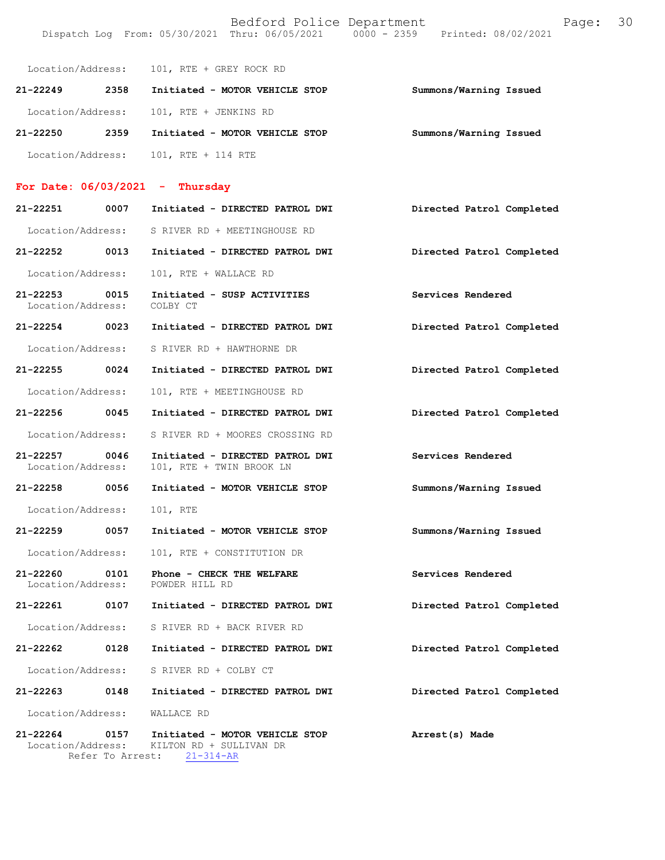|                                       | Location/Address: 101, RTE + GREY ROCK RD                   |                           |
|---------------------------------------|-------------------------------------------------------------|---------------------------|
| 21-22249 2358                         | Initiated - MOTOR VEHICLE STOP                              | Summons/Warning Issued    |
| Location/Address:                     | 101, RTE + JENKINS RD                                       |                           |
| 21-22250 2359                         | Initiated - MOTOR VEHICLE STOP                              | Summons/Warning Issued    |
| Location/Address:                     | 101, RTE + 114 RTE                                          |                           |
| For Date: $06/03/2021$ - Thursday     |                                                             |                           |
| 21-22251 0007                         | Initiated - DIRECTED PATROL DWI                             | Directed Patrol Completed |
|                                       | Location/Address: S RIVER RD + MEETINGHOUSE RD              |                           |
| 21-22252 0013                         | Initiated - DIRECTED PATROL DWI                             | Directed Patrol Completed |
| Location/Address:                     | 101, RTE + WALLACE RD                                       |                           |
| 21-22253 0015<br>Location/Address:    | Initiated - SUSP ACTIVITIES<br>COLBY CT                     | Services Rendered         |
| 21-22254 0023                         | Initiated - DIRECTED PATROL DWI                             | Directed Patrol Completed |
| Location/Address:                     | S RIVER RD + HAWTHORNE DR                                   |                           |
| 21-22255 0024                         | Initiated - DIRECTED PATROL DWI                             | Directed Patrol Completed |
| Location/Address:                     | 101, RTE + MEETINGHOUSE RD                                  |                           |
| 21-22256 0045                         | Initiated - DIRECTED PATROL DWI                             | Directed Patrol Completed |
| Location/Address:                     | S RIVER RD + MOORES CROSSING RD                             |                           |
| 21-22257<br>0046<br>Location/Address: | Initiated - DIRECTED PATROL DWI<br>101, RTE + TWIN BROOK LN | Services Rendered         |
| 21-22258 0056                         | Initiated - MOTOR VEHICLE STOP                              | Summons/Warning Issued    |
| Location/Address:                     | 101, RTE                                                    |                           |
| 21-22259<br>0057                      | Initiated - MOTOR VEHICLE STOP                              | Summons/Warning Issued    |
| Location/Address:                     | 101, RTE + CONSTITUTION DR                                  |                           |
| 21-22260<br>0101<br>Location/Address: | Phone - CHECK THE WELFARE<br>POWDER HILL RD                 | Services Rendered         |
| 21-22261 0107                         | Initiated - DIRECTED PATROL DWI                             | Directed Patrol Completed |
|                                       | Location/Address: S RIVER RD + BACK RIVER RD                |                           |
| 21-22262<br>0128                      | Initiated - DIRECTED PATROL DWI                             | Directed Patrol Completed |
|                                       | Location/Address: S RIVER RD + COLBY CT                     |                           |
| 21-22263<br>0148                      | Initiated - DIRECTED PATROL DWI                             | Directed Patrol Completed |
| Location/Address:                     | WALLACE RD                                                  |                           |
| 21-22264<br>0157                      | Initiated - MOTOR VEHICLE STOP                              | Arrest(s) Made            |

 Location/Address: KILTON RD + SULLIVAN DR Refer To Arrest: 21-314-AR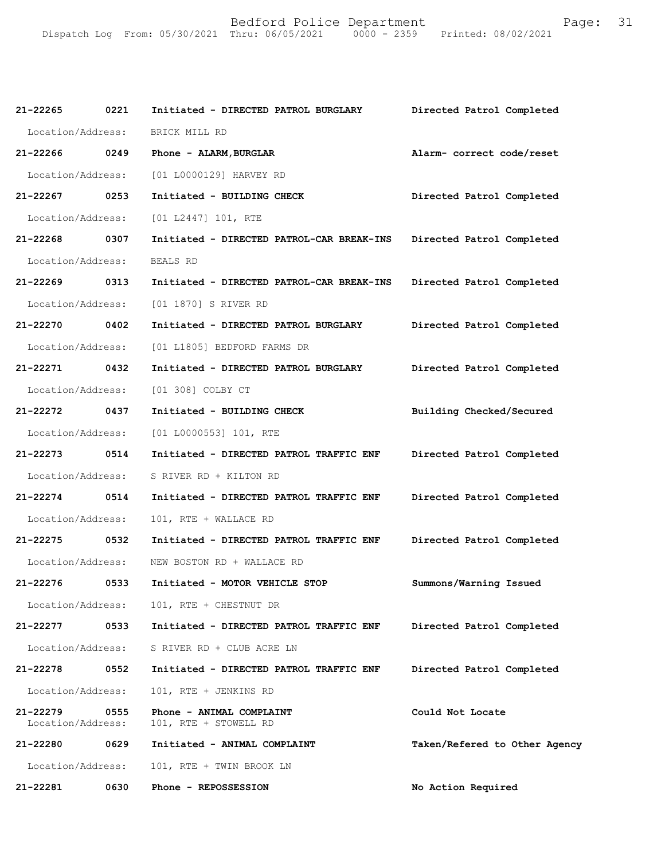| 21-22265                      | 0221 | Initiated - DIRECTED PATROL BURGLARY              | Directed Patrol Completed     |
|-------------------------------|------|---------------------------------------------------|-------------------------------|
| Location/Address:             |      | BRICK MILL RD                                     |                               |
| 21-22266                      | 0249 | Phone - ALARM, BURGLAR                            | Alarm- correct code/reset     |
| Location/Address:             |      | [01 L0000129] HARVEY RD                           |                               |
| 21-22267 0253                 |      | Initiated - BUILDING CHECK                        | Directed Patrol Completed     |
| Location/Address:             |      | [01 L2447] 101, RTE                               |                               |
| 21-22268                      | 0307 | Initiated - DIRECTED PATROL-CAR BREAK-INS         | Directed Patrol Completed     |
| Location/Address:             |      | BEALS RD                                          |                               |
| 21-22269                      | 0313 | Initiated - DIRECTED PATROL-CAR BREAK-INS         | Directed Patrol Completed     |
| Location/Address:             |      | [01 1870] S RIVER RD                              |                               |
| 21-22270                      | 0402 | Initiated - DIRECTED PATROL BURGLARY              | Directed Patrol Completed     |
| Location/Address:             |      | [01 L1805] BEDFORD FARMS DR                       |                               |
| 21-22271                      | 0432 | Initiated - DIRECTED PATROL BURGLARY              | Directed Patrol Completed     |
| Location/Address:             |      | [01 308] COLBY CT                                 |                               |
| 21-22272                      | 0437 | Initiated - BUILDING CHECK                        | Building Checked/Secured      |
| Location/Address:             |      | [01 L0000553] 101, RTE                            |                               |
| 21-22273                      | 0514 | Initiated - DIRECTED PATROL TRAFFIC ENF           | Directed Patrol Completed     |
| Location/Address:             |      | S RIVER RD + KILTON RD                            |                               |
| $21 - 22274$                  | 0514 | Initiated - DIRECTED PATROL TRAFFIC ENF           | Directed Patrol Completed     |
| Location/Address:             |      | 101, RTE + WALLACE RD                             |                               |
| 21-22275                      | 0532 | Initiated - DIRECTED PATROL TRAFFIC ENF           | Directed Patrol Completed     |
| Location/Address:             |      | NEW BOSTON RD + WALLACE RD                        |                               |
| 21-22276                      | 0533 | Initiated - MOTOR VEHICLE STOP                    | Summons/Warning Issued        |
| Location/Address:             |      | 101, RTE + CHESTNUT DR                            |                               |
| 21-22277                      | 0533 | Initiated - DIRECTED PATROL TRAFFIC ENF           | Directed Patrol Completed     |
| Location/Address:             |      | S RIVER RD + CLUB ACRE LN                         |                               |
| 21-22278                      | 0552 | Initiated - DIRECTED PATROL TRAFFIC ENF           | Directed Patrol Completed     |
| Location/Address:             |      | 101, RTE + JENKINS RD                             |                               |
| 21-22279<br>Location/Address: | 0555 | Phone - ANIMAL COMPLAINT<br>101, RTE + STOWELL RD | Could Not Locate              |
| 21-22280                      | 0629 | Initiated - ANIMAL COMPLAINT                      | Taken/Refered to Other Agency |
| Location/Address:             |      | 101, RTE + TWIN BROOK LN                          |                               |
| 21-22281                      | 0630 | Phone - REPOSSESSION                              | No Action Required            |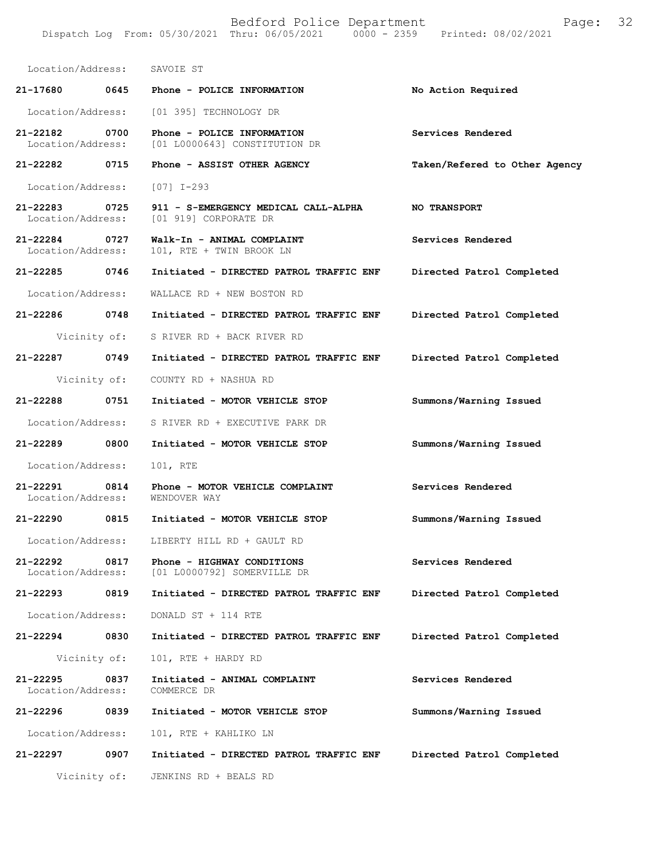Location/Address: SAVOIE ST **21-17680 0645 Phone - POLICE INFORMATION No Action Required**  Location/Address: [01 395] TECHNOLOGY DR **21-22182 0700 Phone - POLICE INFORMATION Services Rendered**  [01 L0000643] CONSTITUTION DR **21-22282 0715 Phone - ASSIST OTHER AGENCY Taken/Refered to Other Agency** Location/Address: [07] I-293 **21-22283 0725 911 - S-EMERGENCY MEDICAL CALL-ALPHA NO TRANSPORT**  [01 919] CORPORATE DR **21-22284 0727 Walk-In - ANIMAL COMPLAINT Services Rendered**  Location/Address: 101, RTE + TWIN BROOK LN **21-22285 0746 Initiated - DIRECTED PATROL TRAFFIC ENF Directed Patrol Completed**  Location/Address: WALLACE RD + NEW BOSTON RD **21-22286 0748 Initiated - DIRECTED PATROL TRAFFIC ENF Directed Patrol Completed**  Vicinity of: S RIVER RD + BACK RIVER RD **21-22287 0749 Initiated - DIRECTED PATROL TRAFFIC ENF Directed Patrol Completed**  Vicinity of: COUNTY RD + NASHUA RD **21-22288 0751 Initiated - MOTOR VEHICLE STOP Summons/Warning Issued**  Location/Address: S RIVER RD + EXECUTIVE PARK DR **21-22289 0800 Initiated - MOTOR VEHICLE STOP Summons/Warning Issued**  Location/Address: 101, RTE **21-22291 0814 Phone - MOTOR VEHICLE COMPLAINT Services Rendered**  Location/Address: WENDOVER WAY **21-22290 0815 Initiated - MOTOR VEHICLE STOP Summons/Warning Issued**  Location/Address: LIBERTY HILL RD + GAULT RD **21-22292 0817 Phone - HIGHWAY CONDITIONS Services Rendered**  Location/Address: [01 L0000792] SOMERVILLE DR **21-22293 0819 Initiated - DIRECTED PATROL TRAFFIC ENF Directed Patrol Completed**  Location/Address: DONALD ST + 114 RTE **21-22294 0830 Initiated - DIRECTED PATROL TRAFFIC ENF Directed Patrol Completed**  Vicinity of: 101, RTE + HARDY RD **21-22295 0837 Initiated - ANIMAL COMPLAINT Services Rendered**  Location/Address: COMMERCE DR **21-22296 0839 Initiated - MOTOR VEHICLE STOP Summons/Warning Issued**  Location/Address: 101, RTE + KAHLIKO LN **21-22297 0907 Initiated - DIRECTED PATROL TRAFFIC ENF Directed Patrol Completed**  Vicinity of: JENKINS RD + BEALS RD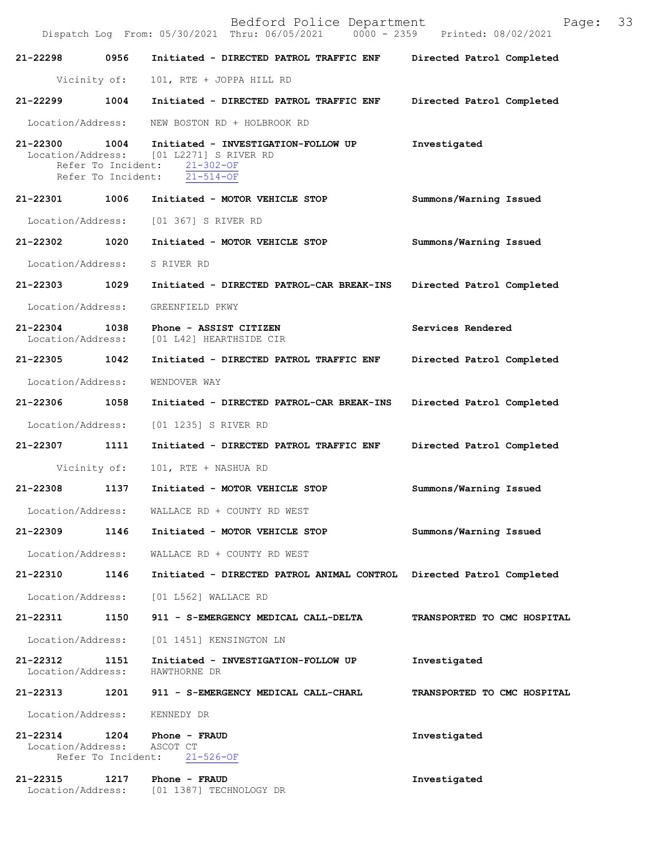|                               |                                                  | Bedford Police Department<br>Dispatch Log From: 05/30/2021 Thru: 06/05/2021 0000 - 2359 Printed: 08/02/2021          | Page:                       | 33 |
|-------------------------------|--------------------------------------------------|----------------------------------------------------------------------------------------------------------------------|-----------------------------|----|
| 21-22298                      | 0956                                             | Initiated - DIRECTED PATROL TRAFFIC ENF Directed Patrol Completed                                                    |                             |    |
|                               | Vicinity of:                                     | 101, RTE + JOPPA HILL RD                                                                                             |                             |    |
| 21-22299 1004                 |                                                  | Initiated - DIRECTED PATROL TRAFFIC ENF                                                                              | Directed Patrol Completed   |    |
| Location/Address:             |                                                  | NEW BOSTON RD + HOLBROOK RD                                                                                          |                             |    |
| 21-22300                      | 1004<br>Refer To Incident:<br>Refer To Incident: | Initiated - INVESTIGATION-FOLLOW UP<br>Location/Address: [01 L2271] S RIVER RD<br>$21 - 302 - OF$<br>$21 - 514 - OF$ | Investigated                |    |
| 21-22301                      |                                                  | 1006 Initiated - MOTOR VEHICLE STOP                                                                                  | Summons/Warning Issued      |    |
| Location/Address:             |                                                  | [01 367] S RIVER RD                                                                                                  |                             |    |
| 21-22302 1020                 |                                                  | Initiated - MOTOR VEHICLE STOP                                                                                       | Summons/Warning Issued      |    |
| Location/Address:             |                                                  | S RIVER RD                                                                                                           |                             |    |
| 21-22303 1029                 |                                                  | Initiated - DIRECTED PATROL-CAR BREAK-INS                                                                            | Directed Patrol Completed   |    |
| Location/Address:             |                                                  | GREENFIELD PKWY                                                                                                      |                             |    |
| 21-22304<br>Location/Address: | 1038                                             | Phone - ASSIST CITIZEN<br>[01 L42] HEARTHSIDE CIR                                                                    | Services Rendered           |    |
| 21-22305 1042                 |                                                  | Initiated - DIRECTED PATROL TRAFFIC ENF                                                                              | Directed Patrol Completed   |    |
| Location/Address:             |                                                  | WENDOVER WAY                                                                                                         |                             |    |
| 21-22306 1058                 |                                                  | Initiated - DIRECTED PATROL-CAR BREAK-INS                                                                            | Directed Patrol Completed   |    |
| Location/Address:             |                                                  | [01 1235] S RIVER RD                                                                                                 |                             |    |
| 21-22307                      | 1111                                             | Initiated - DIRECTED PATROL TRAFFIC ENF                                                                              | Directed Patrol Completed   |    |
|                               | Vicinity of:                                     | 101, RTE + NASHUA RD                                                                                                 |                             |    |
| 21-22308                      | 1137                                             | Initiated - MOTOR VEHICLE STOP                                                                                       | Summons/Warning Issued      |    |
| Location/Address:             |                                                  | WALLACE RD + COUNTY RD WEST                                                                                          |                             |    |
| 21-22309                      |                                                  | 1146 Initiated - MOTOR VEHICLE STOP                                                                                  | Summons/Warning Issued      |    |
| Location/Address:             |                                                  | WALLACE RD + COUNTY RD WEST                                                                                          |                             |    |
| 21-22310 1146                 |                                                  | Initiated - DIRECTED PATROL ANIMAL CONTROL Directed Patrol Completed                                                 |                             |    |
| Location/Address:             |                                                  | [01 L562] WALLACE RD                                                                                                 |                             |    |
| 21-22311 1150                 |                                                  | 911 - S-EMERGENCY MEDICAL CALL-DELTA                                                                                 | TRANSPORTED TO CMC HOSPITAL |    |
| Location/Address:             |                                                  | [01 1451] KENSINGTON LN                                                                                              |                             |    |
| 21-22312<br>Location/Address: | 1151                                             | Initiated - INVESTIGATION-FOLLOW UP<br>HAWTHORNE DR                                                                  | Investigated                |    |
|                               |                                                  | 21-22313 1201 911 - S-EMERGENCY MEDICAL CALL-CHARL                                                                   | TRANSPORTED TO CMC HOSPITAL |    |
| Location/Address: KENNEDY DR  |                                                  |                                                                                                                      |                             |    |
| 21-22314<br>Location/Address: |                                                  | 1204 Phone - FRAUD<br>ASCOT CT<br>Refer To Incident: 21-526-OF                                                       | Investigated                |    |
| 21-22315                      |                                                  | 1217 Phone - FRAUD<br>Location/Address: [01 1387] TECHNOLOGY DR                                                      | Investigated                |    |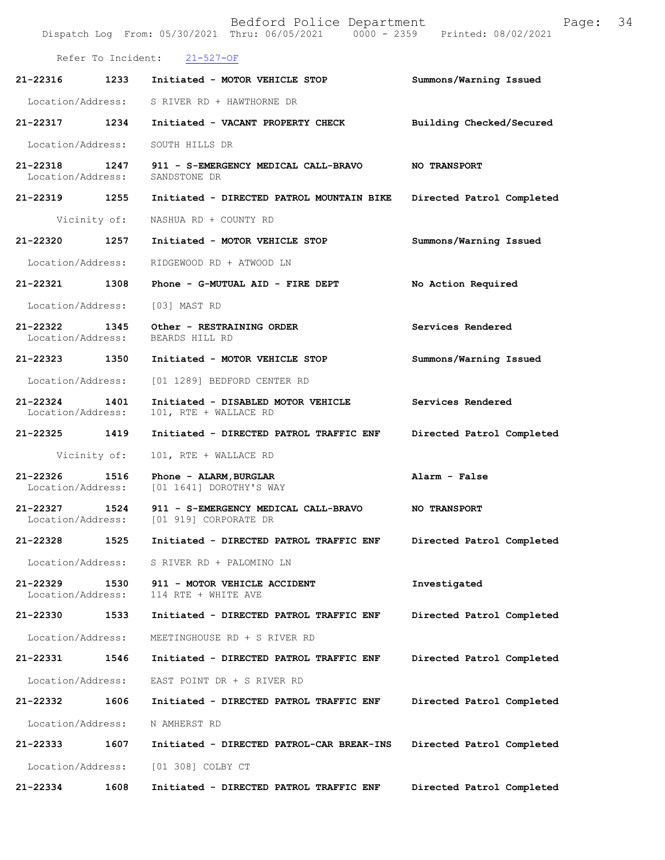|                                    |                    | Bedford Police Department<br>Dispatch Log From: 05/30/2021 Thru: 06/05/2021 0000 - 2359 Printed: 08/02/2021 | Page:                     | 34 |
|------------------------------------|--------------------|-------------------------------------------------------------------------------------------------------------|---------------------------|----|
|                                    | Refer To Incident: | $21 - 527 - OF$                                                                                             |                           |    |
| 21-22316                           | 1233               | Initiated - MOTOR VEHICLE STOP                                                                              | Summons/Warning Issued    |    |
| Location/Address:                  |                    | S RIVER RD + HAWTHORNE DR                                                                                   |                           |    |
| 21-22317                           | 1234               | Initiated - VACANT PROPERTY CHECK                                                                           | Building Checked/Secured  |    |
| Location/Address:                  |                    | SOUTH HILLS DR                                                                                              |                           |    |
| 21-22318 1247<br>Location/Address: |                    | 911 - S-EMERGENCY MEDICAL CALL-BRAVO<br>SANDSTONE DR                                                        | <b>NO TRANSPORT</b>       |    |
| 21-22319                           | 1255               | Initiated - DIRECTED PATROL MOUNTAIN BIKE                                                                   | Directed Patrol Completed |    |
|                                    | Vicinity of:       | NASHUA RD + COUNTY RD                                                                                       |                           |    |
| 21-22320                           | 1257               | Initiated - MOTOR VEHICLE STOP                                                                              | Summons/Warning Issued    |    |
| Location/Address:                  |                    | RIDGEWOOD RD + ATWOOD LN                                                                                    |                           |    |
| 21-22321 1308                      |                    | Phone - G-MUTUAL AID - FIRE DEPT                                                                            | No Action Required        |    |
| Location/Address:                  |                    | [03] MAST RD                                                                                                |                           |    |
| 21-22322<br>Location/Address:      | 1345               | Other - RESTRAINING ORDER<br>BEARDS HILL RD                                                                 | Services Rendered         |    |
| 21-22323 1350                      |                    | Initiated - MOTOR VEHICLE STOP                                                                              | Summons/Warning Issued    |    |
| Location/Address:                  |                    | [01 1289] BEDFORD CENTER RD                                                                                 |                           |    |
| 21-22324<br>Location/Address:      | 1401               | Initiated - DISABLED MOTOR VEHICLE<br>101, RTE + WALLACE RD                                                 | Services Rendered         |    |
| 21-22325                           | 1419               | Initiated - DIRECTED PATROL TRAFFIC ENF                                                                     | Directed Patrol Completed |    |
|                                    | Vicinity of:       | 101, RTE + WALLACE RD                                                                                       |                           |    |
| 21-22326<br>Location/Address:      | 1516               | Phone - ALARM, BURGLAR<br>[01 1641] DOROTHY'S WAY                                                           | Alarm - False             |    |
| $21 - 22327$<br>Location/Address:  | 1524               | 911 - S-EMERGENCY MEDICAL CALL-BRAVO<br>[01 919] CORPORATE DR                                               | <b>NO TRANSPORT</b>       |    |
| 21-22328                           | 1525               | Initiated - DIRECTED PATROL TRAFFIC ENF                                                                     | Directed Patrol Completed |    |
| Location/Address:                  |                    | S RIVER RD + PALOMINO LN                                                                                    |                           |    |
| 21-22329<br>Location/Address:      | 1530               | 911 - MOTOR VEHICLE ACCIDENT<br>114 RTE + WHITE AVE                                                         | Investigated              |    |
| 21-22330                           | 1533               | Initiated - DIRECTED PATROL TRAFFIC ENF                                                                     | Directed Patrol Completed |    |
| Location/Address:                  |                    | MEETINGHOUSE RD + S RIVER RD                                                                                |                           |    |
| 21-22331                           | 1546               | Initiated - DIRECTED PATROL TRAFFIC ENF                                                                     | Directed Patrol Completed |    |
| Location/Address:                  |                    | EAST POINT DR + S RIVER RD                                                                                  |                           |    |
| 21-22332                           | 1606               | Initiated - DIRECTED PATROL TRAFFIC ENF                                                                     | Directed Patrol Completed |    |
| Location/Address:                  |                    | N AMHERST RD                                                                                                |                           |    |
| 21-22333                           | 1607               | Initiated - DIRECTED PATROL-CAR BREAK-INS                                                                   | Directed Patrol Completed |    |
| Location/Address:                  |                    | [01 308] COLBY CT                                                                                           |                           |    |
| 21-22334                           | 1608               | Initiated - DIRECTED PATROL TRAFFIC ENF                                                                     | Directed Patrol Completed |    |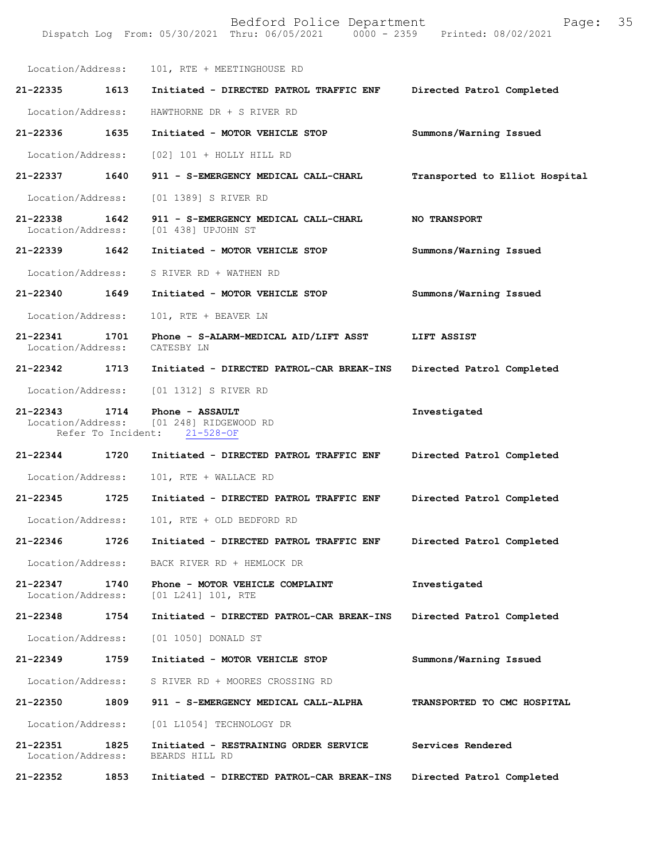| Location/Address:                  |      | 101, RTE + MEETINGHOUSE RD                                               |                                |
|------------------------------------|------|--------------------------------------------------------------------------|--------------------------------|
| 21-22335                           | 1613 | Initiated - DIRECTED PATROL TRAFFIC ENF                                  | Directed Patrol Completed      |
| Location/Address:                  |      | HAWTHORNE DR + S RIVER RD                                                |                                |
| 21-22336                           | 1635 | Initiated - MOTOR VEHICLE STOP                                           | Summons/Warning Issued         |
| Location/Address:                  |      | $[02]$ 101 + HOLLY HILL RD                                               |                                |
| 21-22337 1640                      |      | 911 - S-EMERGENCY MEDICAL CALL-CHARL                                     | Transported to Elliot Hospital |
| Location/Address:                  |      | [01 1389] S RIVER RD                                                     |                                |
| 21-22338<br>Location/Address:      | 1642 | 911 - S-EMERGENCY MEDICAL CALL-CHARL<br>[01 438] UPJOHN ST               | <b>NO TRANSPORT</b>            |
| 21-22339                           | 1642 | Initiated - MOTOR VEHICLE STOP                                           | Summons/Warning Issued         |
| Location/Address:                  |      | S RIVER RD + WATHEN RD                                                   |                                |
| 21-22340 1649                      |      | Initiated - MOTOR VEHICLE STOP                                           | Summons/Warning Issued         |
| Location/Address:                  |      | 101, RTE + BEAVER LN                                                     |                                |
| $21 - 22341$<br>Location/Address:  | 1701 | Phone - S-ALARM-MEDICAL AID/LIFT ASST<br>CATESBY LN                      | LIFT ASSIST                    |
| 21-22342 1713                      |      | Initiated - DIRECTED PATROL-CAR BREAK-INS                                | Directed Patrol Completed      |
| Location/Address:                  |      | [01 1312] S RIVER RD                                                     |                                |
| 21-22343 1714<br>Location/Address: |      | Phone - ASSAULT<br>[01 248] RIDGEWOOD RD<br>Refer To Incident: 21-528-OF | Investigated                   |
| $21 - 22344$                       | 1720 | Initiated - DIRECTED PATROL TRAFFIC ENF                                  | Directed Patrol Completed      |
| Location/Address:                  |      | 101, RTE + WALLACE RD                                                    |                                |
| $21 - 22345$                       | 1725 | Initiated - DIRECTED PATROL TRAFFIC ENF                                  | Directed Patrol Completed      |
| Location/Address:                  |      | 101, RTE + OLD BEDFORD RD                                                |                                |
|                                    |      | 21-22346 1726 Initiated - DIRECTED PATROL TRAFFIC ENF                    | Directed Patrol Completed      |
| Location/Address:                  |      | BACK RIVER RD + HEMLOCK DR                                               |                                |
| 21-22347<br>Location/Address:      | 1740 | Phone - MOTOR VEHICLE COMPLAINT<br>$[01 L241] 101$ , RTE                 | Investigated                   |
| 21-22348                           | 1754 | Initiated - DIRECTED PATROL-CAR BREAK-INS                                | Directed Patrol Completed      |
| Location/Address:                  |      | [01 1050] DONALD ST                                                      |                                |
| 21-22349                           | 1759 | Initiated - MOTOR VEHICLE STOP                                           | Summons/Warning Issued         |
| Location/Address:                  |      | S RIVER RD + MOORES CROSSING RD                                          |                                |
| 21-22350                           | 1809 | 911 - S-EMERGENCY MEDICAL CALL-ALPHA                                     | TRANSPORTED TO CMC HOSPITAL    |
| Location/Address:                  |      | [01 L1054] TECHNOLOGY DR                                                 |                                |
| 21-22351<br>Location/Address:      | 1825 | Initiated - RESTRAINING ORDER SERVICE<br>BEARDS HILL RD                  | Services Rendered              |
| 21-22352                           | 1853 | Initiated - DIRECTED PATROL-CAR BREAK-INS                                | Directed Patrol Completed      |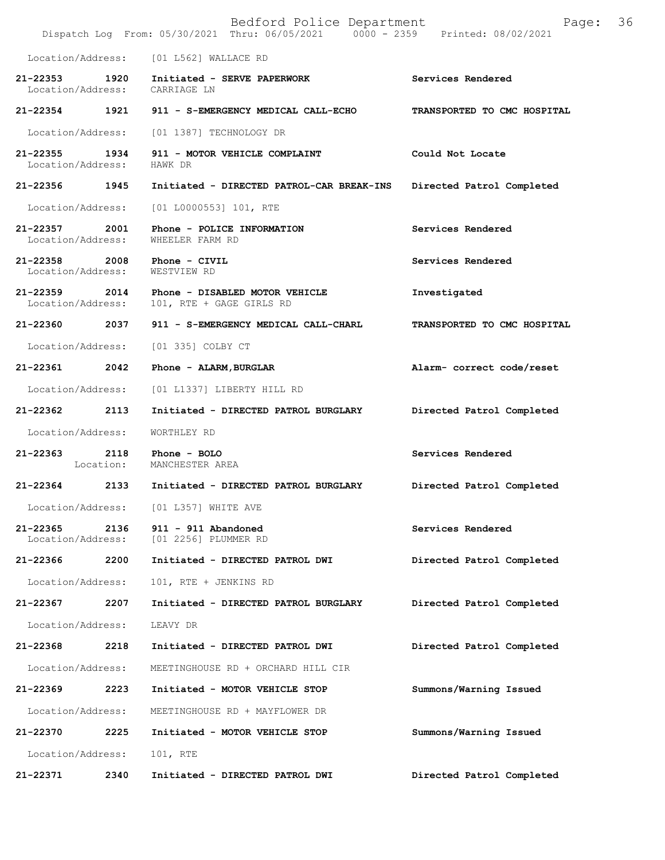|                                    |           | Bedford Police Department<br>Dispatch Log From: 05/30/2021 Thru: 06/05/2021 0000 - 2359 Printed: 08/02/2021 | Page:                       | 36 |
|------------------------------------|-----------|-------------------------------------------------------------------------------------------------------------|-----------------------------|----|
|                                    |           | Location/Address: [01 L562] WALLACE RD                                                                      |                             |    |
|                                    |           | 21-22353 1920 Initiated - SERVE PAPERWORK<br>Location/Address: CARRIAGE LN                                  | Services Rendered           |    |
| 21-22354 1921                      |           | 911 - S-EMERGENCY MEDICAL CALL-ECHO                                                                         | TRANSPORTED TO CMC HOSPITAL |    |
| Location/Address:                  |           | [01 1387] TECHNOLOGY DR                                                                                     |                             |    |
| 21-22355 1934<br>Location/Address: |           | 911 - MOTOR VEHICLE COMPLAINT<br>HAWK DR                                                                    | Could Not Locate            |    |
| 21-22356 1945                      |           | Initiated - DIRECTED PATROL-CAR BREAK-INS                                                                   | Directed Patrol Completed   |    |
| Location/Address:                  |           | [01 L0000553] 101, RTE                                                                                      |                             |    |
| $21 - 22357$<br>Location/Address:  | 2001      | Phone - POLICE INFORMATION<br>WHEELER FARM RD                                                               | Services Rendered           |    |
| 21-22358<br>Location/Address:      | 2008      | Phone - CIVIL<br>WESTVIEW RD                                                                                | Services Rendered           |    |
| 21-22359<br>Location/Address:      | 2014      | Phone - DISABLED MOTOR VEHICLE<br>101, RTE + GAGE GIRLS RD                                                  | Investigated                |    |
| 21-22360 2037                      |           | 911 - S-EMERGENCY MEDICAL CALL-CHARL                                                                        | TRANSPORTED TO CMC HOSPITAL |    |
| Location/Address:                  |           | [01 335] COLBY CT                                                                                           |                             |    |
| 21-22361                           | 2042      | Phone - ALARM, BURGLAR                                                                                      | Alarm- correct code/reset   |    |
| Location/Address:                  |           | [01 L1337] LIBERTY HILL RD                                                                                  |                             |    |
| 21-22362                           | 2113      | Initiated - DIRECTED PATROL BURGLARY                                                                        | Directed Patrol Completed   |    |
| Location/Address:                  |           | WORTHLEY RD                                                                                                 |                             |    |
| 21-22363 2118                      | Location: | Phone - BOLO<br>MANCHESTER AREA                                                                             | Services Rendered           |    |
| 21-22364                           | 2133      | Initiated - DIRECTED PATROL BURGLARY                                                                        | Directed Patrol Completed   |    |
| Location/Address:                  |           | [01 L357] WHITE AVE                                                                                         |                             |    |
| $21 - 22365$<br>Location/Address:  | 2136      | 911 - 911 Abandoned<br>[01 2256] PLUMMER RD                                                                 | Services Rendered           |    |
| 21-22366                           | 2200      | Initiated - DIRECTED PATROL DWI                                                                             | Directed Patrol Completed   |    |
| Location/Address:                  |           | 101, RTE + JENKINS RD                                                                                       |                             |    |
| 21-22367                           | 2207      | Initiated - DIRECTED PATROL BURGLARY                                                                        | Directed Patrol Completed   |    |
| Location/Address:                  |           | LEAVY DR                                                                                                    |                             |    |
| 21-22368                           | 2218      | Initiated - DIRECTED PATROL DWI                                                                             | Directed Patrol Completed   |    |
| Location/Address:                  |           | MEETINGHOUSE RD + ORCHARD HILL CIR                                                                          |                             |    |
| 21-22369                           | 2223      | Initiated - MOTOR VEHICLE STOP                                                                              | Summons/Warning Issued      |    |
| Location/Address:                  |           | MEETINGHOUSE RD + MAYFLOWER DR                                                                              |                             |    |
| 21-22370                           | 2225      | Initiated - MOTOR VEHICLE STOP                                                                              | Summons/Warning Issued      |    |
| Location/Address:                  |           | 101, RTE                                                                                                    |                             |    |
| 21-22371                           | 2340      | Initiated - DIRECTED PATROL DWI                                                                             | Directed Patrol Completed   |    |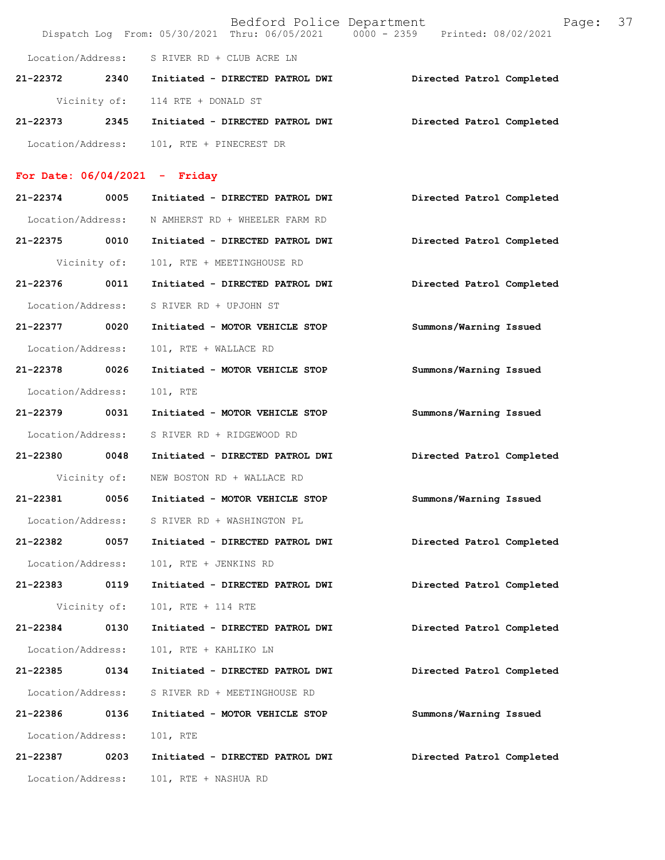|                                 |      | Bedford Police Department                     | Dispatch Log From: 05/30/2021 Thru: 06/05/2021 0000 - 2359 Printed: 08/02/2021 | 37<br>Page: |
|---------------------------------|------|-----------------------------------------------|--------------------------------------------------------------------------------|-------------|
|                                 |      | Location/Address: S RIVER RD + CLUB ACRE LN   |                                                                                |             |
|                                 |      | 21-22372 2340 Initiated - DIRECTED PATROL DWI | Directed Patrol Completed                                                      |             |
|                                 |      | Vicinity of: 114 RTE + DONALD ST              |                                                                                |             |
| 21-22373                        | 2345 | Initiated - DIRECTED PATROL DWI               | Directed Patrol Completed                                                      |             |
| Location/Address:               |      | 101, RTE + PINECREST DR                       |                                                                                |             |
| For Date: $06/04/2021$ - Friday |      |                                               |                                                                                |             |
| 21-22374                        | 0005 | Initiated - DIRECTED PATROL DWI               | Directed Patrol Completed                                                      |             |
| Location/Address:               |      | N AMHERST RD + WHEELER FARM RD                |                                                                                |             |
| 21-22375                        | 0010 | Initiated - DIRECTED PATROL DWI               | Directed Patrol Completed                                                      |             |
| Vicinity of:                    |      | 101, RTE + MEETINGHOUSE RD                    |                                                                                |             |
| 21-22376                        | 0011 | Initiated - DIRECTED PATROL DWI               | Directed Patrol Completed                                                      |             |
| Location/Address:               |      | S RIVER RD + UPJOHN ST                        |                                                                                |             |
| 21-22377                        | 0020 | Initiated - MOTOR VEHICLE STOP                | Summons/Warning Issued                                                         |             |
| Location/Address:               |      | 101, RTE + WALLACE RD                         |                                                                                |             |
| 21-22378                        | 0026 | Initiated - MOTOR VEHICLE STOP                | Summons/Warning Issued                                                         |             |
| Location/Address:               |      | 101, RTE                                      |                                                                                |             |
| 21-22379 0031                   |      | Initiated - MOTOR VEHICLE STOP                | Summons/Warning Issued                                                         |             |
| Location/Address:               |      | S RIVER RD + RIDGEWOOD RD                     |                                                                                |             |
| 21-22380 0048                   |      | Initiated - DIRECTED PATROL DWI               | Directed Patrol Completed                                                      |             |
|                                 |      | Vicinity of: NEW BOSTON RD + WALLACE RD       |                                                                                |             |
| 21-22381                        | 0056 | Initiated - MOTOR VEHICLE STOP                | Summons/Warning Issued                                                         |             |
|                                 |      | Location/Address: S RIVER RD + WASHINGTON PL  |                                                                                |             |
| 21-22382                        | 0057 | Initiated - DIRECTED PATROL DWI               | Directed Patrol Completed                                                      |             |
| Location/Address:               |      | 101, RTE + JENKINS RD                         |                                                                                |             |
| 21-22383                        | 0119 | Initiated - DIRECTED PATROL DWI               | Directed Patrol Completed                                                      |             |
| Vicinity of:                    |      | 101, RTE + 114 RTE                            |                                                                                |             |
| 21-22384                        | 0130 | Initiated - DIRECTED PATROL DWI               | Directed Patrol Completed                                                      |             |
| Location/Address:               |      | 101, RTE + KAHLIKO LN                         |                                                                                |             |
| 21-22385                        | 0134 | Initiated - DIRECTED PATROL DWI               | Directed Patrol Completed                                                      |             |
| Location/Address:               |      | S RIVER RD + MEETINGHOUSE RD                  |                                                                                |             |
| 21-22386                        | 0136 | Initiated - MOTOR VEHICLE STOP                | Summons/Warning Issued                                                         |             |
| Location/Address:               |      | 101, RTE                                      |                                                                                |             |
| 21-22387                        | 0203 | Initiated - DIRECTED PATROL DWI               | Directed Patrol Completed                                                      |             |
| Location/Address:               |      | 101, RTE + NASHUA RD                          |                                                                                |             |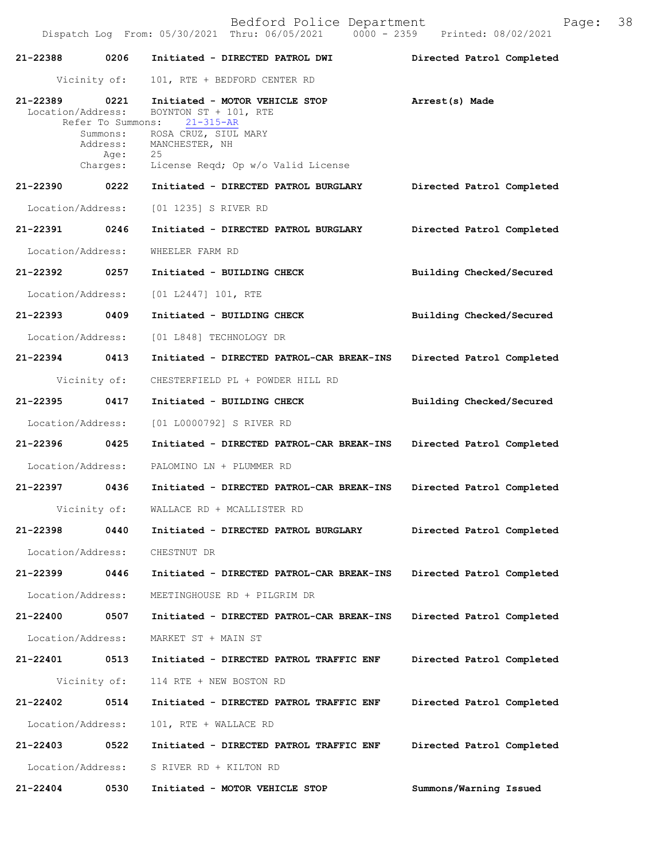| 21-22388 0206                      |                                                               | Initiated - DIRECTED PATROL DWI                                                                                                                                  | Directed Patrol Completed |
|------------------------------------|---------------------------------------------------------------|------------------------------------------------------------------------------------------------------------------------------------------------------------------|---------------------------|
|                                    | Vicinity of:                                                  | 101, RTE + BEDFORD CENTER RD                                                                                                                                     |                           |
| 21-22389 0221<br>Location/Address: | Refer To Summons:<br>Summons:<br>Address:<br>Age:<br>Charges: | Initiated - MOTOR VEHICLE STOP<br>BOYNTON ST + 101, RTE<br>$21 - 315 - AR$<br>ROSA CRUZ, SIUL MARY<br>MANCHESTER, NH<br>25<br>License Reqd; Op w/o Valid License | Arrest(s) Made            |
| 21-22390 0222                      |                                                               | Initiated - DIRECTED PATROL BURGLARY                                                                                                                             | Directed Patrol Completed |
| Location/Address:                  |                                                               | [01 1235] S RIVER RD                                                                                                                                             |                           |
| 21-22391 0246                      |                                                               | Initiated - DIRECTED PATROL BURGLARY                                                                                                                             | Directed Patrol Completed |
| Location/Address:                  |                                                               | WHEELER FARM RD                                                                                                                                                  |                           |
| 21-22392 0257                      |                                                               | Initiated - BUILDING CHECK                                                                                                                                       | Building Checked/Secured  |
| Location/Address:                  |                                                               | [01 L2447] 101, RTE                                                                                                                                              |                           |
| 21-22393 0409                      |                                                               | Initiated - BUILDING CHECK                                                                                                                                       | Building Checked/Secured  |
| Location/Address:                  |                                                               | [01 L848] TECHNOLOGY DR                                                                                                                                          |                           |
| 21-22394 0413                      |                                                               | Initiated - DIRECTED PATROL-CAR BREAK-INS                                                                                                                        | Directed Patrol Completed |
|                                    | Vicinity of:                                                  | CHESTERFIELD PL + POWDER HILL RD                                                                                                                                 |                           |
| 21-22395 0417                      |                                                               | Initiated - BUILDING CHECK                                                                                                                                       | Building Checked/Secured  |
| Location/Address:                  |                                                               | [01 L0000792] S RIVER RD                                                                                                                                         |                           |
| 21-22396 0425                      |                                                               | Initiated - DIRECTED PATROL-CAR BREAK-INS                                                                                                                        | Directed Patrol Completed |
| Location/Address:                  |                                                               | PALOMINO LN + PLUMMER RD                                                                                                                                         |                           |
|                                    |                                                               | 21-22397 0436 Initiated - DIRECTED PATROL-CAR BREAK-INS                                                                                                          | Directed Patrol Completed |
|                                    |                                                               | Vicinity of: WALLACE RD + MCALLISTER RD                                                                                                                          |                           |
|                                    |                                                               | 21-22398 0440 Initiated - DIRECTED PATROL BURGLARY                                                                                                               | Directed Patrol Completed |
| Location/Address:                  |                                                               | CHESTNUT DR                                                                                                                                                      |                           |
| 21-22399                           | 0446                                                          | Initiated - DIRECTED PATROL-CAR BREAK-INS                                                                                                                        | Directed Patrol Completed |
| Location/Address:                  |                                                               | MEETINGHOUSE RD + PILGRIM DR                                                                                                                                     |                           |
| 21-22400                           | 0507                                                          | Initiated - DIRECTED PATROL-CAR BREAK-INS                                                                                                                        | Directed Patrol Completed |
| Location/Address:                  |                                                               | MARKET ST + MAIN ST                                                                                                                                              |                           |
| 21-22401                           | 0513                                                          | Initiated - DIRECTED PATROL TRAFFIC ENF                                                                                                                          | Directed Patrol Completed |
|                                    | Vicinity of:                                                  | 114 RTE + NEW BOSTON RD                                                                                                                                          |                           |
| 21-22402                           | 0514                                                          | Initiated - DIRECTED PATROL TRAFFIC ENF                                                                                                                          | Directed Patrol Completed |
| Location/Address:                  |                                                               | 101, RTE + WALLACE RD                                                                                                                                            |                           |
| 21-22403 0522                      |                                                               | Initiated - DIRECTED PATROL TRAFFIC ENF                                                                                                                          | Directed Patrol Completed |
| Location/Address:                  |                                                               | S RIVER RD + KILTON RD                                                                                                                                           |                           |
| 21-22404                           | 0530                                                          | Initiated - MOTOR VEHICLE STOP                                                                                                                                   | Summons/Warning Issued    |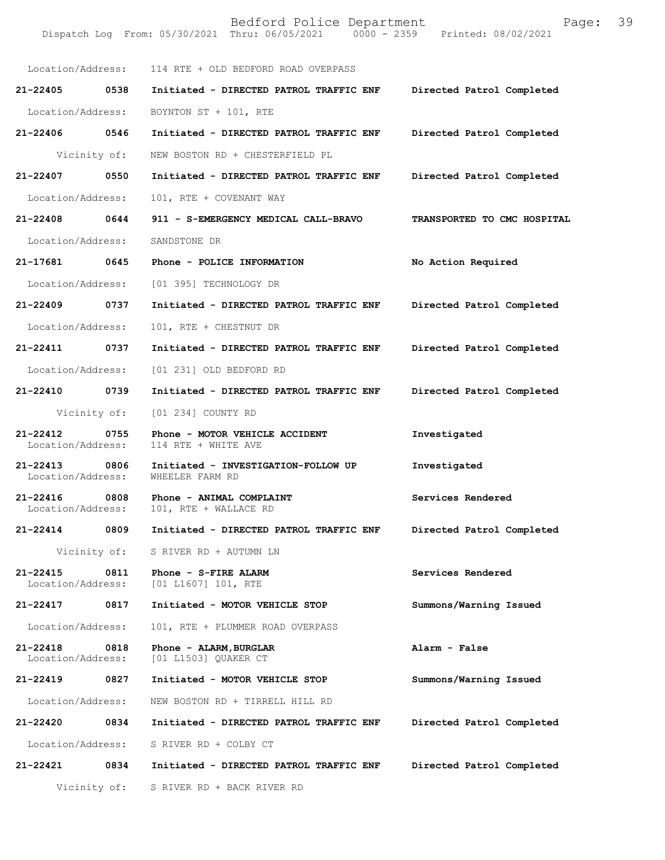Bedford Police Department Page: 39 Dispatch Log From: 05/30/2021 Thru: 06/05/2021 Location/Address: 114 RTE + OLD BEDFORD ROAD OVERPASS **21-22405 0538 Initiated - DIRECTED PATROL TRAFFIC ENF Directed Patrol Completed**  Location/Address: BOYNTON ST + 101, RTE **21-22406 0546 Initiated - DIRECTED PATROL TRAFFIC ENF Directed Patrol Completed**  Vicinity of: NEW BOSTON RD + CHESTERFIELD PL **21-22407 0550 Initiated - DIRECTED PATROL TRAFFIC ENF Directed Patrol Completed**  Location/Address: 101, RTE + COVENANT WAY **21-22408 0644 911 - S-EMERGENCY MEDICAL CALL-BRAVO TRANSPORTED TO CMC HOSPITAL**  Location/Address: SANDSTONE DR **21-17681 0645 Phone - POLICE INFORMATION No Action Required**  Location/Address: [01 395] TECHNOLOGY DR **21-22409 0737 Initiated - DIRECTED PATROL TRAFFIC ENF Directed Patrol Completed**  Location/Address: 101, RTE + CHESTNUT DR **21-22411 0737 Initiated - DIRECTED PATROL TRAFFIC ENF Directed Patrol Completed**  Location/Address: [01 231] OLD BEDFORD RD **21-22410 0739 Initiated - DIRECTED PATROL TRAFFIC ENF Directed Patrol Completed**  Vicinity of: [01 234] COUNTY RD **21-22412 0755 Phone - MOTOR VEHICLE ACCIDENT Investigated**  Location/Address: 114 RTE + WHITE AVE **21-22413 0806 Initiated - INVESTIGATION-FOLLOW UP Investigated**  Location/Address: **21-22416** 0808 Phone - ANIMAL COMPLAINT **Services Rendered Location/Address:** 101, RTE + WALLACE RD 101, RTE + WALLACE RD **21-22414 0809 Initiated - DIRECTED PATROL TRAFFIC ENF Directed Patrol Completed**  Vicinity of: S RIVER RD + AUTUMN LN **21-22415** 0811 Phone - S-FIRE ALARM **Services Rendered Services Rendered Integral Services Rendered**  $[01 L1607] 101, RTE$ **21-22417 0817 Initiated - MOTOR VEHICLE STOP Summons/Warning Issued**  Location/Address: 101, RTE + PLUMMER ROAD OVERPASS **21-22418 0818 Phone - ALARM,BURGLAR Alarm - False**  Location/Address: [01 L1503] QUAKER CT **21-22419 0827 Initiated - MOTOR VEHICLE STOP Summons/Warning Issued**  Location/Address: NEW BOSTON RD + TIRRELL HILL RD **21-22420 0834 Initiated - DIRECTED PATROL TRAFFIC ENF Directed Patrol Completed**  Location/Address: S RIVER RD + COLBY CT **21-22421 0834 Initiated - DIRECTED PATROL TRAFFIC ENF Directed Patrol Completed**  Vicinity of: S RIVER RD + BACK RIVER RD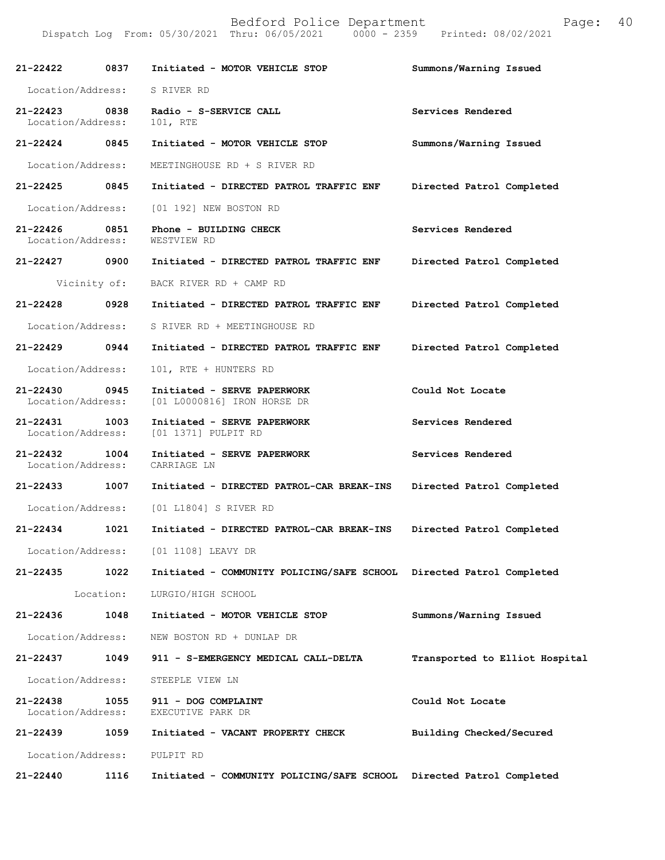| $21 - 22422$                  | 0837      | Initiated - MOTOR VEHICLE STOP                                       | Summons/Warning Issued         |
|-------------------------------|-----------|----------------------------------------------------------------------|--------------------------------|
| Location/Address:             |           | S RIVER RD                                                           |                                |
| 21-22423<br>Location/Address: | 0838      | Radio - S-SERVICE CALL<br>101, RTE                                   | Services Rendered              |
| 21-22424                      | 0845      | Initiated - MOTOR VEHICLE STOP                                       | Summons/Warning Issued         |
| Location/Address:             |           | MEETINGHOUSE RD + S RIVER RD                                         |                                |
| 21-22425                      | 0845      | Initiated - DIRECTED PATROL TRAFFIC ENF                              | Directed Patrol Completed      |
| Location/Address:             |           | [01 192] NEW BOSTON RD                                               |                                |
| 21-22426<br>Location/Address: | 0851      | Phone - BUILDING CHECK<br>WESTVIEW RD                                | Services Rendered              |
| 21-22427                      | 0900      | Initiated - DIRECTED PATROL TRAFFIC ENF                              | Directed Patrol Completed      |
| Vicinity of:                  |           | BACK RIVER RD + CAMP RD                                              |                                |
| 21-22428                      | 0928      | Initiated - DIRECTED PATROL TRAFFIC ENF                              | Directed Patrol Completed      |
| Location/Address:             |           | S RIVER RD + MEETINGHOUSE RD                                         |                                |
| 21-22429                      | 0944      | Initiated - DIRECTED PATROL TRAFFIC ENF                              | Directed Patrol Completed      |
| Location/Address:             |           | 101, RTE + HUNTERS RD                                                |                                |
| 21-22430<br>Location/Address: | 0945      | Initiated - SERVE PAPERWORK<br>[01 L0000816] IRON HORSE DR           | Could Not Locate               |
| 21-22431<br>Location/Address: | 1003      | Initiated - SERVE PAPERWORK<br>[01 1371] PULPIT RD                   | Services Rendered              |
| 21-22432<br>Location/Address: | 1004      | Initiated - SERVE PAPERWORK<br>CARRIAGE LN                           | Services Rendered              |
| 21-22433                      | 1007      | Initiated - DIRECTED PATROL-CAR BREAK-INS                            | Directed Patrol Completed      |
| Location/Address:             |           | [01 L1804] S RIVER RD                                                |                                |
| 21-22434                      | 1021      | Initiated - DIRECTED PATROL-CAR BREAK-INS                            | Directed Patrol Completed      |
| Location/Address:             |           | [01 1108] LEAVY DR                                                   |                                |
| 21-22435                      | 1022      | Initiated - COMMUNITY POLICING/SAFE SCHOOL Directed Patrol Completed |                                |
|                               | Location: | LURGIO/HIGH SCHOOL                                                   |                                |
| 21-22436                      | 1048      | Initiated - MOTOR VEHICLE STOP                                       | Summons/Warning Issued         |
| Location/Address:             |           | NEW BOSTON RD + DUNLAP DR                                            |                                |
| 21-22437                      | 1049      | 911 - S-EMERGENCY MEDICAL CALL-DELTA                                 | Transported to Elliot Hospital |
| Location/Address:             |           | STEEPLE VIEW LN                                                      |                                |
| 21-22438<br>Location/Address: | 1055      | 911 - DOG COMPLAINT<br>EXECUTIVE PARK DR                             | Could Not Locate               |
| 21-22439                      | 1059      | Initiated - VACANT PROPERTY CHECK                                    | Building Checked/Secured       |
| Location/Address:             |           | PULPIT RD                                                            |                                |
| 21-22440                      | 1116      | Initiated - COMMUNITY POLICING/SAFE SCHOOL Directed Patrol Completed |                                |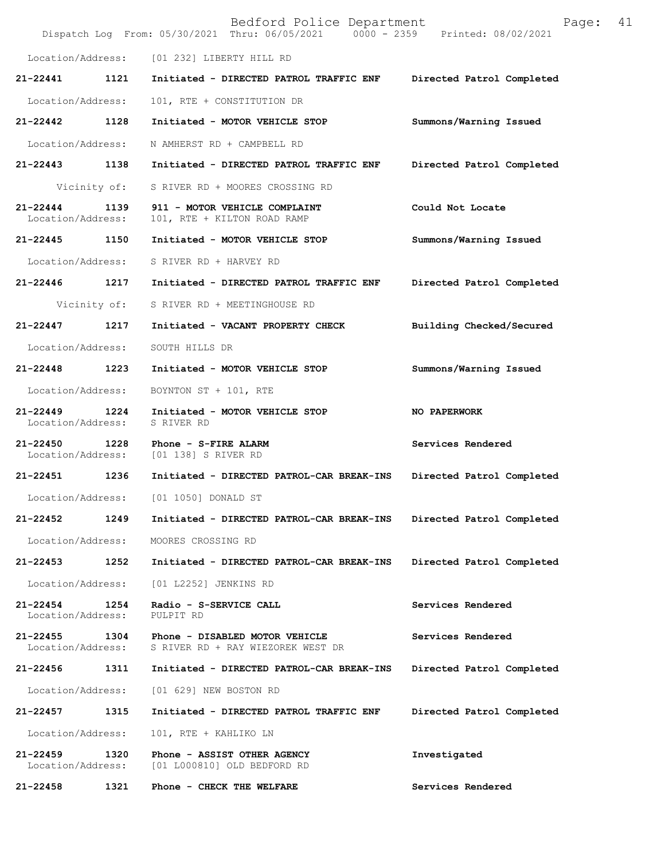|                                   |              | Bedford Police Department<br>Dispatch Log From: 05/30/2021 Thru: 06/05/2021 0000 - 2359 Printed: 08/02/2021 | Page:                     | 41 |
|-----------------------------------|--------------|-------------------------------------------------------------------------------------------------------------|---------------------------|----|
|                                   |              | Location/Address: [01 232] LIBERTY HILL RD                                                                  |                           |    |
| 21-22441                          | 1121         | Initiated - DIRECTED PATROL TRAFFIC ENF                                                                     | Directed Patrol Completed |    |
| Location/Address:                 |              | 101, RTE + CONSTITUTION DR                                                                                  |                           |    |
| 21-22442                          | 1128         | Initiated - MOTOR VEHICLE STOP                                                                              | Summons/Warning Issued    |    |
| Location/Address:                 |              | N AMHERST RD + CAMPBELL RD                                                                                  |                           |    |
| 21-22443 1138                     |              | Initiated - DIRECTED PATROL TRAFFIC ENF                                                                     | Directed Patrol Completed |    |
|                                   | Vicinity of: | S RIVER RD + MOORES CROSSING RD                                                                             |                           |    |
| $21 - 22444$<br>Location/Address: | 1139         | 911 - MOTOR VEHICLE COMPLAINT<br>101, RTE + KILTON ROAD RAMP                                                | Could Not Locate          |    |
| 21-22445 1150                     |              | Initiated - MOTOR VEHICLE STOP                                                                              | Summons/Warning Issued    |    |
| Location/Address:                 |              | S RIVER RD + HARVEY RD                                                                                      |                           |    |
| 21-22446 1217                     |              | Initiated - DIRECTED PATROL TRAFFIC ENF                                                                     | Directed Patrol Completed |    |
|                                   | Vicinity of: | S RIVER RD + MEETINGHOUSE RD                                                                                |                           |    |
| $21 - 22447$                      | 1217         | Initiated - VACANT PROPERTY CHECK                                                                           | Building Checked/Secured  |    |
| Location/Address:                 |              | SOUTH HILLS DR                                                                                              |                           |    |
| 21-22448                          | 1223         | Initiated - MOTOR VEHICLE STOP                                                                              | Summons/Warning Issued    |    |
| Location/Address:                 |              | BOYNTON ST + 101, RTE                                                                                       |                           |    |
| 21-22449<br>Location/Address:     | 1224         | Initiated - MOTOR VEHICLE STOP<br>S RIVER RD                                                                | NO PAPERWORK              |    |
| 21-22450<br>Location/Address:     | 1228         | Phone - S-FIRE ALARM<br>[01 138] S RIVER RD                                                                 | Services Rendered         |    |
| 21-22451 1236                     |              | Initiated - DIRECTED PATROL-CAR BREAK-INS                                                                   | Directed Patrol Completed |    |
| Location/Address:                 |              | [01 1050] DONALD ST                                                                                         |                           |    |
| 21-22452                          | 1249         | Initiated - DIRECTED PATROL-CAR BREAK-INS                                                                   | Directed Patrol Completed |    |
| Location/Address:                 |              | MOORES CROSSING RD                                                                                          |                           |    |
| 21-22453                          | 1252         | Initiated - DIRECTED PATROL-CAR BREAK-INS                                                                   | Directed Patrol Completed |    |
| Location/Address:                 |              | [01 L2252] JENKINS RD                                                                                       |                           |    |
| $21 - 22454$<br>Location/Address: | 1254         | Radio - S-SERVICE CALL<br>PULPIT RD                                                                         | Services Rendered         |    |
| 21-22455<br>Location/Address:     | 1304         | Phone - DISABLED MOTOR VEHICLE<br>S RIVER RD + RAY WIEZOREK WEST DR                                         | Services Rendered         |    |
| 21-22456                          | 1311         | Initiated - DIRECTED PATROL-CAR BREAK-INS                                                                   | Directed Patrol Completed |    |
| Location/Address:                 |              | [01 629] NEW BOSTON RD                                                                                      |                           |    |
| 21-22457                          | 1315         | Initiated - DIRECTED PATROL TRAFFIC ENF                                                                     | Directed Patrol Completed |    |
| Location/Address:                 |              | 101, RTE + KAHLIKO LN                                                                                       |                           |    |
| $21 - 22459$<br>Location/Address: | 1320         | Phone - ASSIST OTHER AGENCY<br>[01 L000810] OLD BEDFORD RD                                                  | Investigated              |    |
| 21-22458                          | 1321         | Phone - CHECK THE WELFARE                                                                                   | Services Rendered         |    |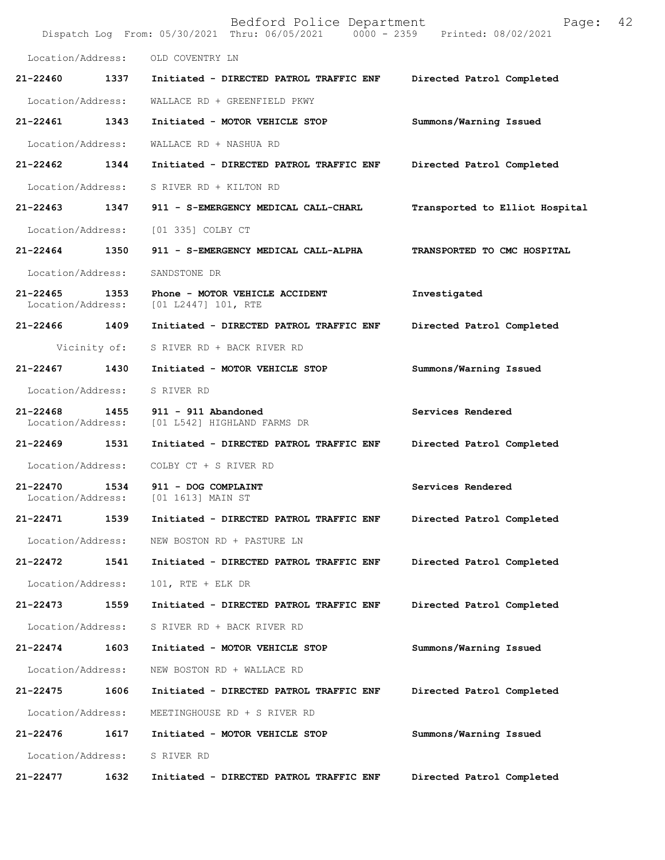|                                   |              | Bedford Police Department<br>Dispatch Log From: 05/30/2021 Thru: 06/05/2021 0000 - 2359 Printed: 08/02/2021 | Page:                          | 42 |
|-----------------------------------|--------------|-------------------------------------------------------------------------------------------------------------|--------------------------------|----|
| Location/Address:                 |              | OLD COVENTRY LN                                                                                             |                                |    |
| 21-22460                          | 1337         | Initiated - DIRECTED PATROL TRAFFIC ENF                                                                     | Directed Patrol Completed      |    |
| Location/Address:                 |              | WALLACE RD + GREENFIELD PKWY                                                                                |                                |    |
| 21-22461                          | 1343         | Initiated - MOTOR VEHICLE STOP                                                                              | Summons/Warning Issued         |    |
| Location/Address:                 |              | WALLACE RD + NASHUA RD                                                                                      |                                |    |
| 21-22462                          | 1344         | Initiated - DIRECTED PATROL TRAFFIC ENF                                                                     | Directed Patrol Completed      |    |
| Location/Address:                 |              | S RIVER RD + KILTON RD                                                                                      |                                |    |
| 21-22463                          | 1347         | 911 - S-EMERGENCY MEDICAL CALL-CHARL                                                                        | Transported to Elliot Hospital |    |
| Location/Address:                 |              | [01 335] COLBY CT                                                                                           |                                |    |
| 21-22464 1350                     |              | 911 - S-EMERGENCY MEDICAL CALL-ALPHA                                                                        | TRANSPORTED TO CMC HOSPITAL    |    |
| Location/Address:                 |              | SANDSTONE DR                                                                                                |                                |    |
| $21 - 22465$<br>Location/Address: | 1353         | Phone - MOTOR VEHICLE ACCIDENT<br>$[01 L2447] 101$ , RTE                                                    | Investigated                   |    |
| 21-22466                          | 1409         | Initiated - DIRECTED PATROL TRAFFIC ENF                                                                     | Directed Patrol Completed      |    |
|                                   | Vicinity of: | S RIVER RD + BACK RIVER RD                                                                                  |                                |    |
| 21-22467                          | 1430         | Initiated - MOTOR VEHICLE STOP                                                                              | Summons/Warning Issued         |    |
| Location/Address:                 |              | S RIVER RD                                                                                                  |                                |    |
| $21 - 22468$<br>Location/Address: | 1455         | 911 - 911 Abandoned<br>[01 L542] HIGHLAND FARMS DR                                                          | Services Rendered              |    |
| 21-22469                          | 1531         | Initiated - DIRECTED PATROL TRAFFIC ENF                                                                     | Directed Patrol Completed      |    |
|                                   |              | Location/Address: COLBY CT + S RIVER RD                                                                     |                                |    |
| 21-22470                          | 1534         | 911 - DOG COMPLAINT<br>Location/Address: [01 1613] MAIN ST                                                  | Services Rendered              |    |
| 21-22471                          | 1539         | Initiated - DIRECTED PATROL TRAFFIC ENF                                                                     | Directed Patrol Completed      |    |
| Location/Address:                 |              | NEW BOSTON RD + PASTURE LN                                                                                  |                                |    |
| 21-22472                          | 1541         | Initiated - DIRECTED PATROL TRAFFIC ENF                                                                     | Directed Patrol Completed      |    |
| Location/Address:                 |              | $101$ , RTE + ELK DR                                                                                        |                                |    |
| 21-22473                          | 1559         | Initiated - DIRECTED PATROL TRAFFIC ENF                                                                     | Directed Patrol Completed      |    |
| Location/Address:                 |              | S RIVER RD + BACK RIVER RD                                                                                  |                                |    |
| 21-22474                          | 1603         | Initiated - MOTOR VEHICLE STOP                                                                              | Summons/Warning Issued         |    |
| Location/Address:                 |              | NEW BOSTON RD + WALLACE RD                                                                                  |                                |    |
| 21-22475                          | 1606         | Initiated - DIRECTED PATROL TRAFFIC ENF                                                                     | Directed Patrol Completed      |    |
| Location/Address:                 |              | MEETINGHOUSE RD + S RIVER RD                                                                                |                                |    |
| 21-22476                          | 1617         | Initiated - MOTOR VEHICLE STOP                                                                              | Summons/Warning Issued         |    |
| Location/Address:                 |              | S RIVER RD                                                                                                  |                                |    |
| 21-22477                          | 1632         | Initiated - DIRECTED PATROL TRAFFIC ENF                                                                     | Directed Patrol Completed      |    |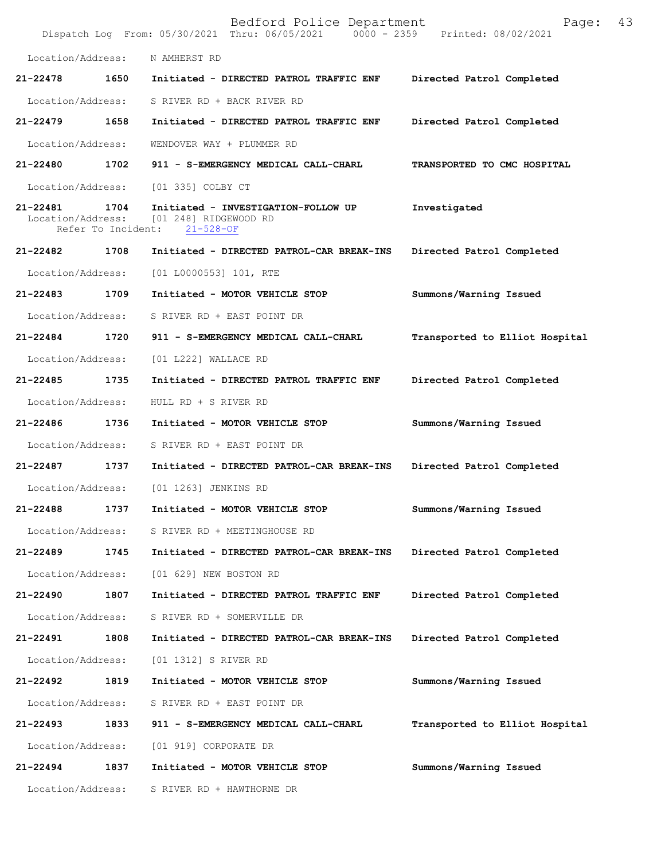|                               |                            | Bedford Police Department<br>Dispatch Log From: 05/30/2021 Thru: 06/05/2021 0000 - 2359 Printed: 08/02/2021 | Page:                          | 43 |
|-------------------------------|----------------------------|-------------------------------------------------------------------------------------------------------------|--------------------------------|----|
| Location/Address:             |                            | N AMHERST RD                                                                                                |                                |    |
| 21-22478                      | 1650                       | Initiated - DIRECTED PATROL TRAFFIC ENF                                                                     | Directed Patrol Completed      |    |
| Location/Address:             |                            | S RIVER RD + BACK RIVER RD                                                                                  |                                |    |
| 21-22479                      | 1658                       | Initiated - DIRECTED PATROL TRAFFIC ENF                                                                     | Directed Patrol Completed      |    |
| Location/Address:             |                            | WENDOVER WAY + PLUMMER RD                                                                                   |                                |    |
| 21-22480                      | 1702                       | 911 - S-EMERGENCY MEDICAL CALL-CHARL                                                                        | TRANSPORTED TO CMC HOSPITAL    |    |
| Location/Address:             |                            | [01 335] COLBY CT                                                                                           |                                |    |
| 21-22481<br>Location/Address: | 1704<br>Refer To Incident: | Initiated - INVESTIGATION-FOLLOW UP<br>[01 248] RIDGEWOOD RD<br>$21 - 528 - OF$                             | Investigated                   |    |
| 21-22482                      | 1708                       | Initiated - DIRECTED PATROL-CAR BREAK-INS                                                                   | Directed Patrol Completed      |    |
| Location/Address:             |                            | [01 L0000553] 101, RTE                                                                                      |                                |    |
| 21-22483                      | 1709                       | Initiated - MOTOR VEHICLE STOP                                                                              | Summons/Warning Issued         |    |
| Location/Address:             |                            | S RIVER RD + EAST POINT DR                                                                                  |                                |    |
| 21-22484                      | 1720                       | 911 - S-EMERGENCY MEDICAL CALL-CHARL                                                                        | Transported to Elliot Hospital |    |
| Location/Address:             |                            | [01 L222] WALLACE RD                                                                                        |                                |    |
| 21-22485                      | 1735                       | Initiated - DIRECTED PATROL TRAFFIC ENF                                                                     | Directed Patrol Completed      |    |
| Location/Address:             |                            | HULL RD + S RIVER RD                                                                                        |                                |    |
| 21-22486                      | 1736                       | Initiated - MOTOR VEHICLE STOP                                                                              | Summons/Warning Issued         |    |
| Location/Address:             |                            | S RIVER RD + EAST POINT DR                                                                                  |                                |    |
| 21-22487                      | 1737                       | Initiated - DIRECTED PATROL-CAR BREAK-INS                                                                   | Directed Patrol Completed      |    |
| Location/Address:             |                            | [01 1263] JENKINS RD                                                                                        |                                |    |
| 21-22488                      | 1737                       | Initiated - MOTOR VEHICLE STOP                                                                              | Summons/Warning Issued         |    |
| Location/Address:             |                            | S RIVER RD + MEETINGHOUSE RD                                                                                |                                |    |
| 21-22489                      | 1745                       | Initiated - DIRECTED PATROL-CAR BREAK-INS                                                                   | Directed Patrol Completed      |    |
| Location/Address:             |                            | [01 629] NEW BOSTON RD                                                                                      |                                |    |
| 21-22490                      | 1807                       | Initiated - DIRECTED PATROL TRAFFIC ENF                                                                     | Directed Patrol Completed      |    |
| Location/Address:             |                            | S RIVER RD + SOMERVILLE DR                                                                                  |                                |    |
| 21-22491                      | 1808                       | Initiated - DIRECTED PATROL-CAR BREAK-INS                                                                   | Directed Patrol Completed      |    |
| Location/Address:             |                            | [01 1312] S RIVER RD                                                                                        |                                |    |
| 21-22492                      | 1819                       | Initiated - MOTOR VEHICLE STOP                                                                              | Summons/Warning Issued         |    |
| Location/Address:             |                            | S RIVER RD + EAST POINT DR                                                                                  |                                |    |
| 21-22493                      | 1833                       | 911 - S-EMERGENCY MEDICAL CALL-CHARL                                                                        | Transported to Elliot Hospital |    |
| Location/Address:             |                            | [01 919] CORPORATE DR                                                                                       |                                |    |
| 21-22494                      | 1837                       | Initiated - MOTOR VEHICLE STOP                                                                              | Summons/Warning Issued         |    |
| Location/Address:             |                            | S RIVER RD + HAWTHORNE DR                                                                                   |                                |    |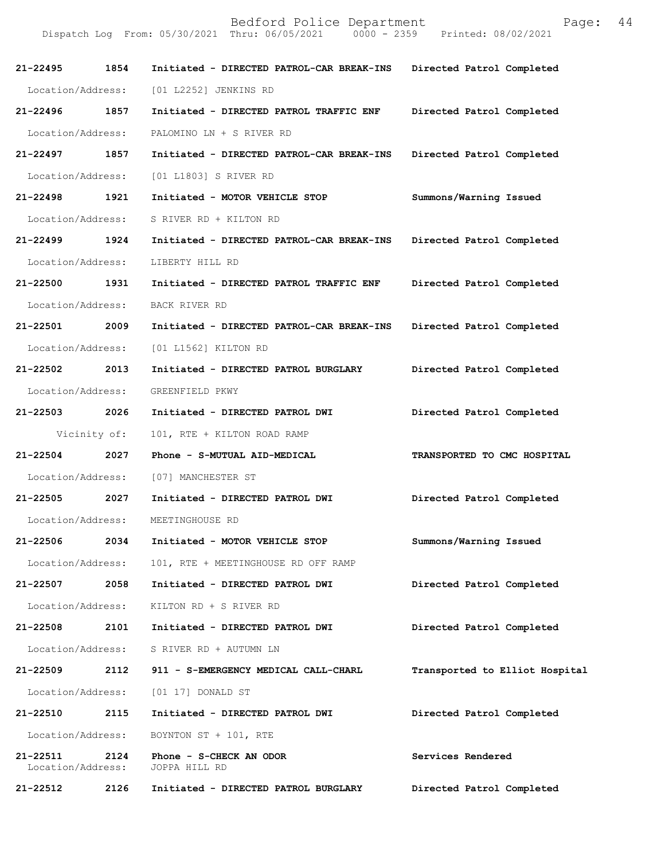| 21-22495                      | 1854         | Initiated - DIRECTED PATROL-CAR BREAK-INS | Directed Patrol Completed      |
|-------------------------------|--------------|-------------------------------------------|--------------------------------|
| Location/Address:             |              | [01 L2252] JENKINS RD                     |                                |
| 21-22496                      | 1857         | Initiated - DIRECTED PATROL TRAFFIC ENF   | Directed Patrol Completed      |
| Location/Address:             |              | PALOMINO LN + S RIVER RD                  |                                |
| 21-22497                      | 1857         | Initiated - DIRECTED PATROL-CAR BREAK-INS | Directed Patrol Completed      |
| Location/Address:             |              | [01 L1803] S RIVER RD                     |                                |
| 21-22498                      | 1921         | Initiated - MOTOR VEHICLE STOP            | Summons/Warning Issued         |
| Location/Address:             |              | S RIVER RD + KILTON RD                    |                                |
| 21-22499 1924                 |              | Initiated - DIRECTED PATROL-CAR BREAK-INS | Directed Patrol Completed      |
| Location/Address:             |              | LIBERTY HILL RD                           |                                |
| 21-22500                      | 1931         | Initiated - DIRECTED PATROL TRAFFIC ENF   | Directed Patrol Completed      |
| Location/Address:             |              | BACK RIVER RD                             |                                |
| 21-22501 2009                 |              | Initiated - DIRECTED PATROL-CAR BREAK-INS | Directed Patrol Completed      |
| Location/Address:             |              | [01 L1562] KILTON RD                      |                                |
| 21-22502                      | 2013         | Initiated - DIRECTED PATROL BURGLARY      | Directed Patrol Completed      |
| Location/Address:             |              | GREENFIELD PKWY                           |                                |
| 21-22503 2026                 |              | Initiated - DIRECTED PATROL DWI           | Directed Patrol Completed      |
|                               | Vicinity of: | 101, RTE + KILTON ROAD RAMP               |                                |
| $21 - 22504$                  | 2027         | Phone - S-MUTUAL AID-MEDICAL              | TRANSPORTED TO CMC HOSPITAL    |
| Location/Address:             |              | [07] MANCHESTER ST                        |                                |
| 21-22505                      | 2027         | Initiated - DIRECTED PATROL DWI           | Directed Patrol Completed      |
| Location/Address:             |              | MEETINGHOUSE RD                           |                                |
| 21-22506                      | 2034         | Initiated - MOTOR VEHICLE STOP            | Summons/Warning Issued         |
| Location/Address:             |              | 101, RTE + MEETINGHOUSE RD OFF RAMP       |                                |
| 21-22507                      | 2058         | Initiated - DIRECTED PATROL DWI           | Directed Patrol Completed      |
| Location/Address:             |              | KILTON RD + S RIVER RD                    |                                |
| 21-22508                      | 2101         | Initiated - DIRECTED PATROL DWI           | Directed Patrol Completed      |
| Location/Address:             |              | S RIVER RD + AUTUMN LN                    |                                |
| 21-22509                      | 2112         | 911 - S-EMERGENCY MEDICAL CALL-CHARL      | Transported to Elliot Hospital |
| Location/Address:             |              | [01 17] DONALD ST                         |                                |
| 21-22510                      | 2115         | Initiated - DIRECTED PATROL DWI           | Directed Patrol Completed      |
| Location/Address:             |              | BOYNTON ST + 101, RTE                     |                                |
| 21-22511<br>Location/Address: | 2124         | Phone - S-CHECK AN ODOR<br>JOPPA HILL RD  | Services Rendered              |
| 21-22512                      | 2126         | Initiated - DIRECTED PATROL BURGLARY      | Directed Patrol Completed      |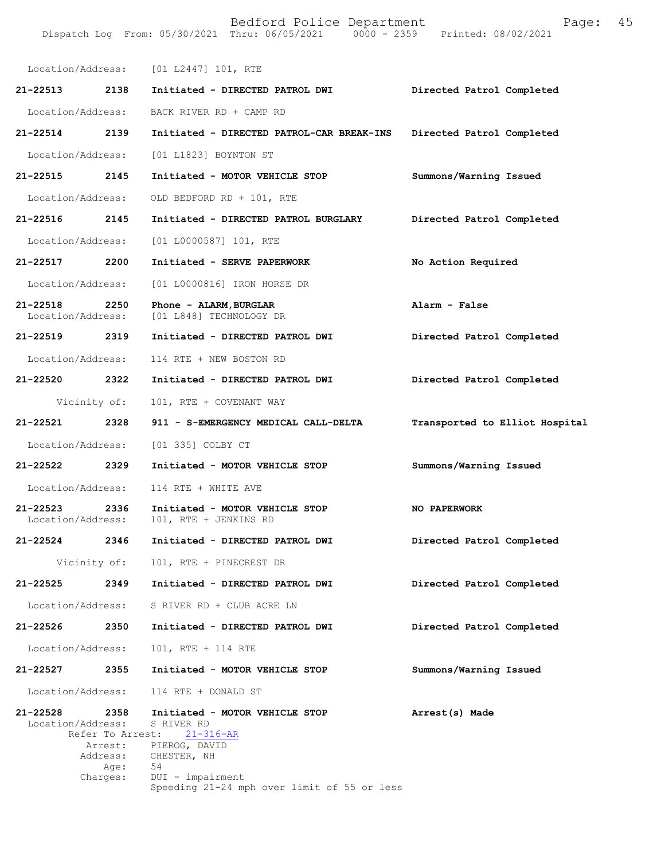|                                   |                  | Location/Address: [01 L2447] 101, RTE                                                                              |                                |
|-----------------------------------|------------------|--------------------------------------------------------------------------------------------------------------------|--------------------------------|
| 21-22513                          | 2138             | Initiated - DIRECTED PATROL DWI                                                                                    | Directed Patrol Completed      |
| Location/Address:                 |                  | BACK RIVER RD + CAMP RD                                                                                            |                                |
| $21 - 22514$                      | 2139             | Initiated - DIRECTED PATROL-CAR BREAK-INS                                                                          | Directed Patrol Completed      |
| Location/Address:                 |                  | [01 L1823] BOYNTON ST                                                                                              |                                |
| 21-22515                          | 2145             | Initiated - MOTOR VEHICLE STOP                                                                                     | Summons/Warning Issued         |
| Location/Address:                 |                  | OLD BEDFORD RD + 101, RTE                                                                                          |                                |
| 21-22516 2145                     |                  | Initiated - DIRECTED PATROL BURGLARY                                                                               | Directed Patrol Completed      |
| Location/Address:                 |                  | [01 L0000587] 101, RTE                                                                                             |                                |
| 21-22517                          | 2200             | Initiated - SERVE PAPERWORK                                                                                        | No Action Required             |
| Location/Address:                 |                  | [01 L0000816] IRON HORSE DR                                                                                        |                                |
| 21-22518<br>Location/Address:     | 2250             | Phone - ALARM, BURGLAR<br>[01 L848] TECHNOLOGY DR                                                                  | Alarm - False                  |
| 21-22519 2319                     |                  | Initiated - DIRECTED PATROL DWI                                                                                    | Directed Patrol Completed      |
| Location/Address:                 |                  | 114 RTE + NEW BOSTON RD                                                                                            |                                |
| 21-22520 2322                     |                  | Initiated - DIRECTED PATROL DWI                                                                                    | Directed Patrol Completed      |
|                                   | Vicinity of:     | 101, RTE + COVENANT WAY                                                                                            |                                |
| 21-22521                          | 2328             | 911 - S-EMERGENCY MEDICAL CALL-DELTA                                                                               | Transported to Elliot Hospital |
| Location/Address:                 |                  | [01 335] COLBY CT                                                                                                  |                                |
| 21-22522 2329                     |                  | Initiated - MOTOR VEHICLE STOP                                                                                     | Summons/Warning Issued         |
| Location/Address:                 |                  | 114 RTE + WHITE AVE                                                                                                |                                |
| $21 - 22523$<br>Location/Address: | 2336             | Initiated - MOTOR VEHICLE STOP<br>101, RTE + JENKINS RD                                                            | NO PAPERWORK                   |
| 21-22524                          | 2346             | Initiated - DIRECTED PATROL DWI                                                                                    | Directed Patrol Completed      |
|                                   |                  | Vicinity of: 101, RTE + PINECREST DR                                                                               |                                |
| $21 - 22525$                      | 2349             | Initiated - DIRECTED PATROL DWI                                                                                    | Directed Patrol Completed      |
| Location/Address:                 |                  | S RIVER RD + CLUB ACRE LN                                                                                          |                                |
| 21-22526                          | 2350             | Initiated - DIRECTED PATROL DWI                                                                                    | Directed Patrol Completed      |
| Location/Address:                 |                  | 101, RTE + 114 RTE                                                                                                 |                                |
| 21-22527                          | 2355             | Initiated - MOTOR VEHICLE STOP                                                                                     | Summons/Warning Issued         |
| Location/Address:                 |                  | 114 RTE + DONALD ST                                                                                                |                                |
| 21-22528<br>Location/Address:     | 2358<br>Address: | Initiated - MOTOR VEHICLE STOP<br>S RIVER RD<br>Refer To Arrest: 21-316-AR<br>Arrest: PIEROG, DAVID<br>CHESTER, NH | Arrest(s) Made                 |
|                                   | Age:<br>Charges: | 54<br>DUI - impairment<br>Speeding 21-24 mph over limit of 55 or less                                              |                                |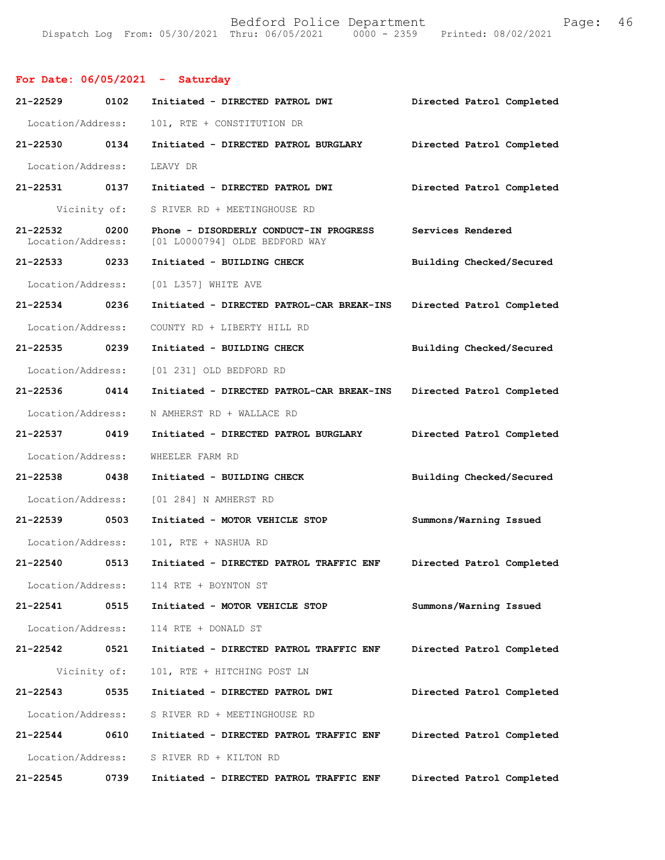## **For Date: 06/05/2021 - Saturday**

| 21-22529 0102                      |              | Initiated - DIRECTED PATROL DWI                                          | Directed Patrol Completed |
|------------------------------------|--------------|--------------------------------------------------------------------------|---------------------------|
| Location/Address:                  |              | 101, RTE + CONSTITUTION DR                                               |                           |
| 21-22530 0134                      |              | Initiated - DIRECTED PATROL BURGLARY                                     | Directed Patrol Completed |
| Location/Address:                  |              | LEAVY DR                                                                 |                           |
| 21-22531 0137                      |              | Initiated - DIRECTED PATROL DWI                                          | Directed Patrol Completed |
|                                    | Vicinity of: | S RIVER RD + MEETINGHOUSE RD                                             |                           |
| 21-22532 0200<br>Location/Address: |              | Phone - DISORDERLY CONDUCT-IN PROGRESS<br>[01 L0000794] OLDE BEDFORD WAY | Services Rendered         |
| 21-22533 0233                      |              | Initiated - BUILDING CHECK                                               | Building Checked/Secured  |
| Location/Address:                  |              | [01 L357] WHITE AVE                                                      |                           |
| 21-22534 0236                      |              | Initiated - DIRECTED PATROL-CAR BREAK-INS                                | Directed Patrol Completed |
| Location/Address:                  |              | COUNTY RD + LIBERTY HILL RD                                              |                           |
| 21-22535 0239                      |              | Initiated - BUILDING CHECK                                               | Building Checked/Secured  |
| Location/Address:                  |              | [01 231] OLD BEDFORD RD                                                  |                           |
| 21-22536 0414                      |              | Initiated - DIRECTED PATROL-CAR BREAK-INS                                | Directed Patrol Completed |
| Location/Address:                  |              | N AMHERST RD + WALLACE RD                                                |                           |
| 21-22537 0419                      |              | Initiated - DIRECTED PATROL BURGLARY                                     | Directed Patrol Completed |
| Location/Address:                  |              | WHEELER FARM RD                                                          |                           |
| 21-22538 0438                      |              | Initiated - BUILDING CHECK                                               | Building Checked/Secured  |
| Location/Address:                  |              | [01 284] N AMHERST RD                                                    |                           |
| 21-22539 0503                      |              | Initiated - MOTOR VEHICLE STOP                                           | Summons/Warning Issued    |
| Location/Address:                  |              | 101, RTE + NASHUA RD                                                     |                           |
| 21-22540 0513                      |              | Initiated - DIRECTED PATROL TRAFFIC ENF                                  | Directed Patrol Completed |
| Location/Address:                  |              | 114 RTE + BOYNTON ST                                                     |                           |
| 21-22541                           | 0515         | Initiated - MOTOR VEHICLE STOP                                           | Summons/Warning Issued    |
| Location/Address:                  |              | 114 RTE + DONALD ST                                                      |                           |
| 21-22542                           | 0521         | Initiated - DIRECTED PATROL TRAFFIC ENF                                  | Directed Patrol Completed |
|                                    | Vicinity of: | 101, RTE + HITCHING POST LN                                              |                           |
| 21-22543                           | 0535         | Initiated - DIRECTED PATROL DWI                                          | Directed Patrol Completed |
| Location/Address:                  |              | S RIVER RD + MEETINGHOUSE RD                                             |                           |
| 21-22544                           | 0610         | Initiated - DIRECTED PATROL TRAFFIC ENF                                  | Directed Patrol Completed |
| Location/Address:                  |              | S RIVER RD + KILTON RD                                                   |                           |
| 21-22545                           | 0739         | Initiated - DIRECTED PATROL TRAFFIC ENF                                  | Directed Patrol Completed |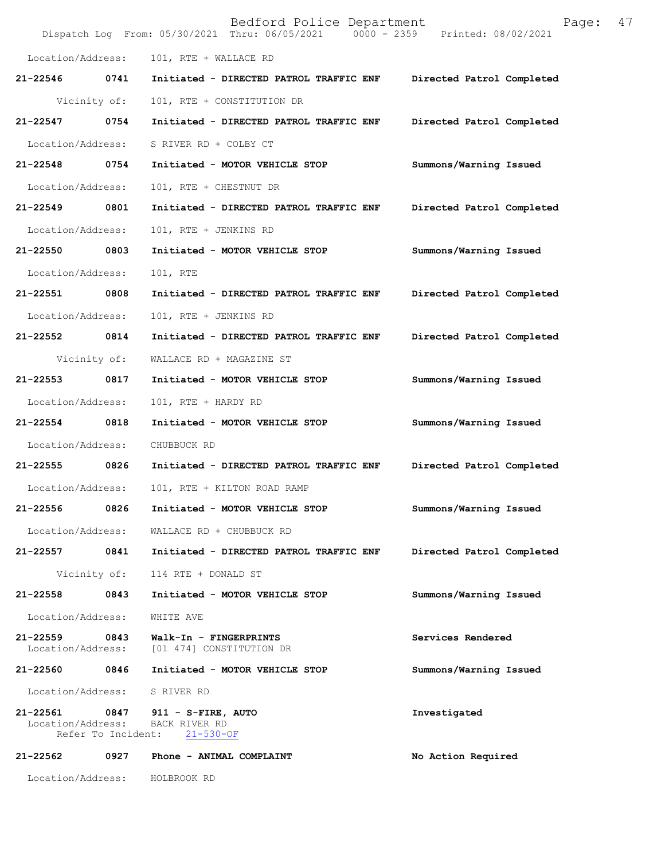|                               |                            | Bedford Police Department<br>Dispatch Log From: 05/30/2021 Thru: 06/05/2021 0000 - 2359 Printed: 08/02/2021 | 47<br>Page:               |
|-------------------------------|----------------------------|-------------------------------------------------------------------------------------------------------------|---------------------------|
| Location/Address:             |                            | 101, RTE + WALLACE RD                                                                                       |                           |
| 21-22546                      | 0741                       | Initiated - DIRECTED PATROL TRAFFIC ENF                                                                     | Directed Patrol Completed |
|                               | Vicinity of:               | 101, RTE + CONSTITUTION DR                                                                                  |                           |
| 21-22547                      | 0754                       | Initiated - DIRECTED PATROL TRAFFIC ENF                                                                     | Directed Patrol Completed |
| Location/Address:             |                            | S RIVER RD + COLBY CT                                                                                       |                           |
| 21-22548                      | 0754                       | Initiated - MOTOR VEHICLE STOP                                                                              | Summons/Warning Issued    |
| Location/Address:             |                            | 101, RTE + CHESTNUT DR                                                                                      |                           |
| 21-22549                      | 0801                       | Initiated - DIRECTED PATROL TRAFFIC ENF                                                                     | Directed Patrol Completed |
| Location/Address:             |                            | 101, RTE + JENKINS RD                                                                                       |                           |
| 21-22550                      | 0803                       | Initiated - MOTOR VEHICLE STOP                                                                              | Summons/Warning Issued    |
| Location/Address:             |                            | 101, RTE                                                                                                    |                           |
| 21-22551                      | 0808                       | Initiated - DIRECTED PATROL TRAFFIC ENF                                                                     | Directed Patrol Completed |
| Location/Address:             |                            | 101, RTE + JENKINS RD                                                                                       |                           |
| 21-22552                      | 0814                       | Initiated - DIRECTED PATROL TRAFFIC ENF                                                                     | Directed Patrol Completed |
|                               | Vicinity of:               | WALLACE RD + MAGAZINE ST                                                                                    |                           |
| 21-22553                      | 0817                       | Initiated - MOTOR VEHICLE STOP                                                                              | Summons/Warning Issued    |
| Location/Address:             |                            | 101, RTE + HARDY RD                                                                                         |                           |
| 21-22554                      | 0818                       | Initiated - MOTOR VEHICLE STOP                                                                              | Summons/Warning Issued    |
| Location/Address:             |                            | CHUBBUCK RD                                                                                                 |                           |
| 21-22555                      | 0826                       | Initiated - DIRECTED PATROL TRAFFIC ENF                                                                     | Directed Patrol Completed |
| Location/Address:             |                            | 101, RTE + KILTON ROAD RAMP                                                                                 |                           |
| 21-22556                      | 0826                       | Initiated - MOTOR VEHICLE STOP                                                                              | Summons/Warning Issued    |
| Location/Address:             |                            | WALLACE RD + CHUBBUCK RD                                                                                    |                           |
| 21-22557                      | 0841                       | Initiated - DIRECTED PATROL TRAFFIC ENF                                                                     | Directed Patrol Completed |
|                               | Vicinity of:               | 114 RTE + DONALD ST                                                                                         |                           |
| 21-22558                      | 0843                       | Initiated - MOTOR VEHICLE STOP                                                                              | Summons/Warning Issued    |
| Location/Address:             |                            | WHITE AVE                                                                                                   |                           |
| 21-22559<br>Location/Address: | 0843                       | Walk-In - FINGERPRINTS<br>[01 474] CONSTITUTION DR                                                          | Services Rendered         |
| 21-22560                      | 0846                       | Initiated - MOTOR VEHICLE STOP                                                                              | Summons/Warning Issued    |
| Location/Address:             |                            | S RIVER RD                                                                                                  |                           |
| 21-22561<br>Location/Address: | 0847<br>Refer To Incident: | 911 - S-FIRE, AUTO<br>BACK RIVER RD<br>$21 - 530 - OF$                                                      | Investigated              |
| 21-22562                      | 0927                       | Phone - ANIMAL COMPLAINT                                                                                    | No Action Required        |
| Location/Address:             |                            | HOLBROOK RD                                                                                                 |                           |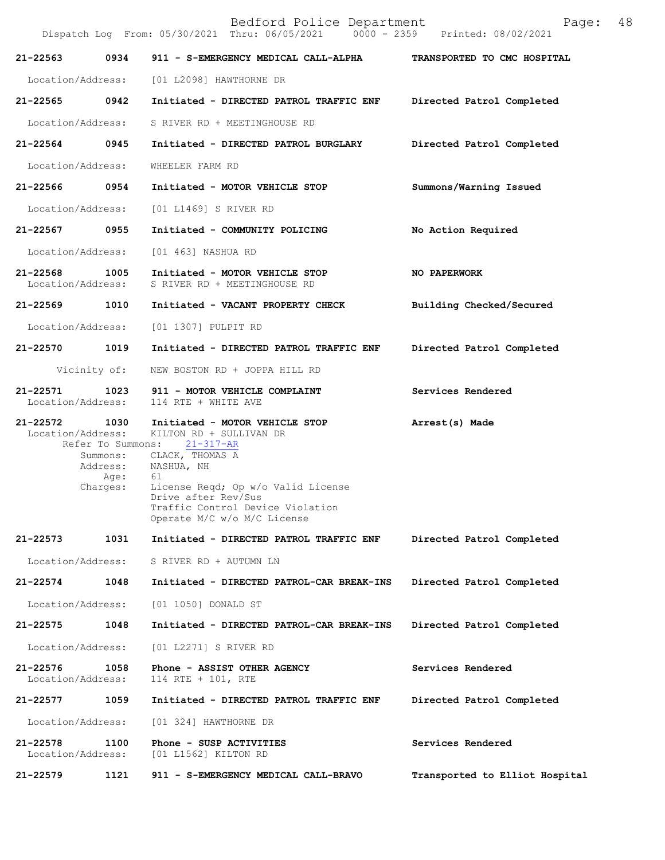|                                    |                                          | Bedford Police Department<br>Dispatch Log From: 05/30/2021 Thru: 06/05/2021 0000 - 2359 Printed: 08/02/2021 | Page:                          | 48 |
|------------------------------------|------------------------------------------|-------------------------------------------------------------------------------------------------------------|--------------------------------|----|
| 21-22563                           | 0934                                     | 911 - S-EMERGENCY MEDICAL CALL-ALPHA                                                                        | TRANSPORTED TO CMC HOSPITAL    |    |
| Location/Address:                  |                                          | [01 L2098] HAWTHORNE DR                                                                                     |                                |    |
| 21-22565                           | 0942                                     | Initiated - DIRECTED PATROL TRAFFIC ENF                                                                     | Directed Patrol Completed      |    |
| Location/Address:                  |                                          | S RIVER RD + MEETINGHOUSE RD                                                                                |                                |    |
| 21-22564                           | 0945                                     | Initiated - DIRECTED PATROL BURGLARY                                                                        | Directed Patrol Completed      |    |
| Location/Address:                  |                                          | WHEELER FARM RD                                                                                             |                                |    |
| 21-22566                           | 0954                                     | Initiated - MOTOR VEHICLE STOP                                                                              | Summons/Warning Issued         |    |
| Location/Address:                  |                                          | [01 L1469] S RIVER RD                                                                                       |                                |    |
| 21-22567 0955                      |                                          | Initiated - COMMUNITY POLICING                                                                              | No Action Required             |    |
| Location/Address:                  |                                          | [01 463] NASHUA RD                                                                                          |                                |    |
| $21 - 22568$<br>Location/Address:  | 1005                                     | Initiated - MOTOR VEHICLE STOP<br>S RIVER RD + MEETINGHOUSE RD                                              | NO PAPERWORK                   |    |
| 21-22569                           | 1010                                     | Initiated - VACANT PROPERTY CHECK                                                                           | Building Checked/Secured       |    |
| Location/Address:                  |                                          | [01 1307] PULPIT RD                                                                                         |                                |    |
| 21-22570                           | 1019                                     | Initiated - DIRECTED PATROL TRAFFIC ENF                                                                     | Directed Patrol Completed      |    |
|                                    | Vicinity of:                             | NEW BOSTON RD + JOPPA HILL RD                                                                               |                                |    |
| 21-22571<br>Location/Address:      | 1023                                     | 911 - MOTOR VEHICLE COMPLAINT<br>114 RTE + WHITE AVE                                                        | Services Rendered              |    |
| 21-22572 1030<br>Location/Address: | Refer To Summons:                        | Initiated - MOTOR VEHICLE STOP<br>KILTON RD + SULLIVAN DR<br>$21 - 317 - AR$                                | Arrest(s) Made                 |    |
|                                    | Summons:<br>Address:<br>Age:<br>Charges: | CLACK, THOMAS A<br>NASHUA, NH<br>61<br>License Regd; Op w/o Valid License                                   |                                |    |
|                                    |                                          | Drive after Rev/Sus<br>Traffic Control Device Violation<br>Operate M/C w/o M/C License                      |                                |    |
| 21-22573                           | 1031                                     | Initiated - DIRECTED PATROL TRAFFIC ENF                                                                     | Directed Patrol Completed      |    |
| Location/Address:                  |                                          | S RIVER RD + AUTUMN LN                                                                                      |                                |    |
| $21 - 22574$                       | 1048                                     | Initiated - DIRECTED PATROL-CAR BREAK-INS                                                                   | Directed Patrol Completed      |    |
| Location/Address:                  |                                          | [01 1050] DONALD ST                                                                                         |                                |    |
| 21-22575                           | 1048                                     | Initiated - DIRECTED PATROL-CAR BREAK-INS                                                                   | Directed Patrol Completed      |    |
| Location/Address:                  |                                          | [01 L2271] S RIVER RD                                                                                       |                                |    |
| 21-22576<br>Location/Address:      | 1058                                     | Phone - ASSIST OTHER AGENCY<br>114 RTE + 101, RTE                                                           | Services Rendered              |    |
| 21-22577                           | 1059                                     | Initiated - DIRECTED PATROL TRAFFIC ENF                                                                     | Directed Patrol Completed      |    |
| Location/Address:                  |                                          | [01 324] HAWTHORNE DR                                                                                       |                                |    |
| 21-22578<br>Location/Address:      | 1100                                     | Phone - SUSP ACTIVITIES<br>[01 L1562] KILTON RD                                                             | Services Rendered              |    |
| 21-22579                           | 1121                                     | 911 - S-EMERGENCY MEDICAL CALL-BRAVO                                                                        | Transported to Elliot Hospital |    |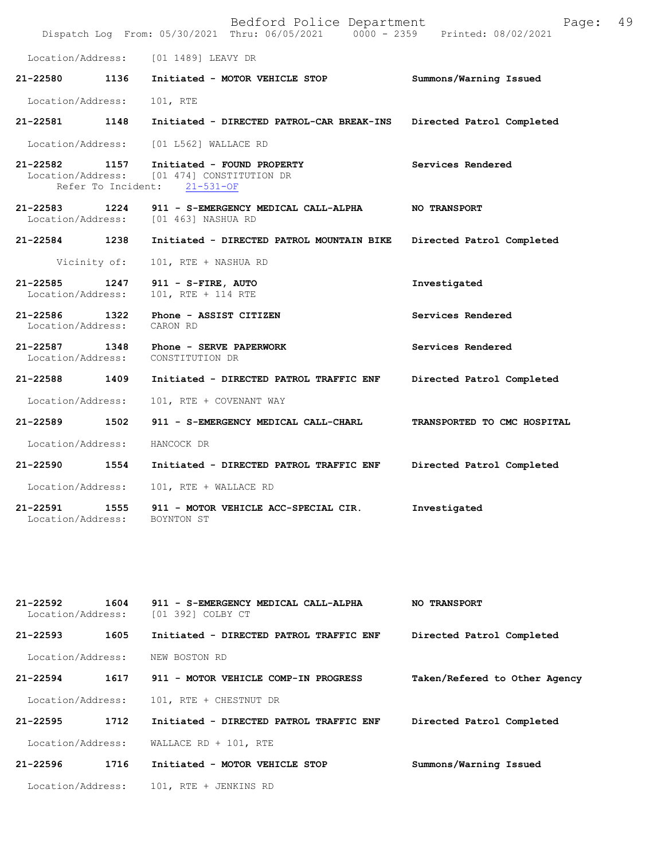|                                    |              | Bedford Police Department<br>Dispatch Log From: 05/30/2021 Thru: 06/05/2021 0000 - 2359 Printed: 08/02/2021            | 49<br>Page:                 |
|------------------------------------|--------------|------------------------------------------------------------------------------------------------------------------------|-----------------------------|
|                                    |              | Location/Address: [01 1489] LEAVY DR                                                                                   |                             |
| 21-22580 1136                      |              | Initiated - MOTOR VEHICLE STOP                                                                                         | Summons/Warning Issued      |
| Location/Address:                  |              | 101, RTE                                                                                                               |                             |
| 21-22581                           | 1148         | Initiated - DIRECTED PATROL-CAR BREAK-INS Directed Patrol Completed                                                    |                             |
| Location/Address:                  |              | [01 L562] WALLACE RD                                                                                                   |                             |
|                                    |              | 21-22582 1157 Initiated - FOUND PROPERTY<br>Location/Address: [01 474] CONSTITUTION DR<br>Refer To Incident: 21-531-OF | Services Rendered           |
| 21-22583 1224                      |              | 911 - S-EMERGENCY MEDICAL CALL-ALPHA<br>Location/Address: [01 463] NASHUA RD                                           | <b>NO TRANSPORT</b>         |
| 21-22584 1238                      |              | Initiated - DIRECTED PATROL MOUNTAIN BIKE                                                                              | Directed Patrol Completed   |
|                                    | Vicinity of: | 101, RTE + NASHUA RD                                                                                                   |                             |
| 21-22585 1247<br>Location/Address: |              | 911 - S-FIRE, AUTO<br>101, RTE + 114 RTE                                                                               | Investigated                |
| 21-22586 1322<br>Location/Address: |              | Phone - ASSIST CITIZEN<br>CARON RD                                                                                     | Services Rendered           |
| 21-22587 1348<br>Location/Address: |              | Phone - SERVE PAPERWORK<br>CONSTITUTION DR                                                                             | Services Rendered           |
| 21-22588 1409                      |              | Initiated - DIRECTED PATROL TRAFFIC ENF                                                                                | Directed Patrol Completed   |
| Location/Address:                  |              | 101, RTE + COVENANT WAY                                                                                                |                             |
| 21-22589                           | 1502         | 911 - S-EMERGENCY MEDICAL CALL-CHARL                                                                                   | TRANSPORTED TO CMC HOSPITAL |
| Location/Address:                  |              | HANCOCK DR                                                                                                             |                             |
| 21-22590                           | 1554         | Initiated - DIRECTED PATROL TRAFFIC ENF                                                                                | Directed Patrol Completed   |
| Location/Address:                  |              | 101, RTE + WALLACE RD                                                                                                  |                             |
| 21-22591<br>Location/Address:      | 1555         | 911 - MOTOR VEHICLE ACC-SPECIAL CIR.<br>BOYNTON ST                                                                     | Investigated                |

| 21-22592<br>Location/Address: | 1604 | 911 - S-EMERGENCY MEDICAL CALL-ALPHA<br>[01 392] COLBY CT | <b>NO TRANSPORT</b>           |
|-------------------------------|------|-----------------------------------------------------------|-------------------------------|
| $21 - 22593$                  | 1605 | Initiated - DIRECTED PATROL TRAFFIC ENF                   | Directed Patrol Completed     |
| Location/Address:             |      | NEW BOSTON RD                                             |                               |
| $21 - 22594$                  | 1617 | 911 - MOTOR VEHICLE COMP-IN PROGRESS                      | Taken/Refered to Other Agency |
| Location/Address:             |      | 101, RTE + CHESTNUT DR                                    |                               |
| $21 - 22595$                  | 1712 | Initiated - DIRECTED PATROL TRAFFIC ENF                   | Directed Patrol Completed     |
| Location/Address:             |      | WALLACE RD + 101, RTE                                     |                               |
| $21 - 22596$                  | 1716 | Initiated - MOTOR VEHICLE STOP                            | Summons/Warning Issued        |
| Location/Address:             |      | 101, RTE + JENKINS RD                                     |                               |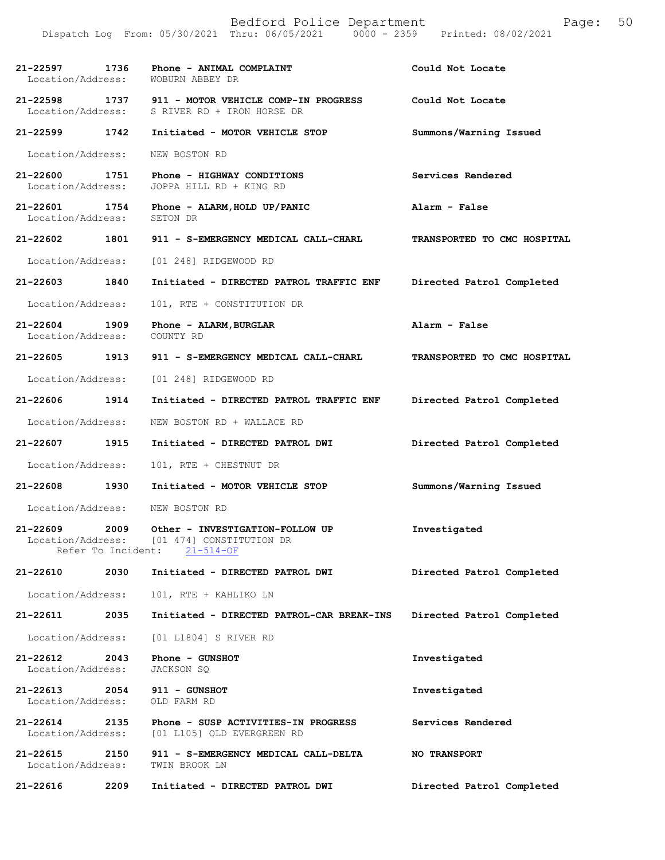**21-22597 1736 Phone - ANIMAL COMPLAINT Could Not Locate**  Location/Address: WOBURN ABBEY DR **21-22598 1737 911 - MOTOR VEHICLE COMP-IN PROGRESS Could Not Locate**  Location/Address: S RIVER RD + IRON HORSE DR **21-22599 1742 Initiated - MOTOR VEHICLE STOP Summons/Warning Issued**  Location/Address: NEW BOSTON RD **21-22600 1751 Phone - HIGHWAY CONDITIONS Services Rendered**  Location/Address: JOPPA HILL RD + KING RD **21-22601 1754 Phone - ALARM,HOLD UP/PANIC Alarm - False**  Location/Address: SETON DR **21-22602 1801 911 - S-EMERGENCY MEDICAL CALL-CHARL TRANSPORTED TO CMC HOSPITAL**  Location/Address: [01 248] RIDGEWOOD RD **21-22603 1840 Initiated - DIRECTED PATROL TRAFFIC ENF Directed Patrol Completed**  Location/Address: 101, RTE + CONSTITUTION DR **21-22604 1909 Phone - ALARM,BURGLAR Alarm - False**  Location/Address: **21-22605 1913 911 - S-EMERGENCY MEDICAL CALL-CHARL TRANSPORTED TO CMC HOSPITAL**  Location/Address: [01 248] RIDGEWOOD RD **21-22606 1914 Initiated - DIRECTED PATROL TRAFFIC ENF Directed Patrol Completed**  Location/Address: NEW BOSTON RD + WALLACE RD **21-22607 1915 Initiated - DIRECTED PATROL DWI Directed Patrol Completed**  Location/Address: 101, RTE + CHESTNUT DR **21-22608 1930 Initiated - MOTOR VEHICLE STOP Summons/Warning Issued**  Location/Address: NEW BOSTON RD **21-22609 2009 Other - INVESTIGATION-FOLLOW UP Investigated**  Location/Address: [01 474] CONSTITUTION DR Refer To Incident: 21-514-OF **21-22610 2030 Initiated - DIRECTED PATROL DWI Directed Patrol Completed**  Location/Address: 101, RTE + KAHLIKO LN **21-22611 2035 Initiated - DIRECTED PATROL-CAR BREAK-INS Directed Patrol Completed**  Location/Address: [01 L1804] S RIVER RD **21-22612 2043 Phone - GUNSHOT Investigated**  Location/Address: JACKSON SQ **21-22613 2054 911 - GUNSHOT Investigated**  Location/Address: OLD FARM RD **21-22614 2135 Phone - SUSP ACTIVITIES-IN PROGRESS Services Rendered**  Location/Address: [01 L105] OLD EVERGREEN RD **21-22615 2150 911 - S-EMERGENCY MEDICAL CALL-DELTA NO TRANSPORT**  Location/Address: TWIN BROOK LN **21-22616 2209 Initiated - DIRECTED PATROL DWI Directed Patrol Completed**